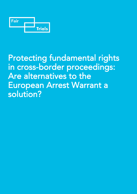

# Protecting fundamental rights in cross-border proceedings: Are alternatives to the European Arrest Warrant a solution?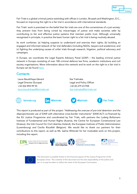

Fair Trials is a global criminal justice watchdog with offices in London, Brussels and Washington, D.C., focused on improving the right to a fair trial in accordance with international standards.

Fair Trials' work is premised on the belief that fair trials are one of the cornerstones of a just society: they prevent lives from being ruined by miscarriages of justice and make societies safer by contributing to fair and effective justice systems that maintain public trust. Although universally recognised in principle, in practice the basic human right to a fair trial is being routinely abused.

Its work combines: (a) helping suspects to understand and exercise their rights; (b) building an engaged and informed network of fair trial defenders (including NGOs, lawyers and academics); and (c) fighting the underlying causes of unfair trials through research, litigation, political advocacy and campaigns.

In Europe, we coordinate the Legal Experts Advisory Panel (LEAP) – the leading criminal justice network in Europe consisting of over 180 criminal defence law firms, academic institutions and civil society organisations. More information about this network and its work on the right to a fair trial in Europe can be found [here.](https://www.fairtrials.org/legal-experts-advisory-panel)

### **Contacts**

Laure Baudrihaye-Gérard Legal Director (Europe) +32 (0)2 894 99 55 [laure.baudrihaye@fairtrials.net](mailto:ralph.bunche@fairtrials.net) Ilze Tralmaka Legal and Policy Officer +32 (0) 279 23 958 [ilze.tralmaka@fairtrials.net](mailto:ilze.tralmaka@fairtrials.net)



This report is produced as part of the project *"Addressing the overuse of pre-trial detention and the disproportionate use of EAW with alternative cross-border instruments"* (EAW-ALT) co-financed by the EU Justice Programme and coordinated by Fair Trials, with partners the Ludwig Boltzmann Institute of Fundamental and Human Rights (Austria), the Centre for European Constitutional Law (Greece), the Irish Council for Civil Liberties (Ireland), the European Institute of Public Administration (Luxembourg) and Cecilia Rizcallah (Belgium). We would like to thank our partners for their contributions to this report, as well as Ms. Isaline Wittorski for her invaluable work on this project, including this report.







This document is possible thanks to the financial support of the Justice Programme of the European Union. The contents of this document are the sole responsibility of the author and can in no way be taken to reflect the views of the European Commission.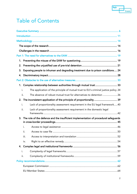

## Table of Contents

| 1.   |                                                                                      |
|------|--------------------------------------------------------------------------------------|
| 2.   |                                                                                      |
| 3.   | Exposing people to inhuman and degrading treatment due to prison conditions 24       |
| 4.   |                                                                                      |
|      |                                                                                      |
| 1.   | Complex relationship between authorities through mutual trust  33                    |
| i.   | The application of the principle of mutual trust to EU's criminal justice policy.34  |
| ii.  | The absence of robust mutual trust for alternatives to detention 36                  |
| 2.   | The inconsistent application of the principle of proportionality 39                  |
| i.   | Lack of proportionality assessment requirement in the EU legal framework40           |
| ii.  | Lack of proportionality assessment requirement in the domestic legal                 |
| 3.   | The role of the defence and the insufficient implementation of procedural safeguards |
| i.   |                                                                                      |
| ii.  |                                                                                      |
| iii. |                                                                                      |
| iv.  |                                                                                      |
| 4.   |                                                                                      |
| i.   |                                                                                      |
| ii.  |                                                                                      |
|      |                                                                                      |
|      |                                                                                      |
|      |                                                                                      |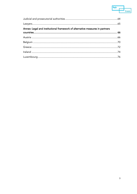

| Annex: Legal and institutional framework of alternative measures in partners |  |
|------------------------------------------------------------------------------|--|
|                                                                              |  |
|                                                                              |  |
|                                                                              |  |
|                                                                              |  |
|                                                                              |  |
|                                                                              |  |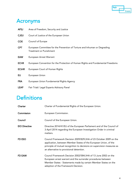

## Acronyms

| <b>AFSJ</b>  | Area of Freedom, Security and Justice                                                                |
|--------------|------------------------------------------------------------------------------------------------------|
| <b>CJEU</b>  | Court of Justice of the European Union                                                               |
| <b>COE</b>   | Council of Europe                                                                                    |
| <b>CPT</b>   | European Committee for the Prevention of Torture and Inhuman or Degrading<br>Treatment or Punishment |
| <b>EAW</b>   | European Arrest Warrant                                                                              |
| <b>ECHR</b>  | European Convention for the Protection of Human Rights and Fundamental Freedoms                      |
| <b>ECtHR</b> | European Court of Human Rights                                                                       |
| EU           | European Union                                                                                       |
| <b>FRA</b>   | European Union Fundamental Rights Agency                                                             |
| <b>LEAP</b>  | Fair Trials' Legal Experts Advisory Panel                                                            |

## **Definitions**

| Charter              | Charter of Fundamental Rights of the European Union.                                                                                                                                                                                                         |  |  |  |  |
|----------------------|--------------------------------------------------------------------------------------------------------------------------------------------------------------------------------------------------------------------------------------------------------------|--|--|--|--|
| Commission           | European Commission.                                                                                                                                                                                                                                         |  |  |  |  |
| Council              | Council of the European Union.                                                                                                                                                                                                                               |  |  |  |  |
| <b>EIO Directive</b> | Directive 2014/41/EU of the European Parliament and of the Council of<br>3 April 2014 regarding the European Investigation Order in criminal<br>matters.                                                                                                     |  |  |  |  |
| FD ESO               | Council Framework Decision 2009/829/JHA of 23 October 2009 on the<br>application, between Member States of the European Union, of the<br>principle of mutual recognition to decisions on supervision measures as<br>an alternative to provisional detention. |  |  |  |  |
| FD EAW               | Council Framework Decision 2002/584/JHA of 13 June 2002 on the<br>European arrest warrant and the surrender procedures between<br>Member States - Statements made by certain Member States on the<br>adoption of the Framework Decision.                     |  |  |  |  |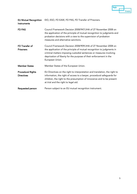

**EU Mutual Recognition** EIO, ESO, FD EAW, FD PAS, FD Transfer of Prisoners. Instruments

| <b>FD PAS</b>                                 | Council Framework Decision 2008/947/JHA of 27 November 2008 on<br>the application of the principle of mutual recognition to judgments and<br>probation decisions with a view to the supervision of probation<br>measures and alternative sanctions.                                                      |
|-----------------------------------------------|----------------------------------------------------------------------------------------------------------------------------------------------------------------------------------------------------------------------------------------------------------------------------------------------------------|
| FD Transfer of<br><b>Prisoners</b>            | Council Framework Decision 2008/909/JHA of 27 November 2008 on<br>the application of the principle of mutual recognition to judgments in<br>criminal matters imposing custodial sentences or measures involving<br>deprivation of liberty for the purpose of their enforcement in the<br>European Union. |
| <b>Member States</b>                          | Member States of the European Union.                                                                                                                                                                                                                                                                     |
| <b>Procedural Rights</b><br><b>Directives</b> | EU Directives on the right to interpretation and translation, the right to<br>information, the right of access to a lawyer, procedural safeguards for<br>children, the right to the presumption of innocence and to be present<br>at trial and the right to legal aid.                                   |
| Requested person                              | Person subject to an EU mutual recognition instrument.                                                                                                                                                                                                                                                   |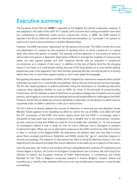

## Executive summary

The European Arrest Warrant (EAW) is regarded as the flagship EU judicial cooperation measure. It was adopted in the wake of the 2001 9/11 attacks amid concerns that existing extradition laws were too cumbersome to effectively tackle serious cross-border crimes. In 2004, the EAW started to operate in the EU as a fast-track system for the arrest and extradition (or "surrender") of a person to stand trial or serve a prison sentence in another Member State.

However, the EAW has severe implications for the persons concerned. The EAW involves the arrest and deportation of a person for the purposes of standing trial or to serve a sentence in a country other than where the person is located. This typically involves detention in the country of arrest as well as where the person is deported. Deprivation of liberty is amongst the harshest of measures that states can take against people and such measures should only be imposed in exceptional circumstances as a measure of last resort. In addition to the loss of liberty (and the life-changing impact it can have), in a cross-border setting, because of the long distance in a cross-border setting, people face even more separation from their families, potential job loss, and may be sent to a country where they have no social ties, support system or don't even speak the language.

Recognising the severe implications of EAWs, the EU adopted four alternative measures which judicial authorities can resort to in cross-border proceedings, both at the pre-trial and post-sentencing stage. The EU also issued guidance to judicial authorities citing the importance of considering alternative measures when deciding whether to issue an EAW, by virtue of the principle of proportionality. Furthermore, the EU adopted a suite of directives on procedural safeguards of suspects and accused persons, which apply to cross-border proceedings and should enable effective challenges to the EAW. However, the EU did not adopt any common standards on detention, so the decision to place a person requested under an EAW in detention is left up to national laws.

The EU's failure to directly address the overuse of detention in particular pre-trial detention across Member States appears to be impeding any effort to restrict the use of EAWs. June 2022 will mark the 20<sup>th</sup> anniversary of the EAW, and recent reports show that the EAW is increasingly used in thousands of cases each year and is considered to be a valuable tool to law enforcement. However, we also continue to hear that EAWs are used far more broadly than intended, i.e., for the purposes of investigation before a case is ready for trial, for minor offences, and in disregard to people's fundamental rights. When we turn to alternative measures to the EAW, we find very little information or data. In contrast to the flagship EAW, the alternatives are seldom used, and very little is known about them amongst practitioners. Detention and EAWs remain the "go-to" restrictive measure in criminal proceedings. The adoption of alternatives has failed to bring EU Member States in line with regional and international principles that require detention to be used only as a measure of last resort.

Over the past year, Fair Trials (in partnership with the Ludwig Boltzmann Institute of Fundamental and Human Rights in Austria, the Centre for European Constitutional Law in Greece, the Irish Council for Liberties in Ireland, the European Institute of Public Administration in Luxembourg and Cecilia Rizcallah for Fair Trials in Belgium) conducted research in Austria, Belgium, Greece, Ireland and Luxembourg to identify what obstacles there are to the use of alternative measures in cross-border proceedings.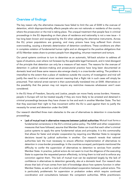

### Overview of findings

The key reason why the alternative measures have failed to limit the use of EAW is the overuse of detention, which disproportionality affects people who are not nationals or residents of the country where the prosecution or the trial is taking place. The unequal treatment that people face in criminal proceedings in the EU depending on their place of residence and nationality is not a new issue – it has long been known and recognised by the EU when adopting the alternative instruments. Across the EU, prison populations are growing, and many prisons have long suffered from chronic overcrowding, causing a dramatic deterioration of detention conditions. These conditions are often in complete violation of fundamental human rights and on disregard to the positive obligations that all EU Member states share to protect people from degrading, inhuman treatment and torture.

Our penal systems continue to turn to detention as an automatic, fall-back solution to address all types of situations, even where not foreseen by the applicable legal framework, and in total disregard of the principle that detention can only be a measure of last resort. The reasons for the overuse of detention in judicial decision-making and prosecutorial practice have long been documented at domestic level and these same reasons also emerge clearly in a cross-border setting. The problem is intensified to the extent that a place of residence outside the country of investigation and trial will justify the need for a national arrest warrant meaning that a flight risk in such cases will simply be presumed. That national arrest warrant is then automatically translated into an EAW. Alternatives or the possibility that the person may not require any restrictive measures whatsoever aren't even considered.

In the EU Area of Freedom, Security and Justice, people can move freely across borders. However, people in Europe will not be treated equally if they are more likely to be arrested and detained in criminal proceedings because they have chosen to live and work in another Member State. The fact that they exercised their right to free movement within the EU is used against them to justify the necessity for arrest and detention under the EAW.

Our research identified three main obstacles to the use of alternatives to detention in cross-border proceedings.

• Lack of mutual trust in alternative measures between judicial authorities: Mutual trust forms a fundamental cornerstone in the EU's criminal justice policy. The EAW and other cooperation measures that have followed, assume that Member States can trust that each other's criminal justice systems to apply the same fundamental values and principles. It is this commonality that allows for faster and simpler cooperation by requiring one Member State to recognise decisions issued by judicial authorities in another. Our research reveals that national authorities lack the trust necessary to ensure effective implementation of alternatives to detention in cross-border proceedings. In the countries surveyed, participants mentioned the difficulty to confer the supervision of alternatives to detention to services from another Member State. In practice, judicial actors do not seem to trust the diligence of the executing State to supervise the requested person effectively, to bring them to trial and to enforce any conviction against them. This lack of mutual trust can be explained largely by the lack of confidence in alternatives to detention generally, also at a domestic level. Our research also shows that lack of trust comes from lack of knowledge about how systems function in other Member States, as well as a lack of institutionalised cooperation between judicial actors. This is particularly problematic for supervision or probation orders which require continued coordination and consultations between the competent authorities. While practitioners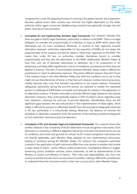

recognise the crucial role played by Eurojust in ensuring a European network, the cooperation between judicial actors often remains very informal and highly dependent on the State, authority and/or agent concerned. Neighbouring countries have generally stronger ties and better channels of communication.

- Incomplete EU and implementing domestic legal frameworks: Our research indicates that there are gaps in the EU legal framework, particularly in relation to the EAW. There is no legal obligation to consider the proportionality of a decision to issue an EAW which means that alternatives are not even considered. Moreover, in contrast to their approach towards alternative measures, authorities responsible for the execution of EAWs do not assess the proportionality of the measure and tend to adopt a "blind trust" approach to the EAW. This means that, under EU law, no authorities consider themselves bound to consider proportionality and thus also the alternatives to the EAW. Additionally, Member States all have their own set of domestic alternatives to detention, be it for prosecution or for sentencing, and these differ significantly in terms of conditions, procedures and how they are applied in practice. This lack of harmonisation between Member States makes it difficult for practitioners to resort to alternative measures. They stress different reasons: they don't know if the measure exists in the other Member States and what the conditions are to use it; they might not use that alternative at home; or they feel such measure involves more bureaucracy, notably because they must find domestic equivalence to the issued measure. Procedural safeguards, particularly during the pre-trial period, are essential to enable the requested person to challenge an EAW before surrender and advocate for release or the application of an alternative measure. If lawyers were able to provide effective legal assistance and request alternative measures, they could gradually support a shift of judicial culture regarding away from detention, reducing the over-use of pre-trial detention. Nonetheless, there are still significant gaps between the law and practice in the implementation of these rights, which makes it difficult for persons to effectively benefit from the procedural safeguards enshrined in EU law, particularly in a cross-border setting. Moreover, the absence of common EU standards on detention necessarily limits the potential of the existing procedural safeguards to limit authorities' recourse to pre-trial detention.
- Complexity of EU and domestic legal and institutional frameworks: Our research shows that another obstacle is the complexity of the EU alternative mutual recognition instruments. Each alternative is covered by a different legislative instrument and each instrument has its own set of conditions, time limits and grounds for refusal. As EU mutual recognition instruments are not directly applicable, each Member State adopted its own implementing instruments, leading to variations among EU Member States. For instance, the competent authorities involved in the application of each instrument differ from one country to another and include a large variety of actors – police officers, public prosecutors, investigating officers or judges, sentencing courts, probation services, prison authorities, as well as representatives of the Ministry of Justice and Ministry of Interior. Their roles and responsibilities vary from one country to another but also from one instrument to another, making it difficult for practitioners to understand how the instrument works in their own country and in other Member States.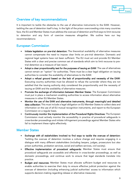

### Overview of key recommendations

It is important to tackle the obstacles to the use of alternative instruments to the EAW. However, tackling the use of detention itself is key. In the light of the prison overcrowding crisis many countries face, the EU and Member States must address the overuse of detention and find ways to limit recourse to detention and any form of coercive measures altogether. We outline here our key recommendations:

### European Commission

- Initiate legislation on pre-trial detention: The theoretical availability of alternative measures cannot compensate the need to impose clear limits on pre-trial detention. Domestic and regional legal systems have not been sufficient. The EU must act and provide EU Member States with a clear and precise common set of standards which aim to limit recourse to pretrial detention as a measure of last resort.
- Adopt a clear proportionality test for the purposes of issuing an EAW: The use of alternatives cannot remain an "option" for authorities. There must be a clear legal obligation on issuing authorities to consider the availability of alternatives to the EAW.
- Adopt a refusal ground based on the lack of proportionality and necessity of the EAW: Executing country authorities must be allowed to refuse the surrender where they are not satisfied that the issuing authority duly considered the proportionality and the necessity of issuing an EAW and the availability of alternative measures.
- Promote the exchange of information between Member States: The European Commission must put in place a mechanism enabling authorities to access information about alternative measures in other EU Member States.
- Monitor the use of the EAW and alternative instruments, through meaningful and detailed data collection: This must include a legal obligation on EU Member States to collect data and information on the use of all EU mutual recognition instruments, and report to the European Commission on a regular basis.
- Continuously monitor the implementation of the Procedural Rights Directives: The European Commission must actively monitor the accessibility in practice of procedural safeguards in cross-border proceedings and initiate infringement proceedings against Member States who fail to implement these rights effectively.

### Member States

- Exchange with all stakeholders involved to find ways to tackle the overuse of detention: Tackling the overuse of detention involves a culture change and requires engaging in a dialogue with many different stakeholders (including lawyers, judges, prosecutors but also prison authorities, probation services, social and welfare services, civil society).
- Effective implementation of procedural safeguards: Member States must ensure that procedural safeguards are accessible and effective in cross-border proceedings, as well as domestic proceedings, and continue work to ensure that legal standards translate into practice.
- **Budget and resources:** Member States must allocate sufficient budget and resources to enable authorities to exercise their duty to ensure effective judicial protection against the overuse of detention (including enhancing judicial authorities' access to information which supports decision-making regarding release or alternative measures).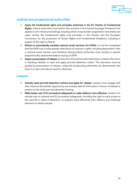

### Judicial and prosecutorial authorities

- Apply the fundamental rights and principles enshrined in the EU Charter of Fundamental Rights: Judicial authorities must anchor their practice in the overarching legal framework that applies to all criminal proceedings including where cross-border cooperation instruments are used, namely the fundamental rights and principles in the Charter and the European Convention for the protection of Human Rights and Fundamental Freedoms, including in respect of the right to liberty.
- Refuse to automatically translate national arrest warrants into EAWs: It must be recognised that the EAW may involve greater restrictions of a person's rights, including deportation, than a national arrest warrant, and therefore issuing judicial authorities must conduct a specific proportionality assessment before issuing an EAW.
- Apply a presumption of release: prosecutors and judicial authorities enjoy a massive discretion in deciding whether to seek and apply pre-trial detention orders. This discretion must be guided by presumption of release, unless the prosecuting authorities can demonstrate that there is a clear and robust need for detention.

### Lawyers

- Actively resist pre-trial detention motions and apply for release: Lawyers must engage with their clients at the earliest opportunity and actively seek all information in favour of release to present at the initial pre-trial detention hearing.
- Make better use of EU procedural safeguards to make defence more effective: Lawyers can actively rely on national and EU procedural safeguards, including the right to early access to the case file in cases of detention, to prepare more effectively their defence and challenge decisions to detain people.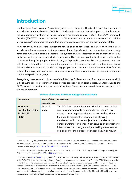

## Introduction

The European Arrest Warrant (EAW) is regarded as the flagship EU judicial cooperation measure. It was adopted in the wake of the 2001 9/11 attacks amid concerns that existing extradition laws were too cumbersome to effectively tackle serious cross-border crimes. In 2004, the EAW Framework Decision (FD EAW)<sup>[1](#page-11-0)</sup> started to operate in the EU as a fast-track system for the arrest and extradition (or "surrender") of a person to stand trial or serve a prison sentence in another Member State.

However, the EAW has severe implications for the persons concerned. The EAW involves the arrest and deportation of a person for the purposes of standing trial or to serve a sentence in a country other than where the person is located. This typically involves detention in the country of arrest as well as where the person is deported. Deprivation of liberty is amongst the harshest of measures that states can take against people and should only be imposed in exceptional circumstances as a measure of last resort. In addition to the loss of liberty (and the life-changing impact it can have), because of the long distance in a cross-border setting, people face even more separation from their families, potential job loss, and may be sent to a country where they have no social ties, support system or don't even speak the language.

Recognising these severe implications of the EAW, the EU later adopted four new instruments which judicial authorities can resort to in cross-border proceedings, in certain cases, as alternatives to the EAW, both at the pre-trial and post-sentencing stage. These measures could, in some cases, also limit the use of detention.

| Instrument                 | Time of the                                                | <b>Description</b>                                               |  |  |
|----------------------------|------------------------------------------------------------|------------------------------------------------------------------|--|--|
|                            | proceedings                                                |                                                                  |  |  |
| European                   | Pre-trial                                                  | The EIO allows authorities in one Member State to collect        |  |  |
| <b>Investigation Order</b> | stage                                                      | and transfer evidence to another Member State. <sup>3</sup> This |  |  |
| 2014/41/EU                 |                                                            | means states can gather evidence across borders without          |  |  |
| ('EIO') <sup>2</sup>       |                                                            | the need to request that individuals be physically               |  |  |
|                            | transferred. Whilst its main objective is to enable cross- |                                                                  |  |  |
|                            |                                                            | border transfers of evidence, it can serve as an alternative to  |  |  |
|                            |                                                            | EAWs where the issuing authority is seeking the surrender        |  |  |
|                            |                                                            | of a person for the purposes of questioning. In particular,      |  |  |

#### The four alternative EU Mutual Recognition Instruments

<span id="page-11-0"></span><sup>1</sup> Council of the EU, 2002/584/JHA: Council Framework Decision of 13 June 2002 on the European arrest warrant and the surrender procedures between Member States - Statements made by certain Member States on the adoption of the Framework Decision, (O.J. L 190, 18/07/2002 P. 0001 - 0020).

<span id="page-11-1"></span><sup>&</sup>lt;sup>2</sup> Directive 2014/41/EU of the European Parliament and of the Council of 3 April 2014 regarding the European Investigation Order in criminal matters, [\(OJ L 130, 1.5.2014, p. 1–36](https://eur-lex.europa.eu/legal-content/EN/TXT/?uri=celex%3A32014L0041)*).*

<span id="page-11-2"></span><sup>&</sup>lt;sup>3</sup> However, CJE[U Case C-584/19,](https://curia.europa.eu/juris/document/document.jsf?text=&docid=235181&pageIndex=0&doclang=en&mode=req&dir=&occ=first&part=1) judgment of 8 December 2020, paragraph 72 suggests that the EIO is not an "alternative" to the EAW: "[i]t should also be noted that the European investigation order governed by Directive 2014/41 pursues, in the context of criminal proceedings, a distinct objective from the European arrest warrant governed by Framework Decision 2002/584. While the European arrest warrant seeks, in accordance with Article 1(1) of Framework Decision 2002/584, the arrest and surrender of a requested person, for the purposes of conducting a criminal prosecution or executing a custodial sentence or detention order, the aim of a European investigation order, under Article 1(1) of Directive 2014/41, is to have one or several specific investigative measures carried out to obtain evidence."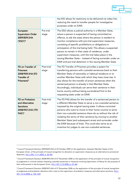|                                                                                                            |                     | the EIO allows for testimony to be delivered via video link,<br>reducing the need to transfer people for investigative<br>purposes under an EAW.                                                                                                                                                                                                                                                                                                                                                                                                                                                             |
|------------------------------------------------------------------------------------------------------------|---------------------|--------------------------------------------------------------------------------------------------------------------------------------------------------------------------------------------------------------------------------------------------------------------------------------------------------------------------------------------------------------------------------------------------------------------------------------------------------------------------------------------------------------------------------------------------------------------------------------------------------------|
| European<br><b>Supervision Order</b><br>2009/829/JHA<br>('ESO') <sup>4</sup>                               | Pre-trial<br>stage  | The ESO allows a judicial authority in a Member State,<br>where a person is suspected of having committed an<br>offence, to ask the state where the person is resident to<br>monitor compliance with pre-trial supervision measures,<br>consisting of specific prohibitions or obligations in<br>anticipation of the trial being held. This allows a suspected<br>person to remain in their state of residence, under<br>supervision measures, until the trial takes place in the<br>issuing Member State - instead of facing surrender under an<br>EAW and pre-trial detention in the issuing Member State. |
| FD on Transfer of<br><b>Prisoners</b><br>2008/909/JHA (FD<br><b>Transfer of</b><br>Prisoners) <sup>5</sup> | Post-trial<br>stage | The FD Transfer of Prisoners provides a system for<br>transferring persons with custodial sentences back to their<br>Member State of nationality or habitual residence or to<br>another Member State with which they have close ties. It<br>also allows for the transfer of prison sentences when the<br>sentenced person is already in that Member State.<br>Accordingly, individuals can serve their sentence in their<br>home country without being surrendered first to the<br>requesting state under an EAW.                                                                                            |
| FD on Probation<br>and Alternative<br><b>Sanctions</b><br>2008/947/JHA ('FD<br>PAS') <sup>6</sup>          | Post-trial<br>stage | The FD PAS allows for the transfer of a sentenced person to<br>a different Member State to serve a non-custodial sentence<br>imposed by the original issuing state. It allows convicted<br>persons who want to move to their home country to serve<br>their non-custodial sentence there do so without the risk of<br>violating the terms of their sentence by moving to another<br>Member State (and subsequent arrest and surrender under<br>the EAW because of that). This could also serve as an<br>incentive for judges to use non-custodial sentences.                                                 |

Fair

Trials

<span id="page-12-0"></span><sup>4</sup> Council Framework Decision 2009/829/JHA of 23 October 2009 on the application, between Member States of the European Union, of the principle of mutual recognition to decisions on supervision measures as an alternative to provisional detention, [\(OJ L 294, 11.11.2009, p. 20–40\)](https://eur-lex.europa.eu/legal-content/EN/TXT/?uri=CELEX%3A32009F0829&qid=1606266205764).

<span id="page-12-1"></span><sup>&</sup>lt;sup>5</sup> Council Framework Decision 2008/909/JHA of 27 November 2008 on the application of the principle of mutual recognition to judgments in criminal matters imposing custodial sentences or measures involving deprivation of liberty for the purpose of their enforcement in the European Union, (OJ L 327, 5.12.2008, p. 27-46).

<span id="page-12-2"></span><sup>6</sup> Council Framework Decision 2008/947/JHA of 27 November 2008 on the application of the principle of mutual recognition to judgments and probation decisions with a view to the supervision of probation measures and alternative sanctions, (OJ L [337, 16.12.2008, p. 102–122\).](https://eur-lex.europa.eu/legal-content/EN/TXT/?uri=CELEX%3A32008F0947&qid=1606266257729)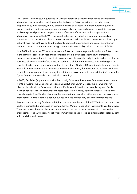

The Commission has issued guidance to judicial authorities citing the importance of considering alternative measures when deciding whether to issue an EAW, by virtue of the principle of proportionality. Furthermore, the EU adopted a suite of directives on procedural safeguards of suspects and accused persons, which apply in cross-border proceedings and should, in principle, enable requested persons to prepare a more effective defence and seek the application of alternative measures to the EAW. However, the EU did not adopt any common standards on detention, so the decision to place a person requested under an EAW in detention is still left up to national laws. The EU has also failed to directly address the conditions and use of detention, in particular pre-trial detention, even though detention is inextricably linked to the use of EAWs.

June 2022 will mark the  $20<sup>th</sup>$  anniversary of the EAW, and recent reports show that the EAW is used in thousands of cases each year and is considered to be a valuable tool to law enforcement. However, we also continue to hear that EAWs are used far more broadly than intended, i.e., for the purposes of investigation before a case is ready for trial, for minor offences, and in disregard to people's fundamental rights. When we turn to the other EU Mutual Recognition Instruments, we find very little information or data. In contrast to the flagship EAW, the measures are seldom used, and very little is known about them amongst practitioners. EAWs (and with them, detention) remain the "go-to" measure in cross-border criminal proceedings.

In 2020, Fair Trials (in partnership with the Ludwig Boltzmann Institute of Fundamental and Human Rights in Austria, the Centre for European Constitutional Law in Greece, the Irish Council for Liberties in Ireland, the European Institute of Public Administration in Luxembourg and Cecilia Rizcallah for Fair Trials in Belgium) conducted research in Austria, Belgium, Greece, Ireland and Luxembourg to identify what obstacles there are to the use of alternative measures in cross-border proceedings. In this report, we set out our key findings and identify policy recommendations.

First, we set out the key fundamental rights concerns that the use of the EAW raises, and how these could, in principle, be addressed by using other EU Mutual Recognition Instruments as alternatives. Then, we set out the main obstacles, in practice, to the use of the instruments in cross-border proceedings. Finally, we identify policy recommendations addressed to different stakeholders, both at EU and domestic levels.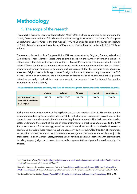

## Methodology

## 1. The scope of the research

This report is based on research that started in March 2020 and was conducted by our partners, the Ludwig Boltzmann Institute of Fundamental and Human Rights for Austria, the Centre for European Constitutional Law for Greece, the Irish Council for Civil Liberties for Ireland, the European Institute of Public Administration for Luxembourg (EIPA) and by Cecilia Rizcallah on behalf of Fair Trials for Belgium.

The research focused on five European Union (EU) countries: Austria, Belgium, Greece, Ireland and Luxembourg. These Member States were selected based on the number of foreign nationals in detention and the state of transposition of the EU Mutual Recognition Instruments with the aim to reflect differing situations. Luxembourg, Greece and Austria are among the countries with the highest proportion of foreign nationals in detention and transposed all four EU instruments on alternative measures. Belgium has similarly high rates of foreign national detainees and only transposed the ESO in 2017. Ireland, in comparison, has a low number of foreign nationals in detention and of pre-trial detention generally.<sup>[7](#page-14-0)</sup> Ireland has only very recently incorporated two EU Mutual Recognition Instruments (see table below).

Non-nationals in detention and entry into force of mutual recognition instruments in the researched countries

|                                                                          | Austria | <b>Belgium</b>            | Greece | <b>Ireland</b> | Luxembourg |
|--------------------------------------------------------------------------|---------|---------------------------|--------|----------------|------------|
| Proportion of non-<br>nationals in detention<br>in 2019 (%) <sup>8</sup> | 54.7 %  | 44 % in 2017 <sup>9</sup> | 54.9%  | 13.6 %         | 74.4 %     |

Each partner undertook a review of the legislation on the transposition of the EU Mutual Recognition Instruments notified by the respective Member State to the European Commission, as well as available domestic case law and academic literature addressing these instruments. This desk research aimed to better understand the extent of the use of these instruments in practice as alternatives to the EAW (for prosecution and for sentencing), as well as the institutional framework of stakeholders involved in issuing and executing these measures. Where necessary, partners submitted freedom of information requests for data on the actual use of these mutual recognition instruments in cross-border judicial proceedings. In each Member State, partners also conducted qualitative interviews with practitioners, including lawyers, judges, and prosecutors as well as representatives of probation services and police officers.

<span id="page-14-0"></span><sup>&</sup>lt;sup>7</sup> Irish Penal Reform Trust, The practice of pre-trial detention in Ireland: Monitoring Alternatives and Judicial Decision-making [in Ireland,](https://www.fairtrials.org/wp-content/uploads/PTD-country-Report-Ireland_finalV2.pdf) Research report, September 2015, p. 49.

<span id="page-14-1"></span><sup>&</sup>lt;sup>8</sup> Council of Europe – Université de Lausanne, Aebi and Tiago, Prisons and Prisoners in Europe 2019: Key Findings of the [SPACE I report](https://wp.unil.ch/space/files/2020/04/Key-Findings-2019_200406.pdf) (2020), p 5 'Figure 4. Percentage of foreign inmates in the prison population on 31<sup>st</sup> January 2019 (N=42)'.

<span id="page-14-2"></span><sup>9</sup> Service public fédéral Justice, Rapport Annuel 2017 – Direction générale des Établissements Pénitentiaires, 2018, p. 46.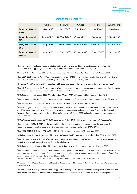

|                                      | Austria                  | <b>Belgium</b>            | Greece                    | Ireland                   | Luxembourg                |
|--------------------------------------|--------------------------|---------------------------|---------------------------|---------------------------|---------------------------|
| Entry into force of<br><b>EAW</b>    | 1 May 2004 <sup>10</sup> | 1 Jan 2004 <sup>11</sup>  | 9 Jul 2004 <sup>12</sup>  | 1 Jan 2004 <sup>13</sup>  | 20 Mar2004 <sup>14</sup>  |
| Entry into force of<br><b>EIO</b>    | 1 Jul 2018 <sup>15</sup> | 22 May 2017 <sup>16</sup> | 21 Sep 2017 <sup>17</sup> | Opted out                 | 18 Sep 2018 <sup>18</sup> |
| Entry into force of<br><b>ESO</b>    | 1 Aug 2013 <sup>19</sup> | 29 Mar 2017 <sup>20</sup> | 15 Nov 2004 <sup>21</sup> | 5 Feb 2021 <sup>22</sup>  | 12 Jul 2016 <sup>23</sup> |
| Entry into force of<br><b>FD PAS</b> | 1 Aug 2013 <sup>24</sup> | 21 May 2013 <sup>25</sup> | 15 Nov 2004 <sup>26</sup> | 23 Sep 2019 <sup>27</sup> | 21 Apr 2015 <sup>28</sup> |

#### State of implementation

<span id="page-15-3"></span><sup>13</sup> European Arrest Warrant Act, 2003 adopted on 28 December 2003 and which entered into force on 1 January 2004.

<span id="page-15-4"></span><sup>14</sup> Law of 17 March 2004 on the European Arrest Warrant and surrender procedures between Member States of the European Union as amended by Law of 3 August 2011. Publication Mem. A n° 39, 22 March 2004.

<span id="page-15-5"></span><sup>15</sup> EU-JZG consolidated version §§ 55-56b adopted on 26 April 2018, which entered into force on 1 July 2018.

<span id="page-15-6"></span><sup>16</sup> Federal Act of 22 May 2017 on the European Investigation Order in Criminal Matters, which entered into on 22 May 2017.

<span id="page-15-7"></span><sup>17</sup> Law 4489/2017 (O.G.G. Issue A' 140/21.9.2017), which entered into force on 21 September 2017.

<span id="page-15-8"></span><sup>18</sup> Law of 1 August 2018 on 1. Transposition of Directive 2014/41/EU from the European Parliament and the Council from 3 April 2014 regarding the decision of European Investigation orders in criminal matters, 2. Modification of the Criminal Procedural Code; 3) Modification of the modified legislation from 8 August 2000 on judicial international cooperation in criminal matters.

<span id="page-15-9"></span><sup>19</sup> EU-JZG consolidated version §§ 100-1211, adopted on 18 July 2013, which entered into force on 1 August 2013.

<span id="page-15-10"></span> $20$  Federal Act of 23 March 2017, on the application of the principle of mutual recognition to decisions on supervision measures imposed as an alternative to pre-trial detention which entered into force on 29 May 2017.

<span id="page-15-11"></span><sup>21</sup> Law 4307/2014 (O.G.G. issue A' 246/15.11.2014), which entered into force on 15 November 2004.

<span id="page-15-12"></span><sup>22</sup> Criminal Justice (Mutual Recognition of Decisions on Supervision Measures) Act 2020, adopted on 26 November 2020.

<span id="page-15-13"></span> $23$  Law of 5 July 2016 regarding the effective application of the principle of mutual recognition in supervision measures as alternative to preventive custody and modifying the criminal law.

<span id="page-15-14"></span><sup>24</sup> EU-JZG consolidated version §§ 81-99, adopted on 18 July 2013, which entered into force on 1 August 2013.

<span id="page-15-15"></span><sup>25</sup> Federal Act of 21 May 2013 on the application of the principle of mutual recognition of judgments and probation decisions for the purposes of the supervision of probation measures and substitution sentences pronounced in a Member State of the European Union which entered into force on 23 June 2013.

<span id="page-15-16"></span><sup>26</sup> Law 4307/2014 (O.G.G. issue A' 246/15.11.2014), which entered into force on 15 November 2004.

<span id="page-15-17"></span><sup>27</sup> Criminal Justice (Mutual Recognition of Probation Judgements and Decisions) Act 2019, which entered into force on 23 September 2019.

<span id="page-15-18"></span><sup>28</sup> Law of 12 April 2015 regarding the effective application of the principle of mutual recognition in probation decisions and other substitution decisions and in order to enhance the effective application of the principle of mutual recognition in

<span id="page-15-0"></span><sup>&</sup>lt;sup>10</sup> Federal law on judicial cooperation in criminal matters with the Member States of the European Union (EU-JZG) consolidated version §§ 3-31, adopted on 16 April 2004, which entered into force on 1 May2004.

<span id="page-15-1"></span><sup>11</sup> Federal Act of 19 December 2003 on the European Arrest Warrant which entered into force on 1 January 2004.

<span id="page-15-2"></span><sup>&</sup>lt;sup>12</sup> Law 3251/2004 European Arrest Warrant, amendment to Law 2928/2001 on criminal organisations and other provisions adopted on XX (O.G.G. Issue A' 127/9.7.2004), which entered into force on 9 July 2004.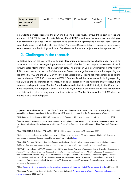| Entry into force of | 1 Jan 2012 <sup>29</sup> | 15 May 2012 $301$ | 15 Nov 2004 <sup>31</sup> | Draft law in          | 3 Mar 2011 <sup>33</sup> |
|---------------------|--------------------------|-------------------|---------------------------|-----------------------|--------------------------|
| FD Transfer of      |                          |                   |                           | process <sup>32</sup> |                          |
| <b>Prisoners</b>    |                          |                   |                           |                       |                          |

In parallel to domestic research, the EIPA and Fair Trials respectively surveyed their past trainees and members of Fair Trials' Legal Experts Advisory Panel (LEAP) - a criminal justice network consisting of over 180 criminal defence lawyers, academic and civil society organisations in Europe. Fair Trials also circulated a survey to all the EU Member States' Permanent Representations in Brussels. These surveys aimed to complete the findings with input from Member States not subject to the in-depth research.<sup>[34](#page-16-5)</sup>

## 2. Challenges in the research

Collecting data on the use of the EU Mutual Recognition Instruments was challenging. There is no systematic data collection regarding their use across EU Member States, despite requirements in each instrument for Member States to gather such data. The European Union Fundamental Rights Agency (FRA) noted that more than half of the Member States do not gather any information regarding the use of the FD PAS and the ESO. Only five Member States legally require national authorities to collate data on the use of FD PAS, none for the ESO.<sup>[35](#page-16-6)</sup> Partners faced the same issues, including regarding the EIO and the FD Transfer of Prisoners. In contrast, statistics on the numbers of EAWs issued and executed each year in every Member State has been collected since 2005, initially by the Council and more recently by the European Commission. However, the data available on the EAW is also far from complete and is collected only on a voluntary basis by the Member States as the FD EAW does not impose such a legal obligation. [36](#page-16-7)

Fair

**Trials** 

judgement rendered in absentia in 1) art. 634 of Criminal Law, 2) Legislation from the 23 February 2010 regarding the mutual recognition of financial sanctions; 3) the modified law of 17 March 2004 regarding the European Arrest Warrant.

<span id="page-16-0"></span><sup>29</sup> EU-JZG consolidated version §§ 39-42g, adopted on 15 December 2011, which entered into force on 1 January 2012.

<span id="page-16-1"></span><sup>&</sup>lt;sup>30</sup> Federal Act of 15 May 2012 on the application of the principle of mutual recognition to custodial sentences or measures involving deprivation of liberty imposed in a Member State of the European Union which entered into force on 5 December 2011.

<span id="page-16-2"></span><sup>&</sup>lt;sup>31</sup> Law 4307/2014 (O.G.G. issue A' 246/15.11.2014), which entered into force on 15 November 2004.

<span id="page-16-3"></span><sup>&</sup>lt;sup>32</sup> Ireland has been referred to the ECJ because of its failure to transpose this FD but is committed in its 2021 legislative programme to transposition and has published a draft law, available [here.](http://www.justice.ie/en/JELR/General%20Scheme%20for%20the%20Mutual%20Recognition%20of%20Custodial%20Sentences%20Bill.pdf/Files/General%20Scheme%20for%20the%20Mutual%20Recognition%20of%20Custodial%20Sentences%20Bill.pdf)

<span id="page-16-4"></span><sup>&</sup>lt;sup>33</sup> Law of 28 February 2011 regarding the effective application of the principle of mutual recognition in criminal judgements that have ruled for a deprivation of liberty in order to be executed in other European Union's Member States.

<span id="page-16-5"></span><sup>34</sup> EIPA: 21 respondents ; LEAP: 11 respondents ; EU Member States Permanent Representations in Brussels: 12 respondents; Austria: 11 respondents (3 lawyers, 1 judge, 5 prosecutors; 1 representative from the Ministry of Justice; 1 representative from the Probation Service) ; Belgium: 23 respondents (6 judges, 3 lawyers, 7 prosecutors, 4 probation agents, 2 persons from the Ministry of Justice and 1 from the Permanent Representation to the EU); Greece: 7 respondents (3 lawyers, 2 judges, and 2 prosecutors) ; Ireland: 6 respondents ( 3 defence lawyers and 3 prosecutors); Luxembourg: 6 respondents (4 lawyers and 2 prosecutors).

<span id="page-16-6"></span><sup>&</sup>lt;sup>35</sup> FRA, [Report on Criminal detention and alternatives: fundamental rights aspects in EU cross-border transfers,](https://fra.europa.eu/en/publication/2016/criminal-detention-and-alternatives-fundamental-rights-aspects-eu-cross-border) 2016, p. 32.

<span id="page-16-7"></span><sup>&</sup>lt;sup>36</sup> European Parliamentary Research Service, Wouter van Ballegooij, European Arrest Warrant, European Implementation [Assessment,](https://www.europarl.europa.eu/thinktank/en/document.html?reference=EPRS_STU(2020)642839) June 2020, pp. 4-5.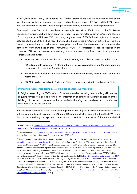

In 2019, the Council simply "encouraged" EU Member States to improve the collection of data on the use of non-custodial sanctions and measures, and on the application of FD PAS and the ESO.<sup>[37](#page-17-0)</sup> Years after the adoption of the EU Mutual Recognition Instruments, monitoring remains problematic.

Compared to the EAW which has been increasingly used since 2005, most of the EU Mutual Recognition Instruments have been largely ignored. In Spain, for instance, seven ESOs were issued in 2019 compared to 452 EAWs.[38](#page-17-1) For instance, only one case of FD PAS was registered in Austria between 2010 and 2020 and no record of any ESO being issued by Austrian authorities. There is a dearth of information as to their use and take-up by practitioners but the research and data available confirm the very limited use of these instruments.<sup>[39](#page-17-2)</sup> Out of 8 completed responses received in the course of 2020 to our questionnaire seeking data on the use of the instruments from permanent representations showed:

- EIO Directive: no data available in 7 Member States, data collected in one Member State.
- FD ESO: no data available in 6 Member States, few cases reported in one Member State and no cases at all for another Member State.
- FD Transfer of Prisoners: no data available in 6 Member States, more widely used in two Member States.
- FD PAS: no data available in 7 Member States, one case reported in one Member State.

#### Promising practice: Monitoring data on the use of alternative measures

In Belgium, regarding the FD Transfer of Prisoners, there is a central system handling all incoming requests for transfers and collecting all the information of detainees. A particular branch of the Ministry of Justice is responsible for proactively checking this database and transferring detainees fulfilling the conditions.

Partners also experienced difficulties in securing interviews with judicial actors and lawyers as they did not feel confident speaking about the EU Mutual Recognition Instruments other than the EAW, citing their limited knowledge or experience in relation to these instruments. Most of them noted the lack

<span id="page-17-0"></span><sup>&</sup>lt;sup>37</sup> Council of the EU, Council conclusions on alternative measures to detention: the use of non-custodial sanctions and [measures in the field of criminal justice,](https://eur-lex.europa.eu/legal-content/EN/TXT/?uri=CELEX%3A52019XG1216%2802%29) 16 December 2019, para I. 10.

<span id="page-17-1"></span><sup>38</sup> Ana Maria Neira-Pena, The Reasons Behind the Failure of the European Supervision Order: The Defeat of Liberty Versus [Security,](http://www.europeanpapers.eu/en/europeanforum/reasons-behind-failure-european-supervision-order-defeat-liberty-versus-security) European Papers, European Forum, 4 November 2020, p. 7.

<span id="page-17-2"></span><sup>&</sup>lt;sup>39</sup> This was recently restated by the Romanian Presidency: Council of the EU, The way forward in the field of mutual [recognition in criminal matters -](http://data.consilium.europa.eu/doc/document/ST-9728-2019-INIT/en/pdf) Policy debate, Report of the Romanian Presidency, 27 May 2019 stressing that "Council Framework Decision 2002/584/JHA on the European arrest warrant and the surrender procedures between Member States remains one of the most effective legal instruments in this area. There are also various other legal instruments, some of which are used relatively often (e.g. Framework Decision 2008/909/JHA on custodial sentences), while others are used less frequently (such as Framework Decision 2008/947/JHA on probation measures and Framework Decision 2009/829/JHA on supervision measures)." See also: European Judicial Network Secretariat (EJNS), [Report on activities and management 2017-](https://www.ejn-crimjust.europa.eu/ejnupload/reportsEJN/ReportSecretariat%20.pdf) [2018,](https://www.ejn-crimjust.europa.eu/ejnupload/reportsEJN/ReportSecretariat%20.pdf) 2019, p. 16: "these instruments are not commonly used by the practitioners in the Member States due to a lack of awareness and experience of them …". A 2018 study by the DETOUR academic consortium similarly found that ESOs are "almost never used" (W. Hammerschick, C. Morgenstern, S. Bikelis, M. Boone, I. Durnescu et al., DETOUR - Towards Pre-trial Detention as Ultima Ratio[, Comparative Report,](https://www.irks.at/detour/publications.html) December 2017). In 2016, FRA pointed out the "relatively limited" use of the ESO, the FD PAS and the FD Transfer of prisoners (FRA, Report on Criminal detention and alternatives: fundamental rights [aspects in EU cross-border transfers,](https://fra.europa.eu/en/publication/2016/criminal-detention-and-alternatives-fundamental-rights-aspects-eu-cross-border) 2016, p. 34).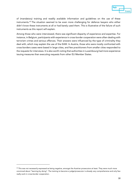

of (mandatory) training and readily available information and guidelines on the use of these instruments.[40](#page-18-0) The situation seemed to be even more challenging for defence lawyers who either didn't know these instruments at all or had barely used them. This is illustrative of the failure of such instruments as this report will explain.

Among those who were interviewed, there was significant disparity of experience and expertise. For instance, in Belgium, participants with experience in cross-border cooperation were often dealing with terrorism crimes and serious offences. Their answers were influenced by the type of criminality they deal with, which may explain the use of the EAW. In Austria, those who were mostly confronted with cross-borders cases were based in large cities, and few practitioners from smaller cities responded to the requests for interviews. It is also worth noting that authorities in Luxembourg had more experience issuing measures than executing requests from other EU Member States.

<span id="page-18-0"></span><sup>&</sup>lt;sup>40</sup> This was not necessarily expressed as being negative, amongst the Austrian prosecutors at least. They were much more convinced about "learning by doing". The training to become a judge/prosecutor is already very comprehensive and only few really work in cross-border cooperation.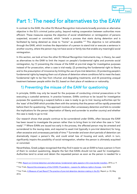

## Part 1: The need for alternatives to the EAW

In contrast to the EAW, the other EU Mutual Recognition Instruments broadly promote an alternative objective in the EU's criminal justice policy, beyond making cooperation between authorities more efficient. These measures express the objective of social rehabilitation or reintegration of persons suspected, accused or convicted, which "entails a process that starts during detention and is facilitated by being detained as close to "home" as possible."[41](#page-19-0) This objective is not achievable through the EAW, which involves the deportation of a person to stand trial or execute a sentence in another country, where the person may not have social or family ties that enable any meaningful social reintegration.

In this section, we look at how the other EU Mutual Recognition Instruments may, in theory, be used as alternatives to the EAW to limit the impact on people's fundamental rights and promote social reintegration, by (1) preventing the misuse of the EAW at pre-trial stage for investigative purposes instead of for prosecution, when a case is trial-ready; (2) protecting the fundamental right to liberty and to the presumption of innocence by limiting the use of pre-trial detention; (3) protecting people's fundamental rights by keeping them out of places of detention where conditions fail to meet the basic fundamental right to be free from inhuman and degrading treatments; and (4) preventing unequal treatment between people within the EU, based on their place of residence or nationality.

## 1) Preventing the misuse of the EAW for questioning

In principle, EAWs may only be issued for the purposes of conducting criminal prosecutions or for executing a custodial sentence. In practice however, EAWs continue to be issued for investigative purposes (for questioning a suspect) before a case is ready to go to trial. Issuing authorities opt for the 'ease' of the EAW which provides them with the certainty that the person will be rapidly presented before them for questioning. This approach involves often unnecessary detention and fails to consider the implications for the person (deprivation of liberty and surrender to another country) and whether the case is ready to go to trial.

Our research shows that people continue to be surrendered under EAWs, often because the EAW has been issued to investigate the person rather than to bring them to trial when the case is "trial-ready".<sup>[42](#page-19-1)</sup> Where EAWs are issued too early in the process, the affected person may be arrested and surrendered to the issuing state, and required to await trial (typically in pre-trial detention) for long, often excessive and unnecessary periods of time.[43](#page-19-2) Surrender and even short periods of detention can dramatically impact a person's life, and could entail loss of housing and work, which in turn, significantly impairs the possibility of social reintegration, whether the person is ultimately acquitted or convicted.

Nevertheless, Greek judges recognised that they find it easier to use an EAW to have a person in front of them to conduct questioning, despite the fact that EAWs should not be used for investigation. Authorities tend to arrest and detain the requested person as soon as the person is needed for a

<span id="page-19-0"></span><sup>41</sup> FRA, [Report on Criminal detention and alternatives: fundamental rights aspects in EU cross-border transfers,](https://fra.europa.eu/en/publication/2016/criminal-detention-and-alternatives-fundamental-rights-aspects-eu-cross-border) 2016, p. 9.

<span id="page-19-1"></span><sup>&</sup>lt;sup>42</sup> Fair Trials[, Beyond the emergency of the COVID-19 pandemic -](https://www.fairtrials.org/publication/beyond-emergency-covid-19-pandemic) Lessons for defence rights in Europe, June 2020.

<span id="page-19-2"></span><sup>43</sup> Fair Trials[, A Measure of Last Resort? The practice of pre-trial detention decision-making in the EU,](https://www.fairtrials.org/publication/measure-last-resort) Report, p. 33, May 2016.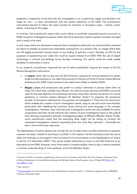

statement, irrespective of the fact that the investigation is at a preliminary stage and therefore not ready for trial – in clear contradiction with the stated objectives of FD EAW. The practitioners interviewed seemed to follow the same process for domestic or European cases – namely, arrest, detain, and bring to the judge.

In contrast, Irish practitioners report that courts refuse to surrender requested persons pursuant to EAWs issued for investigative purposes rather than for prosecution, before a person has been charged and is ready to be tried.

In such cases, there are alternative measures that investigative authorities can (and should be required to) resort to instead, to prevent any irreparable consequence on a person's life, at a stage where they are still legally presumed innocent (prior to any finding of guilt by a court). Notably, an EIO for the purposes of questioning over video link could be issued instead of an EAW. With the use of digital technology in criminal proceedings across Europe increasing, this option could be made readily available to authorities in future.

In our research, practitioners reported the use of other possibilities, beyond the scope of the EU Mutual Recognition Instruments.

- In Ireland, which did not opt into the EIO Directive, requests for mutual assistance to obtain evidence (documentary or via video link) pursuant to Section 63 of the Criminal Justice (Mutual Assistance) Act 2008 could continue to be used more widely to replace EAWs.
- **Belgian** judges and prosecutors also prefer to conduct interviews in person rather than via video link which they consider less efficient. As national arrest warrants and EAWs cannot be used for the sole objective of conducting interviews, they often use the Convention on mutual assistance in criminal matters between EU Member States<sup>[44](#page-20-0)</sup> to organise the temporary transfer of the person detained for the purpose of investigation.<sup>[45](#page-20-1)</sup> They find this instrument, which enables the creation of joint investigation teams, easy to use and much more flexible, particularly with neighbouring countries, those sharing the same language or for complex investigations. However, they note that joint investigations teams are only available for police cooperation and they would welcome the creation of joint investigating teams at the judicial level allowing cooperation between investigating judges of different Member States. Finally, some practitioners noted that the executing state might not be willing to conduct the requested investigation measure requested given the costs they represent – financially but also in time and human resources.

The digitalisation of justice systems can include the use of video links to enable authorities to question a person remotely, instead of resorting to an EAW. In this respect, the EU should promote the use of video link hearings, as envisaged in the Commission's Communication on the Digitalisation of Justice in the EU of 2 December 2020.<sup>[46](#page-20-2)</sup> This would enable authorities to resort to the EIO Directive as an alternative to the EAW. However, even if this option is made available, there is also a need to establish a common understanding of 'trial-readiness' across EU Member States.

<span id="page-20-0"></span><sup>44</sup> Council of the EU, Convention established by the Council in accordance with Article 34 of the Treaty on European Union, on Mutual Assistance in Criminal Matters between the Member States of the European Union, 29 May 2000 (OJ C 197, [12.7.2000, p. 3–23\).](https://eur-lex.europa.eu/legal-content/EN/TXT/?uri=celex%3A42000A0712%2801%29)

<span id="page-20-1"></span><sup>45</sup> Ibid. Article 9.

<span id="page-20-2"></span><sup>46</sup> [Communication](https://ec.europa.eu/info/law/better-regulation/have-your-say/initiatives/12547-Digitalisation-of-justice-in-the-European-Union-) from the Commission on the Digitalisation of justice in the EU – A toolbox of opportunities, COM(2020) 710 final, 2 December 2020.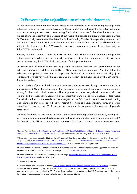

## 2) Preventing the unjustified use of pre-trial detention

Despite the significant number of studies stressing the inefficiency and negative impacts of pre-trial detention – be it in terms of de-socialisation of the suspect, $47$  the high costs for the public authorities involved or the impact on prison overcrowding,<sup>[48](#page-21-1)</sup> judicial actors across EU Member States fail to limit the use of pre-trial detention as a measure of last resort. This applies in a cross-border setting, where EAWs are typically accompanied by detention in the executing Member State pending surrender, and then in the issuing Member State upon the person's return, at least until they are heard by the relevant authority. In other words, the EAW typically involves at a minimum several weeks in detention (more if the EAW is challenged).

Further, in some Member States, an EAW can be issued where national conditions for pre-trial detention are met. Where the conditions do not ensure that pre-trial detention is strictly used as a last resort measure, the EAW will, also, not be justified or proportionate.

Unjustified and disproportionate use of pre-trial detention infringes the presumption of the individual's innocence and their right to liberty. Overuse of pre-trial detention is "detrimental for the individual, can prejudice the judicial cooperation between the Member States and do[es] not represent the values for which the European Union stands", as acknowledged by the EU Member States themselves.[49](#page-21-2)

Yet the number of persons held in pre-trial detention remains excessively high across Europe. Now, approximately 22% of the prison population in Europe is made up of persons presumed innocent, waiting for their trial or final sentence.<sup>[50](#page-21-3)</sup> This proportion indicates that judicial practices fall short of regional and international standards which set detention pending trial as a measure of last resort. These include the common standards that emerge from the ECHR, which establishes several binding legal standards that must be fulfilled to restrict the right to liberty including through pre-trial detention.<sup>[51](#page-21-4)</sup> However, the ECHR has so far been unable to prevent the overuse of pre-trial detention.<sup>[52](#page-21-5)</sup>

The need for the EU to take action to address the excessive use of pre-trial detention by setting clear common minimum standards has been recognised by all EU actors for more than a decade. In 2009, the Council of the EU invited the Commission to submit a Green paper on pre-trial detention due to

<span id="page-21-0"></span><sup>47</sup> Patricia Faraldo Cabana, One Step Forward, Two Steps Back? Social Rehabilitation of Foreign Offenders Under Framework [Decisions 2008/909/JHA and 2008/947/JHA,](https://www.researchgate.net/publication/334462617_One_step_forward_two_steps_back_Social_rehabilitation_of_foreign_offenders_under_Framework_Decisions_2008909JHA_and_2008947JHA) New Journal of European Criminal Law, 2019 Vol 2. Issue 2, p. 154.

<span id="page-21-1"></span><sup>&</sup>lt;sup>48</sup> These challenges were recognised in the original Framework Decision proposal on the European Supervision Order itself: European Commission[, Proposal for a COUNCIL FRAMEWORK DECISION on the European supervision order in pre-trial](https://eur-lex.europa.eu/legal-content/EN/ALL/?uri=CELEX%3A52006PC0468)  [procedures between Member States of the European Union,](https://eur-lex.europa.eu/legal-content/EN/ALL/?uri=CELEX%3A52006PC0468) COM(2006) 468 final, 29 August 2006.

<span id="page-21-2"></span><sup>&</sup>lt;sup>49</sup> Council of the EU, Resolution of the Council of 30 November 2009 on a Roadmap for strengthening procedural rights of suspected or accused persons in criminal proceedings, (OJ C 295, 4.12.2009, p. 1-3).

<span id="page-21-3"></span><sup>50</sup> Council of Europe – Universtié de Lausanne, Aebi and Tiago, Prisons and Prisoners in Europe 2019: Key Findings of the [SPACE I report](https://wp.unil.ch/space/files/2020/04/Key-Findings-2019_200406.pdf) (2020), 24 February 2020, p. 6.

<span id="page-21-4"></span><sup>51</sup> Article 5 of the ECHR.

<span id="page-21-5"></span><sup>52</sup> Adriano Martufi and Christina Peristeridou, [The purposes of pre-trial detention and the quest for alternatives,](https://brill.com/view/journals/eccl/28/2/article-p153_153.xml?language=en) European Journal of Crime, Criminal Law and Criminal Justice, 28(2), 2020. The authors challenge the nature and the underlying purposes of the grounds recognised by ECtHR to justify pre-trial detention and argue that ECHR standards are far from being the solution to the excessive use of pre-trial detention in EU Member States.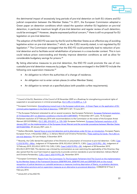

the detrimental impact of excessively long periods of pre-trial detention on both EU citizens and EU judicial cooperation between the Member States.<sup>[53](#page-22-0)</sup> In 2011, the European Commission adopted a Green paper on detention conditions which raised the question whether EU legislation on pre-trial detention, in particular maximum length of pre-trial detention and regular review of such detention, could be envisaged.<sup>[54](#page-22-1)</sup> However, despite expressed political concern,<sup>[55](#page-22-2)</sup> there is still no proposal for EU legislation on pre-trial detention.

The adoption of the ESO FD was seen by the EU and its Member States as an effective way of avoiding legislative action on pre-trial detention,<sup>[56](#page-22-3)</sup> which, as the CJEU recently stated, is not regulated by EU legislation.<sup>[57](#page-22-4)</sup> The Commission envisaged that the ESO FD could potentially lead to reduction of pretrial detention and to facilitate social rehabilitation of prisoners in a cross-border context. This in turn could reduce prison overcrowding and thereby improve detention conditions as well as allow for considerable budgetary savings for prisons.<sup>[58](#page-22-5)</sup>

By listing alternative measures to pre-trial detention, the ESO FD could promote the use of noncustodial pre-trial detention measures by judges. The measures envisaged in the EAW FD include the following core supervision measures:<sup>[59](#page-22-6)</sup>

- An obligation to inform the authorities of a change of residence;
- An obligation not to enter certain places (in either Member State);
- An obligation to remain at a specified place (with possible curfew requirements);

<span id="page-22-0"></span><sup>53</sup> Council of the EU, Resolution of the Council of 30 November 2009 on a Roadmap for strengthening procedural rights of suspected or accused persons in criminal proceedings, (OJ C 295, 4.12.2009, p. 1-3).

<span id="page-22-1"></span><sup>&</sup>lt;sup>54</sup> European Commission, [Strengthening mutual trust in the European judicial area –](https://eur-lex.europa.eu/legal-content/EN/TXT/?uri=COM%3A2011%3A0327%3AFIN) A Green Paper on the application of EU [criminal justice legislation in the field of detention,](https://eur-lex.europa.eu/legal-content/EN/TXT/?uri=COM%3A2011%3A0327%3AFIN) COM (2011) 327, 14 June 2011.

<span id="page-22-2"></span><sup>55</sup> The European Parliament reiterated its call on several occasions. See European Parliament, European Parliament resolution [of 15 December 2011 on detention conditions in the EU \(2011/2897\(RSP\)\)](https://eur-lex.europa.eu/legal-content/EN/ALL/?uri=uriserv:OJ.CE.2013.168.01.0082.01.ENG), 15 December 2011, para. 10; European Parliament resolution of 27 February 2014 with recommendations to the Commission on the review of the European Arrest Warrant (2013/2109(INL)), (OJ C 285, 29.8.2017, p. 135-140); European Parliament, European Parliament resolution of 20 [January 2021 on the implementation of the European Arrest Warrant and the surrender procedures between Member States](https://www.europarl.europa.eu/doceo/document/TA-9-2021-0006_EN.html)  [\(2019/2207\(INI\)\),](https://www.europarl.europa.eu/doceo/document/TA-9-2021-0006_EN.html) 20 January 2021, para. 3 .

<span id="page-22-3"></span><sup>56</sup> Stefano Montaldo, [Special focus on pre-trial detention and its alternatives under EU law: an introduction,](https://www.europeanpapers.eu/en/europeanforum/special-focus-pretrial-detention-alternatives-under-eu-law-introduction) European Papers, European Forum, 4 November 2020, p. 3; Adriano Martufi and Christina Peristeridou, Pilate washing his hands. The CJEU on [pre-trial detention,](http://eulawanalysis.blogspot.com/2019/12/pilate-washing-his-hands-cjeu-on-pre.html) EU Law Analysis, 5 December 2019.

<span id="page-22-4"></span><sup>57</sup> Recently, the CJEU denied the application of the Directive on presumption of innocence to pre-trial detention : CJEU, Case [C-310/18 PPU –](http://curia.europa.eu/juris/document/document.jsf?text=&docid=205876&pageIndex=0&doclang=en&mode=lst&dir=&occ=first&part=1&cid=13061412) Milev, Judgment of 19 September 2018, ECLI:EU:C:2018:73 ; CJEU, [Case C-8/19 PPU –](http://curia.europa.eu/juris/document/document.jsf?text=&docid=210780&pageIndex=0&doclang=en&mode=lst&dir=&occ=first&part=1&cid=12939795) RH, Judgement of 12 February 2019, ECLI:EU:C:2019:110; CJEU, CJEU, Case C-653/19 PPU - DK, Judgment of 28 November 2019, ECLI:EU:C:2019:1024. This decision was criticised by commentators as over-restricting the applicability of the Directive; they also opined that the court had missed an opportunity to provide common standards on pre-trial detention: Adriano Martufi and Christina Peristeridou[, CJEU, Case C 653/19 PPU, DK,](https://www.fairtrials.org/cjeu-case-c-65319-ppu-dk) November 2019.

<span id="page-22-5"></span><sup>58</sup> European Commission, [Report From The Commission To The European Parliament And The Council on the implementation](https://eur-lex.europa.eu/legal-content/EN/ALL/?uri=CELEX:52014DC0057) [by the Member States of the Framework Decisions 2008/909/JHA, 2008/947/JHA and 2009/829/JHA on the mutual](https://eur-lex.europa.eu/legal-content/EN/ALL/?uri=CELEX:52014DC0057)  [recognition of judicial decisions on custodial sentences or measures involving deprivation of liberty, on probation decisions](https://eur-lex.europa.eu/legal-content/EN/ALL/?uri=CELEX:52014DC0057) [and alternative sanctions and on supervision measures as an alternative to provisional detention,](https://eur-lex.europa.eu/legal-content/EN/ALL/?uri=CELEX:52014DC0057) COM(2014) 57 final, 5 February 2014.

<span id="page-22-6"></span><sup>59</sup> Article 8(1) of the ESO FD.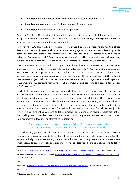

- An obligation regarding leaving the territory of the executing Member State;
- An obligation to report at specific times to a specific authority; and
- An obligation to avoid contact with specific persons.

Article 8(2) of the ESO FD further lists several other supervision measures which Member States can accept, or decline, to supervise, such as restrictions on professional activity; an obligation not to drive a vehicle; financial security or addiction treatment.

However, the ESO FD, which is not widely known or used by practitioners, hardly has this effect. Research shows that judges tend to be reluctant to engage with practical alternatives to pre-trial detention that can protect the investigation, limit the possibility of reoffending, and ensure defendants' presence at trial.<sup>[60](#page-23-0)</sup> Despite electronic monitoring and house arrest becoming increasingly available in many Member States, their use remains limited in numerous EU Member States.

A recent survey by the Council of Europe's Annual Penal Statistics revealed that non-custodial measures are rarely used as an alternative to pre-trial detention: only 7.5% of the probation population (i.e. persons under supervision measures before the trial or serving non-custodial sanctions) corresponds to persons placed under supervision before trial.<sup>[61](#page-23-1)</sup> By way of example, in 2019, only 202 persons were subject to domestic supervision measures at the pre-trial stage in Austria and 26 persons in Luxembourg. This contrasts with numbers in Belgium (20,242 persons) and to a lesser extent Greece (6,730 persons).<sup>[62](#page-23-2)</sup>

This lack of systematic data collection, access to bail information services or pre-trial risk assessments, and little training in alternatives to detention means that judges and prosecutors tend to lack faith in the efficacy of alternatives and continue to rely instead on pre-trial detention. This minimal use of alternative measures means that judicial authorities have limited experience of, and therefore limited confidence in, alternatives to pre-trial detention. These measures are often new and have not yet been 'tried and tested'[63](#page-23-3) at a domestic level. Due to insufficient time and resources for independent judicial review, judicial authorities also tend to follow prosecution arguments in favour of detention rather than making use of possible alternative measures,<sup>[64](#page-23-4)</sup> particularly where lawyers do not put forward solid arguments in favour of an alternative to detention.

#### *"Either someone can be trusted and pre-trial detention is not necessary; or they cannot and alternative measures will not help." - Austrian prosecutor[65](#page-23-5)*

This lack of engagement with alternatives is not limited to judges and prosecutors. Lawyers also fail to argue for release or individualised alternatives to detention. Fair Trials' research indicates that lawyers typically do not have enough time to consult their client, study case materials (or even have timely access to case materials) and prepare for pre-trial detention hearings. Judges tend to follow

<span id="page-23-0"></span><sup>&</sup>lt;sup>60</sup> Fair Trials, <u>A Measure of Last Resort? The practice of pre-trial detention decision-making in the EU</u>, Report, May 2016.

<span id="page-23-1"></span><sup>61</sup> Council of Europe – Université de Lausanne[, Persons under the supervision of probation agencies report](https://wp.unil.ch/space/files/2020/06/SPACE-II_Final_report_2019_200610.pdf) – SPACE II - 2019, 10 June 2020, p. 1.

<span id="page-23-2"></span> $62$  Ibid.

<span id="page-23-3"></span><sup>&</sup>lt;sup>63</sup> Fair Trials[, Where's my lawyer: Making legal assistance in pre-trial detention effective,](https://www.fairtrials.org/sites/default/files/publication_pdf/Wheres-my-lawyer-making-legal-assistance-in-pre-trial-detention-effective.pdf) Report, October 2019.

<span id="page-23-4"></span><sup>64</sup> Ibid. pp. 25-26.

<span id="page-23-5"></span><sup>&</sup>lt;sup>65</sup> Quote collected during an interview conducted for this research.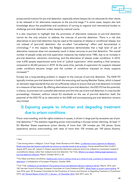

prosecutorial motions for pre-trial detention, especially where lawyers do not advocate for their clients to be released or for alternative measures at the pre-trial stage.<sup>[66](#page-24-0)</sup> In some cases, lawyers also lack knowledge about the possibilities and conditions of turning to regional and international bodies to challenge pre-trial detention orders issued by national courts.

It is also important to highlight that the promotion of alternative measures to pre-trial detention cannot be the only solution to address the overuse of pre-trial detention. There is a risk that alternatives to (pre-trial) detention may be used at the expense of release or conditional release, but not instead of (pre-trial) detention: the so-called "net-widening" effect well documented in criminology.<sup>[67](#page-24-1)</sup> In this respect, the Belgian experience demonstrates that a high level of use of alternative measures does not necessarily result in lesser recourse to pre-trial detention. The overall number of people under pre-trial supervision measures has tripled since 1980, due to an increase in pre-trial detention, electronic monitoring, and the alternative of release under conditions. In 2014, over 6,200 people experienced some kind of 'judicial supervision' while awaiting a final sentence, compared to 20,242 persons in 2019. At the same time, periods of supervision for suspects released under conditions became longer and the number of conditions imposed on those suspects increased.<sup>[68](#page-24-2)</sup>

Europe has a long-standing problem in respect to the overuse of pre-trial detention. The EAW FD typically involves pre-trial detention in both the executing and issuing Member States, which is based on domestic legal standards that are not sufficiently robust to ensure that pre-trial detention is limited to a measure of last resort. By offering alternatives to pre-trial detention, the ESO FD has the potential, in theory, to promote non-custodial alternatives and limit the use of pre-trial detention in cross-border proceedings. However, without robust EU standards on the use of pre-trial detention itself, the potential of the ESO FD as an alternative to the EAW and accompanying pre-trial detention remains very limited.

## 3) Exposing people to inhuman and degrading treatment due to prison conditions

Prison overcrowding, and the rights violations it causes, is driven in large part by excessive use of pre-trial detention.<sup>[69](#page-24-3)</sup> The statistics regarding prison overcrowding in Europe remain alarming. At least 11 EU Member States experience prison density of more than 100 inmates per 100 places. Some experience serious overcrowding, with rates of more than 105 inmates per 100 places (Austria,

<span id="page-24-0"></span> $66$  Ibid.

<span id="page-24-1"></span><sup>&</sup>lt;sup>67</sup> See among others: in Belgium, Carrol Tange, Dieter Burssens et Eric Maes, La détention avant jugement en Belgique. [Étude empirique des facteurs explicatifs du recours au mandat d'arrêt et de sa durée,](https://journals.openedition.org/champpenal/10921#bibliography) Champ pénal/Penal field 16-2019., August 2019, para. 68 ; lawyers in Greece reported that alternative measures tend to be ordered as a precaution instead of unconditional release, rather than instead of pre-trial detention. Fair Trials, Where's my lawyer: Making legal assistance in [pre-trial detention effective,](https://www.fairtrials.org/sites/default/files/publication_pdf/Wheres-my-lawyer-making-legal-assistance-in-pre-trial-detention-effective.pdf) Report, October 2019, p. 26.

<span id="page-24-2"></span><sup>&</sup>lt;sup>68</sup> Eric Maes and Alexia Jonckheere, Dealing with crime in ordinary times as in times of crisis: a solution to reduce pre-trial [detention?,](https://www.cep-probation.org/wp-content/uploads/2020/10/Dealing-with-crime-in-ordinary-times-as-in-times-of-crisis-a-solution-to-reduce-pre-trial-detention-Maes-Jonckheere.pdf) Confederation of European Probation, October 2020.

<span id="page-24-3"></span><sup>&</sup>lt;sup>69</sup> Fair Trials[, A Measure of Last Resort? The practice of pre-trial detention decision making in the EU,](https://www.fairtrials.org/publication/measure-last-resort) Report, 2016, para. 100. See also Council of Europe, European Committee on Crime Problems (CDPC), [White Paper on prison overcrowding,](https://rm.coe.int/16806f9a8a) 30 June 2016, para. 59; European Committee for the Prevention of Torture and Inhuman or Degrading Treatment or Punishment (CPT),  $26<sup>th</sup>$  [General Report of the CPT, 1 January –](https://rm.coe.int/168070af7a) 31 December 2016, April 2017, para. 52.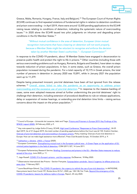

Greece, Malta, Romania, Hungary, France, Italy and Belgium).<sup>[70](#page-25-0)</sup> The European Court of Human Rights (ECtHR) continues to find repeated violations of fundamental rights in relation to detention conditions and prison overcrowding – in April 2019, there were around 12,000 pending applications to the ECtHR raising issues relating to conditions of detention, indicating the systematic nature of overcrowding issues.<sup>[71](#page-25-1)</sup> In 2020 alone the ECtHR issued two pilot judgments on inhuman and degrading prison conditions in the EU Member States.<sup>[72](#page-25-2)</sup>

*"Without mutual confidence in the area of detention, European Union mutual recognition instruments that have a bearing on detention will not work properly, because a Member State might be reluctant to recognise and enforce the decision taken by another Member State's authorities." – European Commission[73](#page-25-3)*

In response to the COVID-19 pandemic, about 18 Member States have engaged in decarceration to preserve public health and protect the right to life in prisons.<sup>[74](#page-25-4)</sup> Other countries (including those with serious overcrowding problems such as Hungary, Romania, Bulgaria and Sweden), have taken no steps towards reduction of prison populations. In fact, in some states, such as Greece, the overall prison population increased during the pandemic. For a total capacity of 10,175 in Greek prisons, the total number of persons in detention in January 2020 was 10,891, while in January 2021 the population went up to 11,379.

Despite being presumed innocent, pre-trial detainees have been all but ignored from the release schemes.<sup>[75](#page-25-5)</sup> Overall, states failed to take the pandemic as an opportunity to address prison <u>[overcrowding and the excessive use of pre-trial detention.](https://www.fairtrials.org/publication/pre-trial-detention-rates-and-rule-law-europe)<sup>[76](#page-25-6)</sup> In response to the massive backlog of</u> cases, some even adopted measures aimed at further undermining the pre-trial detainees' right to challenge their detention, including extension of procedural deadlines to rule on release applications, delay or suspension of review hearings, or extending pre-trial detention time limits – raising serious concerns about the impact on the prison population.<sup>[77](#page-25-7)</sup>

<span id="page-25-0"></span><sup>&</sup>lt;sup>70</sup> Council of Europe – Université de Lausanne, Aebi and Tiago, Prisons and Prisoners in Europe 2019: Key Findings of the [SPACE I report](https://wp.unil.ch/space/files/2020/04/Key-Findings-2019_200406.pdf) (2020), 24 February 2020, p 9.

<span id="page-25-1"></span><sup>&</sup>lt;sup>71</sup> Key note speech by Judge Siofra O'Leary, ECtHR, [High Level Conference "Responses to Prison Overcrowding",](https://www.coe.int/en/web/cdpc/high-level-conference-on-prison-overcrowding) 24-25 April 2019. As of 31 August 2019, the total number of pending applications before the Court was 62 100. Krešimir Kamber, [Overuse of pre-trial detention and overcrowding in European prisons,](https://biblio.ugent.be/publication/8650694/file/8650695.pdf) Policy meeting: Overuse of pre-trial detention in Europe: How can we make legal assistance more effective?, Press Club Brussels Europe, 10 October 2019, p. 9.

<span id="page-25-2"></span><sup>72</sup> [Sukhachov v. Ukraine,](https://hudoc.echr.coe.int/eng#%7B%22itemid%22:%5B%22002-12707%22%5D%7D) [J.M.B. v. France](http://hudoc.echr.coe.int/eng?i=002-12702) (2020).

<span id="page-25-3"></span><sup>&</sup>lt;sup>73</sup> European Commission, [Strengthening mutual trust in the European judicial area –](https://eur-lex.europa.eu/legal-content/EN/TXT/?uri=COM%3A2011%3A0327%3AFIN) A Green Paper on the application of EU [criminal justice legislation in the field of detention,](https://eur-lex.europa.eu/legal-content/EN/TXT/?uri=COM%3A2011%3A0327%3AFIN) COM (2011) 327, 14 June 2011.

<span id="page-25-4"></span><sup>&</sup>lt;sup>74</sup> European Parliamentary Research Service, [Briefing: Coronavirus and prisons in the EU –](https://www.europarl.europa.eu/RegData/etudes/BRIE/2020/651976/EPRS_BRI(2020)651976_EN.pdf) Member-State measures to reduce [spread of the virus,](https://www.europarl.europa.eu/RegData/etudes/BRIE/2020/651976/EPRS_BRI(2020)651976_EN.pdf) June 2020, p. 11.

<span id="page-25-5"></span><sup>75;</sup> Jago Russell, [COVID-19 in Europe's prisons -](https://euobserver.com/opinion/148385) and the response, EuObserver, 18 May 2020.

<span id="page-25-6"></span><sup>76</sup> Observatoire International des Prisons – Section Française, Surpopulation carcérale : face à l'urgence, le réflexe prison à la [peau dure,](https://oip.org/communique/surpopulation-carcerale-face-a-lurgence-le-reflexe-prison-a-la-peau-dure/) 1 February 2021.

<span id="page-25-7"></span><sup>77</sup> Laure Baudrihaye-Gérard[, The COVID-19 pandemic: the urgency to rethink the use of pre-trial detention,](https://www.antigone.it/rivista-archivio/Rivista_Anno_XV_N1/_Rivista%20Anno%20XV%20N1.pdf) in ANTIGONE, Have prisons learnt from Covid-19?, Rivista Anno XV N.1, 2020, pp. 128-138; Fair Trials, Beyond the emergency of the [COVID-19 pandemic: lessons for defence rights in Europe,](https://www.fairtrials.org/news/beyond-emergency-covid-19-pandemic-lessons-defence-rights-europe) Report, 20 July 2020.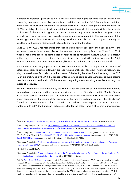

Extraditions of persons pursuant to EAWs raise serious human rights concerns such as inhuman and degrading treatment caused by poor prison conditions across the EU.<sup>[78](#page-26-0)</sup> Poor prison conditions hamper mutual trust and undermine the effectiveness of EU mutual recognition instruments.<sup>[79](#page-26-1)</sup> The EAW is inevitably affected by inadequate detention conditions which threaten to violate the absolute prohibition of inhuman and degrading treatment. Persons subject to an EAW, both pre-prosecution or while serving a sentence, are typically detained once surrendered to the issuing state. If the executing Member State believes that the requested person will be detained subject to inadequate conditions in the issuing state, it might object to the requested transfer.

Since 2016, the CJEU has recognised that judges must not surrender someone under an EAW if the requested person faces a real risk of ill-treatment due to poor prison conditions. [80](#page-26-2) In 2018, fundamental rights issues, including prison conditions, led to refusals to execute EAWs in 82 cases.<sup>[81](#page-26-3)</sup> In the long run, repeated detention-related deficiencies have and will continue to erode the "high level of confidence between Member States", [82](#page-26-4) which are at the basis of the EAW system. [83](#page-26-5)

Practitioners in this study reported that EAWs are continuing to be challenged on the grounds of detention conditions, causing delays in proceedings and challenges for executing authorities, who are (duly) required to verify conditions in the prisons of the issuing Member State. Resorting to the ESO FD at pre-trial stage or the PAS FD at post-sentencing stage could enable authorities to avoid placing people in detention and at risk of inhumane and degrading treatment altogether, by adopting noncustodial measures.

While EU Member States are bound by the ECHR standards, there are still no common minimum EU standards on detention conditions which vary widely across the EU and even within Member States. In the recent case of *Doronbatu*, the CJEU relied on the factors developed in ECtHR case law to assess prison conditions in the issuing state, bringing to the fore this outstanding gap in EU standards.<sup>[84](#page-26-6)</sup> There have been numerous calls for common EU standards on detention generally, pre-trial and postsentencing. In 2009, the European Parliament called for the establishment of EU minimum standards

<span id="page-26-3"></span>81 European Commission, Replies to questionnaire on quantitative information on the practical operation of the European [arrest warrant –](https://ec.europa.eu/info/sites/info/files/swd_2020_127_f1_v1_en.pdf) Year 2018, Commission staff working document, SWD (2020) 127 final, 2 July 2020.

<span id="page-26-0"></span><sup>&</sup>lt;sup>78</sup> Fair Trials[, Beyond Surrender: Putting human rights at the heart of the European Arrest Warrant,](https://www.fairtrials.org/publication/beyond-surrender) 28 June 2018, p. 8.

<span id="page-26-1"></span> $79$  See notably European Commission[, Strengthening mutual trust in the European judicial area –](https://eur-lex.europa.eu/legal-content/EN/TXT/?uri=COM%3A2011%3A0327%3AFIN) A Green Paper on the [application of EU criminal justice legislation in the field of detention,](https://eur-lex.europa.eu/legal-content/EN/TXT/?uri=COM%3A2011%3A0327%3AFIN) COM (2011) 327, 14 June 2011.

<span id="page-26-2"></span><sup>80</sup> See notably CJEU, Joined Cases C-[404/15 Aranyosi and Căldăraru and C](http://curia.europa.eu/juris/document/document.jsf?text=&docid=175547&pageIndex=0&doclang=en&mode=lst&dir=&occ=first&part=1&cid=14646496)-659/15 PPU, Judgment of 5 April 2016 (GC), ECLI:EU:C:2016:198; CJEU, [Case C-220/18 PPU, ML \(Conditions of detention in Hungary\),](http://curia.europa.eu/juris/document/document.jsf?text=&docid=204383&pageIndex=0&doclang=en&mode=lst&dir=&occ=first&part=1&cid=3883839) Judgment of 25 July 2018; CJEU, [Case C-128/18 Doronbatu,](http://curia.europa.eu/juris/document/document.jsf?text=&docid=219163&pageIndex=0&doclang=en&mode=lst&dir=&occ=first&part=1&cid=14648568) Judgement of 15 October 2019, ECLI:EU:C:2019:857.

<span id="page-26-4"></span><sup>82</sup> Recital 10 of the FD EAW.

<span id="page-26-5"></span><sup>83</sup> European Commission, [Strengthening mutual trust in the European judicial area –](https://eur-lex.europa.eu/legal-content/EN/TXT/?uri=COM%3A2011%3A0327%3AFIN) A Green Paper on the application of EU [criminal justice legislation in the field of detention,](https://eur-lex.europa.eu/legal-content/EN/TXT/?uri=COM%3A2011%3A0327%3AFIN) COM (2011) 327, 14 June 2011.

<span id="page-26-6"></span><sup>84</sup> CJEU, [Case C-128/18 Doronbatu,](http://curia.europa.eu/juris/document/document.jsf?text=&docid=219163&pageIndex=0&doclang=en&mode=lst&dir=&occ=first&part=1&cid=14648568) judgment of 15 October 2019. See in particular para. 58: "it must, as a preliminary point, be recalled that, in accordance with the first sentence of Article 52(3) of the Charter, in so far as the right set out in Article 4 of the Charter corresponds to the right guaranteed by Article 3 of the ECHR, its meaning and scope are to be the same as those laid down by the ECHR. In addition, the explanations relating to the Charter make clear, with respect to Article 52(3), that the meaning and the scope of the rights guaranteed by the ECHR are determined not only by the text of the ECHR, but also by the case-law of the European Court of Human Rights and by that of the Court of Justice of the European Union."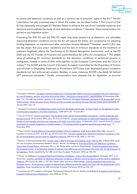

for prison and detention conditions as well as a common set of prisoners' rights in the EU.<sup>[85](#page-27-0)</sup> The EU Commission has also proposed ways in which the matter can be taken further.<sup>[86](#page-27-1)</sup> The Council of the EU has repeatedly encouraged EU Member States to enhance the use of non-custodial measures and sanctions and to address the issues of poor detention conditions.<sup>[87](#page-27-2)</sup> However, these concerns have not yet led to any legislative action.

Promoting the ESO FD and the PAS FD might help keep people out of detention, but ultimately improving detention conditions across the EU will require EU action. EU competence for adopting binding legislation on imprisonment after conviction remains debated.<sup>[88](#page-27-3)</sup> However, recent CJEU case law has shown that poor prison conditions and the lack of minimum standards on the treatment of prisoners negatively affects the functioning of EU Mutual Recognition Instruments, such as the FD EAW and the FD Transfer of Prisoners and could therefore fall within EU competence.<sup>[89](#page-27-4)</sup> The added value of adopting EU minimum standards on the detention conditions of sentenced persons is undisputed, notably in terms of their enforceability via the European Commission and the Court of Justice.<sup>[90](#page-27-5)</sup> The ECtHR and the Council of Europe's European Committee for the Prevention of Torture and Inhuman or Degrading Treatment or Punishment (CPT) have both developed prison conditions standards but lack enforcement powers. Besides, in some instances, ECtHR's standards fall behind CPT preventive standards.<sup>[91](#page-27-6)</sup> Finally, commentators have stressed that for legislation on pre-trial

<span id="page-27-0"></span><sup>85</sup> European Parliament[, European Parliament resolution of 25 November 2009 on the Communication from the Commission –](https://www.europarl.europa.eu/doceo/document/TA-9-2021-0006_EN.html) [An area of freedom, security and justice serving the citizen –](https://www.europarl.europa.eu/doceo/document/TA-9-2021-0006_EN.html) Stockholm programme (P7\_TA(2009)0090), 25 November 2009, para. 112. This calls was recently repeated in European Parliament, European Parliament resolution of 20 January 2021 on the [implementation of the European Arrest Warrant and the surrender procedures between Member States \(2019/2207\(INI\)\),](https://www.europarl.europa.eu/doceo/document/TA-9-2021-0006_EN.html) 20 January 2021, para. 37.

<span id="page-27-1"></span><sup>86</sup> European Commission, Strengthening mutual trust in the European judicial area - A Green Paper on the application of EU [criminal justice legislation in the field of detention,](https://eur-lex.europa.eu/legal-content/EN/TXT/?uri=COM%3A2011%3A0327%3AFIN) COM (2011) 327, 14 June 2011.

<span id="page-27-2"></span><sup>87</sup> Council of the EU, [Council conclusions 'The European arrest warrant and extradition procedures -](https://data.consilium.europa.eu/doc/document/ST-13214-2020-INIT/en/pdf) current challenges and [the way forward',](https://data.consilium.europa.eu/doc/document/ST-13214-2020-INIT/en/pdf)23 November 2020, para. 39; Council of the EU, Council conclusions on alternative measures to detention: [the use of non-custodial sanctions and measures in the field of criminal justice,](https://eur-lex.europa.eu/legal-content/EN/TXT/?uri=CELEX%3A52019XG1216%2802%29) 16 December 2019; [Council](https://eur-lex.europa.eu/legal-content/GA/TXT/?uri=CELEX:52018XG1213(02)) of the EU, Council conclusions on mutual recognition in criminal matters — ['Promoting mutual recognition by enhancing mutual trust',](https://eur-lex.europa.eu/legal-content/GA/TXT/?uri=CELEX:52018XG1213(02)) 13 December 2018.

<span id="page-27-3"></span><sup>88</sup> Thea Coventry[, Pretrial detention: Assessing European Union Competence under Article 82\(2\) TFEU,](https://scholarlypublications.universiteitleiden.nl/handle/1887/49314) New Journal of European Criminal Law 2017, Vol. 8(1), pp. 43–63; Anneli Soo, [Common standards for detention and prison conditions in the](https://link.springer.com/article/10.1007%2Fs12027-019-00569-7)  [EU: recommendations and the need for legislative measures,](https://link.springer.com/article/10.1007%2Fs12027-019-00569-7) ERA Forum 20, 2020, p. 327–341.

<span id="page-27-4"></span><sup>89</sup> Opinion of Advocate-General Bot, Joined Cases C-[404/15 Aranyosi and Căldăraru and C 659/15 PPU](https://eur-lex.europa.eu/legal-content/EN/TXT/?uri=CELEX%3A62015CC0404), 3 March 2016, paras 181-182. European Parliamentary Research Service, Wouter van Ballegooij, Procedural Rights and Detention Conditions -[Cost of Non-Europe Report,](https://www.europarl.europa.eu/RegData/etudes/STUD/2017/611008/EPRS_STU(2017)611008_EN.pdf) December 2017, p. 42; Élodie Sellier and Anne Weyembergh[, Criminal procedural laws across](http://www.europarl.europa.eu/RegData/etudes/STUD/2018/604977/IPOL_STU(2018)604977_EN.pdf)  the European Union – [A comparative analysis of selected main differences and the impact they have over the development of](http://www.europarl.europa.eu/RegData/etudes/STUD/2018/604977/IPOL_STU(2018)604977_EN.pdf)  [EU legislation,](http://www.europarl.europa.eu/RegData/etudes/STUD/2018/604977/IPOL_STU(2018)604977_EN.pdf) Study requested by the LIBE committee, European Parliament, 2018, pp.106-122.

<span id="page-27-5"></span><sup>90</sup> Wouter van Ballegooij, [Procedural Rights and Detention Conditions –](https://www.europarl.europa.eu/RegData/etudes/STUD/2017/611008/EPRS_STU(2017)611008_EN.pdf) Cost of Non-Europe Report, December 2017, p. 8; Anneli Soo, Common standards for detention and prison conditions in the EU: recommendations and the need for legislative [measures,](https://link.springer.com/article/10.1007%2Fs12027-019-00569-7) ERA Forum 20, 2020, p. 327–341; Élodie Sellier and Anne Weyembergh[, Criminal procedural laws across the](http://www.europarl.europa.eu/RegData/etudes/STUD/2018/604977/IPOL_STU(2018)604977_EN.pdf)  European Union – [A comparative analysis of selected main differences and the impact they have over the development of EU](http://www.europarl.europa.eu/RegData/etudes/STUD/2018/604977/IPOL_STU(2018)604977_EN.pdf)  [legislation,](http://www.europarl.europa.eu/RegData/etudes/STUD/2018/604977/IPOL_STU(2018)604977_EN.pdf) Study requested by the LIBE committee, European Parliament, 2018, pp.106-122.

<span id="page-27-6"></span><sup>91</sup> Comments by CPT members in European Parliamentary Research Service, Wouter van Ballegooij, European Arrest Warrant, [European Implementation Assessment,](https://www.europarl.europa.eu/thinktank/en/document.html?reference=EPRS_STU(2020)642839) June 2020, pp. 57-58.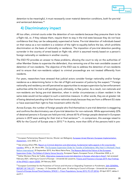

detention to be meaningful, it must necessarily cover material detention conditions, both for pre-trial and sentenced detainees.<sup>[92](#page-28-0)</sup>

### 4) Discriminatory impact

All too often, criminal courts order the detention of non-residents because they presume them to be a flight risk, or, if they release them, require them to stay in the trial state because they do not have confidence that they can be adequately supervised at home. Pre-trial detention of individuals based on their status as a non-resident is a violation of the right to equality before the law, which prohibits discrimination on the basis of nationality or residence. The imposition of pre-trial detention pending surrender in the country of arrest based on flight risk, which is assumed merely based on a person's foreign nationality or residence in another country.

The ESO FD provides an answer to these problems, allowing the court to rely on the authorities of other Member States to supervise the defendant, thus removing one of the main avoidable causes of detention of non-residents. The objective of the ESO was to address the detention of non-residents and to ensure that non-residents subject to criminal proceedings are not treated differently from residents.

For years, researchers have stressed that judicial actors consider foreign nationality and/or foreign residence as a determining factor in the risk of flight and evasion of justice by the suspect.<sup>[93](#page-28-1)</sup> Foreign nationality and residency are still perceived as opportunities to escape supervision by law enforcement authorities while the trial is still pending and, ultimately, to flee justice. As a result, non-nationals and non-residents are facing pre-trial detention, when in similar circumstances a citizen resident in the same state would not be subject to such a restrictive measure. In other words, they are at greater risk of being detained pending trial than home nationals simply because they are from a different EU state or have exercised their right to free movement within the EU.

Across Europe, the number of foreign people who find themselves in pre-trial detention is staggering and confirms the discriminatory use of pre-trial detention for non-nationals. While approximately 22% of detained persons in Europe are held pre-trial, almost 60 % of foreign people detained in European prisons in 2019 were waiting for their trial or final sentence<sup>.[94](#page-28-2)</sup> – in comparison, this average raised to 40% for the Council of Europe area in 2015.<sup>[95](#page-28-3)</sup> In Austria, more than 65% of the persons held in pre-

<span id="page-28-1"></span>93 See among others FRA, Report on Criminal detention and alternatives: fundamental rights aspects in EU cross-border [transfers,](https://fra.europa.eu/en/publication/2016/criminal-detention-and-alternatives-fundamental-rights-aspects-eu-cross-border) 2016, p. 34 ; Bruno Min, [The European Supervision Order for Transfer of Defendants: Why Hasn't it Worked?, Penal](https://www.penalreform.org/blog/the-european-supervision-order-for-transfer-of-defendants/)  [Reform International,](https://www.penalreform.org/blog/the-european-supervision-order-for-transfer-of-defendants/) 25 September 2015; Ana Maria Neira-Pena, [The Reasons Behind the Failure of the European](http://www.europeanpapers.eu/en/europeanforum/reasons-behind-failure-european-supervision-order-defeat-liberty-versus-security)  [Supervision Order: The Defeat of Liberty Versus Security,](http://www.europeanpapers.eu/en/europeanforum/reasons-behind-failure-european-supervision-order-defeat-liberty-versus-security) European Papers, European Forum, 4 November 2020, p. 4. 94 Esther Montero Pérez de Tudela, [Alternative measures to pre-trial detention in Europe: what else is there?,](https://www.cep-probation.org/wp-content/uploads/2020/10/Alternative-measures-to-pre-trail-detention-in-Europe-what-else-is-there.pdf) last accessed February 2021, referring to Council of Europe – Université de Lausanne, Prisons and Prisoners in Europe 2019: Key Findings [of the SPACE I report](https://wp.unil.ch/space/files/2020/04/Key-Findings-2019_200406.pdf) (2020), 24 February 2020.

<span id="page-28-0"></span><sup>92</sup> European Parliamentary Research Service, Wouter van Ballegooij, European Arrest Warrant, European Implementation [Assessment,](https://www.europarl.europa.eu/thinktank/en/document.html?reference=EPRS_STU(2020)642839) June 2020, p. 71.

<span id="page-28-3"></span><span id="page-28-2"></span><sup>95</sup> European Committee for the Prevention of Torture and Inhuman or Degrading Treatment or Punishment, 26th GENERAL [REPORT OF THE CPT,](https://rm.coe.int/168070af7a) 1 January - 31 December 2016, para. 53 referring to Council of Europe - Université de Lausanne, [Council of Europe Annual Penal Statistics, SPACE I –](https://wp.unil.ch/space/files/2017/04/SPACE_I_2015_FinalReport_161215_REV170425.pdf) Prison Populations, Survey 2015, PC-CP (2016), 25 April 2017, tables 4 and 5.1.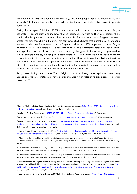

trial detention in 2018 were non-nationals.<sup>[96](#page-29-0)</sup> In Italy, 35% of the people in pre-trial detention are nonnationals. [97](#page-29-1) In France, persons born abroad are five times more likely to be placed in pre-trial detention.<sup>[98](#page-29-2)</sup>

Taking the example of Belgium, 45.8% of the persons held in pre-trial detention are not Belgian nationals.<sup>[99](#page-29-3)</sup> A recent study also indicates that non-residents are twice as likely as a person who is domiciled in Belgium to be detained ahead of their trial. Persons born outside Belgium are also at greater risk than those born in Belgium.<sup>[100](#page-29-4)</sup> In contrast, a study showed that a great majority of people released under conditions were born in Belgium and around 90% appeared to have Belgian citizenship. [101](#page-29-5) As the authors of the research suggest, this overrepresentation of non-nationals amongst the prison population cannot be explained by the types of offences (e.g. drug related) or the risk of flight, but also, in good part, is attributable to a "selectivity in the judicial decision-making process in relation to the person, selectivity based on the ethnic origin (country of birth/nationality of the person."<sup>[102](#page-29-6)</sup> This means that "persons who are not born in Belgium or who do not have Belgian citizenship, even if we take account of other potential relevant variables, are particularly vulnerable in terms of pre-trial detention orders as well as time spent in prison".<sup>[103](#page-29-7)</sup>

Sadly, these findings are not new<sup>[104](#page-29-8)</sup> and Belgium is far from being the exception – Luxembourg, Greece and Malta for instance all have disproportionately high rates of foreign people in pre-trial detention.<sup>[105](#page-29-9)</sup>

<span id="page-29-0"></span><sup>96</sup> Federal Ministry of Constitutional Affairs, Reforms, Deregulation and Justice, Safety Report 2018 - [Report on the activities](https://www.parlament.gv.at/PAKT/VHG/XXVII/III/III_00080/imfname_775930.pdf)  [of the criminal justice system,](https://www.parlament.gv.at/PAKT/VHG/XXVII/III/III_00080/imfname_775930.pdf) December 2019, pp. 129 and following.

<span id="page-29-1"></span><sup>97</sup> Antigone, Patrieio Gonnella (ed.)[, DETENUTI STRANIERI IN ITALIA -](http://www.antoniocasella.eu/nume/gonnella_stranieri_feb15.pdf) Norme, numeri e diritti, 3 February 2015.

<span id="page-29-2"></span><sup>98</sup> Observatoire International des Prisons – Section Française, *Qui sont les personnes incarcérées?*, 16 February 2020.

<span id="page-29-3"></span><sup>&</sup>lt;sup>99</sup> Dieter Burssens, Carrol Tange, and Eric Maes, Op zoek naar determinanten van de toepassing en de duur van de voorlopige hechtenis - [A la recherche de déterminants du recours à la detention preventive et de sa durée,](https://nicc.fgov.be/upload/publicaties/rapport_39_db_ct_em_voorlopige_hechtenis_detention_preventive-2.pdf) Institut National de Criminalistique et de Criminologie, June 2015.

<span id="page-29-4"></span><sup>&</sup>lt;sup>100</sup> Carrol Tange, Dieter Burssens and Eric Maes, Pre-trial Detention in Belgium. An Empirical Study of Explanatory Factors in [the Use of the Arrest Warrant and its Duration,](https://journals.openedition.org/champpenal/11099#quotation) Champ pénal/Penal field 16-2019, November 2019, paras 45-46.

<span id="page-29-5"></span><sup>101</sup> Alexia Jonckheere and Eric Maes, Caracteristiques des personnes places sous mandat d'arret et/ou en liberté sous conditions, *in* Alexia Jonckheere and Eric Maes, La detention preventive et ses alternatives. Chercheurs et acteurs en debat, pp. 35-54.

<span id="page-29-6"></span><sup>102</sup> Unofficial translation from French, Eric Maes, Quelques donnees chiffrees sur l'application de la detention preventive et de ses alternatives, in Laura Aubert, « La detention preventive : Comment sans sortir ? », 2017, p. 87.

<span id="page-29-7"></span><sup>103</sup> Unofficial translation from French, Eric Maes, Quelques donnees chiffrees sur l'application de la detention preventive et de ses alternatives, in Laura Aubert, « La detention preventive : Comment sans sortir ? », 2017, p. 87.

<span id="page-29-8"></span><sup>104</sup> See for instance for Belgium, research dating from 1990 already indicating that having a residence in Belgium is the factor reducing the likelihood of being held in pre-trial detention, mentioned in Carrol Tange, Dieter Burssens and Eric Maes[, Pre](https://journals.openedition.org/champpenal/11099#quotation)[trial Detention in Belgium. An Empirical Study of Explanatory Factors in the Use of the Arrest Warrant and its Duration,](https://journals.openedition.org/champpenal/11099#quotation) Champ pénal/Penal field 16-2019, November 2019, para. 46.

<span id="page-29-9"></span><sup>105</sup> See Institute for Criminal Policy Research (ICPR), Birkbeck College, University of London, [World Prison Brief database.](https://www.prisonstudies.org/world-prison-brief-data)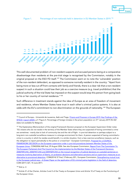



Figure 1. Percentage of non-nationals held in detention in EU Member States in 2019.<sup>106</sup>

This well-documented problem of non-resident suspects and accused persons being at a comparative disadvantage than residents at the pre-trial stage is recognised by the Commission, notably in the original proposal on the ESO FD itself.<sup>[107](#page-30-1)</sup> The Commission went on to note the 'vulnerable' position of the non-resident defendant, as opposed to someone normally resident in the country: "Apart from being more or less cut off from contacts with family and friends, there is a clear risk that a non-resident suspect in such a situation could lose their job as a coercive measure (e.g. travel prohibition) that the judicial authority of the trial State has imposed on the suspect would stop this person from going back to his or her country of normal residence."<sup>[108](#page-30-2)</sup>

Such difference in treatment stands against the idea of Europe as an area of freedom of movement and residence, where Member States have trust in each other's criminal justice systems. It is also at odds with the EU's commitment to non-discrimination on the grounds of nationality.[109](#page-30-3) The European

<span id="page-30-2"></span><sup>108</sup> *Ibid*, p. 2.

<span id="page-30-1"></span><span id="page-30-0"></span><sup>&</sup>lt;sup>106</sup> Council of Europe – Université de Lausanne, Aebi and Tiago, Prisons and Prisoners in Europe 2019: Key Findings of the [SPACE I report](https://wp.unil.ch/space/files/2020/04/Key-Findings-2019_200406.pdf) (2020), p 5 'Figure 4. Percentage of foreign inmates in the prison population on 31<sup>st</sup> January 2019 (N=42)' (data not available for Belgium).

<sup>&</sup>lt;sup>107</sup> The Explanatory Memorandum of the original Framework Decision proposal on the European Supervision Order notes "EU citizens who do not reside in the territory of the Member State where they are suspected of having committed a crime are sometimes - mainly due to lack of community ties and the risk of flight - in pre-trial detention or perhaps subject to a long-term non-custodial surveillance measure in a strange environment for them. A person suspected of having committed a crime in a country in which he resides would benefit, in a similar situation, from a less coercive surveillance measure, such as the obligation to report periodically to the police or a travel ban". European Commission, Proposal for a COUNCIL [FRAMEWORK DECISION on the European supervision order in pre-trial procedures between Member States of the](https://eur-lex.europa.eu/legal-content/EN/ALL/?uri=CELEX%3A52006PC0468)  [European Union,](https://eur-lex.europa.eu/legal-content/EN/ALL/?uri=CELEX%3A52006PC0468) COM(2006) 468 final, 29 August 2006. See also European Commission, [Report From The Commission To](https://eur-lex.europa.eu/legal-content/EN/ALL/?uri=CELEX:52014DC0057)  [The European Parliament And The Council on the implementation by the Member States of the Framework Decisions](https://eur-lex.europa.eu/legal-content/EN/ALL/?uri=CELEX:52014DC0057)  [2008/909/JHA, 2008/947/JHA and 2009/829/JHA on the mutual recognition of judicial decisions on custodial sentences or](https://eur-lex.europa.eu/legal-content/EN/ALL/?uri=CELEX:52014DC0057)  [measures involving deprivation of liberty, on probation decisions and alternative sanctions and on supervision measures as an](https://eur-lex.europa.eu/legal-content/EN/ALL/?uri=CELEX:52014DC0057) [alternative to provisional detention,](https://eur-lex.europa.eu/legal-content/EN/ALL/?uri=CELEX:52014DC0057) COM(2014) 57 final, 5 February 201;. European Commission, Strengthening mutual trust in the European judicial area – A Green Paper on the application of EU criminal justice legislation in the field of detention, COM (2011) 327, 14 June 2011. This well-document and resident in the European Union.<br>This well-document and registed being more or le suspect in such a judicial authority to his or her council of Europe<br>SPACE I report (2020)<br>(data not available for an

<span id="page-30-3"></span><sup>109</sup> Article 21 of the Charter, Articles 2 and 3 of the Treaty on European Union and Article 10 of Treaty on the Functioning of the European Union.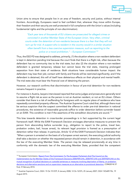

Union aims to ensure that people live in an area of freedom, security and justice, without internal frontiers. Accordingly, Europeans need to feel confident that, wherever they move within Europe, their freedom and their security are well protected in full compliance with the Union's values (including fundamental rights and the principle of non-discrimination).

*"Each year tens of thousands of EU citizens are prosecuted for alleged crimes or convicted in another Member State of the European Union. Very often, criminal courts order the detention of non-residents because there is a fear that they will not turn up for trial. A suspect who is resident in the country would in a similar situation often benefit from a less coercive supervision measure, such as reporting to the police or a travel prohibition." – European Commission[110](#page-31-0)*

Thus, the ESO FD was designed to address, primarily, (1) the situation where a non-resident defendant is kept in detention pending trial because the court finds that there is a flight risk, often because the defendant has no community ties to the trial state; but also (2) the situation where a non-resident defendant is granted temporary release but cannot leave the trial state, meaning prolonged separation from their state of residence. Both situations have considerable human impact: the defendant may lose their job; contact with family and friends will be restricted significantly; and if the defendant is detained, this will of itself have deleterious effects on their physical and mental health. The trial state also must bear the financial cost of detaining the person.

However, our research confirms that discrimination in favour of pre-trial detention for non-residents remains frequent in practice.

For instance in Austria, lawyers interviewed reported that some judges and prosecutors generally tend to assume a flight risk as soon as the person is not an Austrian resident, or not an EU citizen. Others consider that there is a risk of reoffending for foreigners with no regular place of residence who have repeatedly committed property offences. The Austrian Supreme Court ruled that, although there must be serious suspicion that the suspect committed the offence to order pre-trial detention in national procedures, the existence of reasonable grounds suffice to order detention before surrender based on an EAW. This condition is met if the assertions of the extradition documents are sound.[111](#page-31-1)

This bias towards detention in cross-border proceedings is in fact supported by the current legal framework itself. While the EAW Framework Decision envisages alternative measures to prevent the person from absconding before surrender (e.g., obligation to report to the police, travel ban, probation orders, bail, house arrest), its relevant legal provision is framed as a presumption of detention rather than release. In particular, Article 12 of the EAW Framework Decision indicates that: *"*When a person is arrested on the basis of a European arrest warrant, the executing judicial authority shall take a decision on whether *the requested person should remain in detention*, in accordance with the law of the executing Member State. *The person may be released* provisionally at any time in conformity with the domestic law of the executing Member State, provided that the competent

<span id="page-31-0"></span><sup>110</sup> European Commission, [Report From The Commission To The European Parliament And The Council on the](https://eur-lex.europa.eu/legal-content/EN/ALL/?uri=CELEX:52014DC0057)  [implementation by the Member States of the Framework Decisions 2008/909/JHA, 2008/947/JHA and 2009/829/JHA on the](https://eur-lex.europa.eu/legal-content/EN/ALL/?uri=CELEX:52014DC0057)  [mutual recognition of judicial decisions on custodial sentences or measures involving deprivation of liberty, on probation](https://eur-lex.europa.eu/legal-content/EN/ALL/?uri=CELEX:52014DC0057)  [decisions and alternative sanctions and on supervision measures as an alternative to provisional detention,](https://eur-lex.europa.eu/legal-content/EN/ALL/?uri=CELEX:52014DC0057) COM(2014) 57 final, 5 February 2014.

<span id="page-31-1"></span><sup>111</sup> Austrian Supreme Court, OGH: 15 Os 151/07f, 8 January 2008; 12 Os 12/07t, 25 January 2007; OGH 13Os89/15k, 19 August 2015.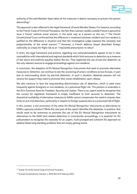

authority of the said Member State takes all the measures it deems necessary to prevent the person absconding."

This approach is also reflected in the legal framework of some Member States. For instance, according to the French Code of Criminal Procedure, the fact that a person resides outside France is ground to issue a French national arrest warrant, in the same way as a person on the run.<sup>[112](#page-32-0)</sup> The French Constitutional Court confirmed that the difference in treatment between resident and non-resident is justified by the difference in situation and that the investigative judge assesses the necessity and proportionality of the arrest warrant.<sup>[113](#page-32-1)</sup> However, a French defence lawyer described foreign nationality as a basis for flight risk as an "impossible presumption to rebut".

In short, the legal framework and practice regarding non-nationals/residents appear to be in clear contradiction with international and regional standards which limit recourse to detention as a measure of last resort and enshrine equality before the law. They legitimise the use of pre-trial detention as the only relevant avenue to engage proceedings against non-residents.

In conclusion, the adoption of EU Mutual Recognition Instruments that seek to promote alternative measures to detention, we continue to see the worsening of prison conditions across Europe, in part due to overcrowding driven by pre-trial detention. In such a situation, detained persons will not receive the support they need to promote their social rehabilitation upon release.

We also continue to face the long-standing discriminatory use of detention, which is used more frequently against foreigners or non-residents, on a perceived flight risk. This position is untenable in the EU's Common Area for Freedom, Security and Justice. There is an urgent need to recognise that the current EU legislative framework is simply insufficient to limit recourse to detention. The theoretical availability of alternative measures to EAWs cannot compensate the need to impose clear limits on pre-trial detention, particularly in respect to foreign suspects due to a presumed risk of flight.

In this context, is the promotion of the other EU Mutual Recognition Instruments as alternatives to EAWs a genuine solution? While the next part of the report identifies the obstacles, in practice, that would need to be overcome to promote the use of the EU Mutual Recognition Instruments as alternatives to the EAW (and related detention) in cross-border proceedings, it is essential for EU policymakers to recognise the necessity for an urgent, multi-pronged and coherent EU approach to address these long-standing problems that are simply getting worse.

<span id="page-32-0"></span><sup>112</sup> Article 131 of the French Code of Criminal Procedure.

<span id="page-32-1"></span><sup>113</sup> Conseil Constitutionnel, Decision n. 2014-452 of 27 February 2015.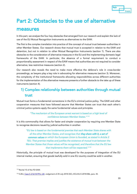

## Part 2: Obstacles to the use of alternative

## measures

In this part, we analyse the four key obstacles that emerged from our research and explain the lack of use of the EU Mutual Recognition Instruments as alternatives to the EAW.

The first is the complex translation into practice of the concept of mutual trust between authorities in other Member States. Our research shows that mutual trust is accepted in relation to the EAW and detention, but not in relation to other Mutual Recognition Instruments (section 1). There are also obstacles to the consideration of alternative measures in the EU and the implementing domestic legal frameworks of the EAW. In particular, the absence of a formal requirement to conduct a proportionality assessment in respect of the EAW means that authorities are not required to consider alternative, less restrictive measures (section 2).

Our research also reveals the need to make more effective the defence's role in cross-border proceedings, as lawyers play a key role in advocating for alternative measures (section 3). Moreover, the complexity of the institutional frameworks allocating responsibilities across different authorities for the implementation of the alternative measures presents a further obstacle to the take up of these instruments (section 4).

## 1) Complex relationship between authorities through mutual trust

Mutual trust forms a fundamental cornerstone in the EU's criminal justice policy. The EAW and other cooperation measures that have followed assume that Member States can trust that each other's criminal justice systems apply the same fundamental values and principles.

#### *"The mechanism of the European arrest warrant is based on a high level of confidence between Member States."[114](#page-33-0)*

It is this commonality that allows for faster and simpler cooperation by requiring one Member State to recognise decisions issued by judicial authorities in another.

*"EU law is based on the fundamental premise that each Member State shares with*  all the other Member States, and recognises that **they share with it, a set of** common values *on which the European Union is founded, as stated in Article 2 TEU. That premise implies and justifies the existence of mutual trust between the Member States that those values will be recognised, and therefore that the EU law that implements them will be respected."[115](#page-33-1)*

Historically, the principle of mutual trust was developed for the purposes of integration of the EU internal market, ensuring that goods lawfully sold in one EU country could be sold in another.

<span id="page-33-0"></span><sup>114</sup> Recital 10 of the FD EAW.

<span id="page-33-1"></span><sup>115</sup> CJEU, [Case C-216/18 PPU, LM,](http://curia.europa.eu/juris/document/document.jsf?text=&docid=204384&pageIndex=0&doclang=en&mode=lst&dir=&occ=first&part=1&cid=14648787) Judgement of 25 July 2018 (GC), ECLI:EU:C:2018:586, para. 35.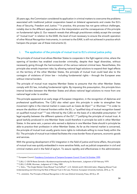

20 years ago, the Commission considered its application in criminal matters to overcome the problems associated with traditional judicial cooperation based on bilateral agreements and create the EU's Area of Security, Freedom and Justice.<sup>[116](#page-34-0)</sup> In practice, this process has not gone without challenges, notably due to the different approaches on the interpretation and the consequences of this principle on fundamental rights (i). Our research reveals that although practitioners widely accept the concept of "mutual trust" in relation to the EAW, the level of trust necessary to ensure the smooth operation of other Mutual Recognition Instruments, in contrast to the EAW, is still not achieved in practice which hampers the proper use of these instruments (ii).

#### i. The application of the principle of mutual trust to EU's criminal justice policy

The principle of mutual trust allows Member States to cooperate in the fight against crime, where the opening of borders has enabled cross-border criminality, despite their legal diversities, without necessarily going through the harmonisation of the various national criminal laws. Nevertheless, this principle also entails important risks: by allowing national legal solutions to expand their legal effects on the territory of the other Member States, the principle of mutual trust could lead also to the contagion of violations of Union law – including fundamental rights – through the European area without internal borders.

The principle of mutual trust requires Member States to presume that the other Member States comply with EU law, including fundamental rights. By imposing this presumption, this principle blurs internal borders between the Member States and allows national legal solutions to move from one national legal order to another.

This principle appeared at an early stage of European integration, in the recognition of diplomas and professional qualifications. The CJEU also relied upon this principle in order to strengthen free movement rights in the internal market in cases such as *Cassis de Dijon*[117](#page-34-1) or *Wurmser.*[118](#page-34-2) In order to ensure the abolition of internal frontiers within the EU, a "qualified duty of mutual recognition based on qualified mutual trust"[119](#page-34-3) was inferred by the CJEU on the basis of a rebuttable presumption "of legal equality between the different systems of the EU",<sup>[120](#page-34-4)</sup> justifying the principle of mutual trust. A good lawfully produced in one Member State could therefore in principle be sold in other Member States. In the same vein, a person who earned a diploma in one Member State should in principle be able to practice their profession in other Member States. As far as the internal market is concerned, the principle of mutual trust usually grants more rights to individuals willing to move freely within the EU. The principle of mutual trust indeed facilitates the cross-border flows of persons, economic goods and services.

With the growing development of EU integration in the field of justice and home affairs, the principle of mutual trust was quickly embedded in more sensitive fields, such as judicial cooperation in civil and criminal matters and in the field of asylum. To assure rapidity and effectiveness in the administration

<span id="page-34-0"></span><sup>116</sup> European Council, [Presidency Conclusions of Tampere European Council 15 and 16 October 1999.](https://www.europarl.europa.eu/summits/tam_en.htm)

<span id="page-34-1"></span><sup>117</sup> CJEU, C-120/78 Rewe-Zentrale v Bundesmonopolverwaltung für Branntwein, Judgment of 20 February 1979.

<span id="page-34-2"></span><sup>118</sup> CJEU, C-25/88, Wurmser, Judgment of 11 May 1989.

<span id="page-34-3"></span><sup>119</sup> J. SNELL, "The Single Market: Does Mutual Trust Suffice?", in D. GERARD and E. BROUWER (eds.), Mapping Mutual Trust: Understanding and Informing the Role of Mutual Trust in EU Law, Florence: European University Institute, 2016, p. 15.

<span id="page-34-4"></span><sup>120</sup> C. JANSSENS, The Principle of Mutual Recognition in EU Law (Oxford University Press, 2013) p. 29.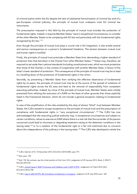

of criminal justice within the EU despite the lack of substantial harmonization of criminal law and of a pan-European criminal judiciary, the principle of mutual trust underpins most EU criminal law instruments.

The presumption imposed in this field by the principle of mutual trust includes the protection of fundamental rights. Indeed, it requires Member States "save in exceptional circumstances, to consider all the other Member States to be complying with EU law and particularly with the fundamental rights recognised by EU law."[121](#page-35-0)

Even though the principle of mutual trust plays a crucial role in EU integration, it also entails several and serious consequences on a person's fundamental freedoms. The tension between mutual trust and human rights is twofold.

Firstly, the principle of mutual trust precludes a Member State from demanding a higher standard of protection than that laid down in the Charter from other Member States.<sup>[122](#page-35-1)</sup> States may, therefore, be required to set aside their national standards (including constitutional ones, which are more protective than those of the Charter), in the context of cooperation with another Member State, in favour of the latter's lower standard of protection. This consequence of the principle of mutual trust may be to lead to a levelling down of the protection of fundamental rights in the Union.

Secondly, by preventing a Member State from verifying the effective observance of fundamental rights by its peers, the principle of mutual trust may be at the source of the spread of violations of fundamental rights across the EU area and lead to the removal of responsibility from competent executing authorities. Indeed, by virtue of the principle of mutual trust, Member States were initially prevented from refusing the execution of a EAW on the basis of other grounds than those explicitly listed in the Framework Decision, which do not include a general exception relating to fundamental rights.

In view of the amplification of the risks entailed by this duty of almost "blind" trust between Member States, the CJEU started to accept exceptions to the principle of mutual trust and the presumption of compliance with fundamental rights in "very exceptional circumstances".<sup>[123](#page-35-2)</sup> The CJEU has now acknowledged that the executing judicial authority may, in exceptional circumstances and subject to certain conditions, refuse to execute an EAW where there is a real risk that the surrender of the person concerned could lead to inhumane or degrading treatment owing to the detention conditions in the issuing state, $124$  or to a violation of the fundamental right to a fair trial enshrined due to concerns about the independence of the judiciary in the issuing state.<sup>[125](#page-35-4)</sup> The CJEU also developed a whole line

<span id="page-35-0"></span><sup>121</sup> CJEU, Opinion 2/13, 18 December 2014, ECLI:EU:C:2014:2454, para 191.

<span id="page-35-1"></span><sup>122</sup> Ibid. para. 192.

<span id="page-35-2"></span><sup>123</sup> Ibid. 192. By contrast, see the initial position of the Court: ECJ, judgement of 29 January 2013, *Radu*, C-396/11, ECLI:EU:2013:39,

<span id="page-35-3"></span><sup>&</sup>lt;sup>124</sup> CJEU, Joined Cases C-[404/15 Aranyosi and Căldăraru and C](http://curia.europa.eu/juris/document/document.jsf?text=&docid=175547&pageIndex=0&doclang=en&mode=lst&dir=&occ=first&part=1&cid=14646496)-659/15 PPU, Judgement of 5 April 2016 (GC), ECLI:EU:C:2016:198.

<span id="page-35-4"></span><sup>&</sup>lt;sup>125</sup> CJEU, [Case C-220/18 PPU, ML \(Conditions of detention in Hungary\),](http://curia.europa.eu/juris/document/document.jsf?text=&docid=204383&pageIndex=0&doclang=en&mode=lst&dir=&occ=first&part=1&cid=3883839) Judgment of 25 July 2018, para. 168.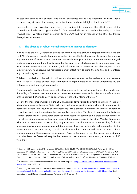

of case-law defining the qualities that judicial authorities issuing and executing an EAW should possess, always in view of increasing the protection of fundamental rights of individuals.<sup>[126](#page-36-0)</sup>

Nevertheless, these exceptions are clearly not sufficient to guarantee the effectiveness of the protection of fundamental rights in the EU. Our research showed that authorities widely assimilate "mutual trust" as "blind trust" in relation to the EAW, but not in respect of the other EU Mutual Recognition Instruments.

#### ii. The absence of robust mutual trust for alternatives to detention

In contrast to the EAW, authorities do not appear to have mutual trust in respect of the ESO and the FD PAS. Our research reveals that national authorities lack the trust necessary to ensure the effective implementation of alternatives to detention in cross-border proceedings. In the countries surveyed, participants mentioned the difficulty to confer the supervision of alternatives to detention to services from another Member State. In practice, judicial actors do not seem to trust the diligence of the executing state to supervise the requested person effectively, to bring them to trial and to enforce any conviction against them.

This bias is partly due to the lack of confidence in alternative measures themselves, even at a domestic level. Taken at a cross-border level, confidence in implementation is further undermined by the differences in national legal frameworks.

Participants also justified the absence of trust by reference to the lack of knowledge of other Member States' legal frameworks on alternatives to detention, the competent authorities, or the effectiveness of their control. FRA made a similar observation in other EU Member States.<sup>127</sup>

Despite the measures envisaged in the ESO FD, respondents flagged an insufficient harmonisation of alternative measures. Member States adopted their own respective sets of domestic alternatives to detention, be it for prosecution or for sentencing, with significant differences in terms of conditions, procedures and how these alternatives are applied in practice. This lack of harmonisation between Member States makes it difficult for practitioners to resort to alternatives in a cross-border context[.128](#page-36-2) They stress different reasons: they don't know if the measure exists in the other Member States and what are the conditions to use it; they might not use that alternative at home; or they feel such measures involve more bureaucracy, notably because they have to find domestic equivalent to the issued measure. In some cases, it is also unclear whether countries will cover the costs of the implementation of the measure. For instance, in Austria, the State will pay for therapy on probation, but other Member States will require the person to cover the costs. As a result, a request for PAS would fail.

<span id="page-36-0"></span><sup>126</sup> See, i.a., ECJ, judgements of 10 November 2016, Özçelik, C-453/16 PPU, ECLI:EU:C:2016:860, Poltorak, C-452/16, ECLI:EU:C:2016:858, Kovalkovas, aff. C-477/16 PPU, ECLI:EU:C:2016:86 and ECJ, judgments of 27 May 2019, OG and PI, C-508/18 and C-82/19 PPU, ECLI:EU:C:2019:456 and PF, C-509/18, ECLI:EU:2019:457, ECJ, judgement of 9 October 2019, NJ, C-489/19 PPU, ECLI:EU:C:2019:849, ECJ, judgement of 12 December 2019, ZB, aff. C-627/19 PPU, ECLI:EU:C:2019:1079.

<span id="page-36-1"></span><sup>&</sup>lt;sup>127</sup> European Parliamentary Research Service, Wouter van Ballegooij, European Arrest Warrant, European Implementation [Assessment,](https://www.europarl.europa.eu/thinktank/en/document.html?reference=EPRS_STU(2020)642839) June 2020, p. 46.

<span id="page-36-2"></span><sup>&</sup>lt;sup>128</sup> See along the same lines, Élodie Sellier and Anne Weyembergh, Criminal procedural laws across the European Union - A [comparative analysis of selected main differences and the impact they have over the development of EU legislation,](http://www.europarl.europa.eu/RegData/etudes/STUD/2018/604977/IPOL_STU(2018)604977_EN.pdf) Study requested by the LIBE committee, European Parliament, 2018, pp. 99-101.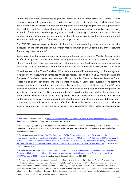

At the pre-trial stage, alternatives to pre-trial detention widely differ across EU Member States, spanning from regularly reporting to a police station to electronic monitoring. Each Member State has a different set of measures which can be imposed, different legal regimes for the supervision of the conditions and the provisional release. In Belgium, alternative measures must be reviewed every 3 months,<sup>[129](#page-37-0)</sup> while in Luxembourg they can be lifted at any stage.<sup>[130](#page-37-1)</sup> Some states like Ireland for instance do not include house arrest among its alternative measures to pre-trial detention (although a court can exclude a person from a certain geographical area).

The ESO FD does envisage, in Article 13, the ability of the executing state to adapt supervision measures "in line with the types of supervision measures which apply, under the law of the executing State, to equivalent offences".

Similarly, post-sentencing probation measures are not harmonised among EU Member States, making it difficult for judicial authorities to resort to requests under the FD PAS. Practitioners report that where it is not clear what measure can be implemented in how (particularly in respect of medical therapies), requests to recognise PAS are rejected and instead, authorities can only resort to an EAW.

When it comes to the FD on Transfers of Prisoners, there are difficulties relating to different systems in relation to the executing of sentences. While early release is available in all EU Member States, the European Commission notes that there are still considerable differences between Member States regarding eligibility conditions and implementation rules.<sup>[131](#page-37-2)</sup> Some prosecutors are reluctant to transfer a prisoner to another Member State because they fear that they may "benefit" from premature release or because of the uncertainty of how much of the prison sentence the person will actually serve in prison.[132](#page-37-3) In Belgium, early release is possible after one-third of the sentence has been served, while in Spain, after three quarters. Belgian practitioners also noted that Belgian sentences tend to be very long compared to the Netherlands for instance. But many detainees do in practice enjoy early release which is more difficult to obtain in the Netherlands. Some states allow for electronic monitoring<sup>[133](#page-37-4)</sup> or community service as a non-custodial alternative to short prison sentences

<span id="page-37-0"></span><sup>&</sup>lt;sup>129</sup> Eric Maes and Alexia Jonckheere, Dealing with crime in ordinary times as in times of crisis: a solution to reduce pre-trial [detention?,](https://www.cep-probation.org/wp-content/uploads/2020/10/Dealing-with-crime-in-ordinary-times-as-in-times-of-crisis-a-solution-to-reduce-pre-trial-detention-Maes-Jonckheere.pdf) Confederation of European Probation, October 2020.

<span id="page-37-1"></span><sup>&</sup>lt;sup>130</sup> The investigating judge may place a person under electronic surveillance within the meaning of article 690 of the Criminal Procedure Code. Article 111 of the Criminal Code provides that a request to have the measures partially or totally lifted may be made at any stage.

<span id="page-37-2"></span><sup>&</sup>lt;sup>131</sup> European Commission, Report From The Commission To The European Parliament And The Council on the [implementation by the Member States of the Framework Decisions 2008/909/JHA, 2008/947/JHA and 2009/829/JHA on the](https://eur-lex.europa.eu/legal-content/EN/ALL/?uri=CELEX:52014DC0057)  [mutual recognition of judicial decisions on custodial sentences or measures involving deprivation of liberty, on probation](https://eur-lex.europa.eu/legal-content/EN/ALL/?uri=CELEX:52014DC0057)  [decisions and alternative sanctions and on supervision measures as an alternative to provisional detention,](https://eur-lex.europa.eu/legal-content/EN/ALL/?uri=CELEX:52014DC0057) COM(2014) 57 final, 5 February 2014.

<span id="page-37-3"></span><sup>132</sup> Robin Hofmann and Hans Nelen, Cross-border cooperation in the execution of sentences between the Netherlands, [Germany and Belgium: an empirical and comparative legal study on the implementation of EU framework decisions](https://link.springer.com/article/10.1007/s10611-020-09900-7#citeas)  [2008/909/JHA and 2008/947/JHA,](https://link.springer.com/article/10.1007/s10611-020-09900-7#citeas) Crime Law Social Change 74, 2020, pp. 381–404.

<span id="page-37-4"></span><sup>133</sup> Such as Luxembourg, where electronic surveillance referred to in article 690 of the Code of Criminal Procedure also constitutes a method of enforcing custodial sentences, following the Act of 20 July 2018 which reformed the sentencing system and established the Sentence Enforcement Chamber, governed by articles 696 ff. of the Criminal Code. For the convicted person, being placed under electronic surveillance means that he or she may not leave his or her residence or any other location designated in the decision ordering the electronic surveillance outside the time periods indicated therein and must leave those locations during certain other time periods.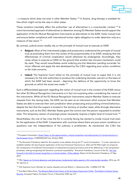

 $-$  a measure which does not exist in other Member States.<sup>[134](#page-38-0)</sup> In Austria, drug therapy is available for free which might not be the case in other states.

These variations inevitably affect the authorities' use of alternatives in a cross-border context.[135](#page-38-1) A more harmonised approach of alternatives to detention among EU Member States would support the application of the EU Mutual Recognition Instruments as alternatives to the EAW, foster mutual trust and ensure better compliance with international human rights obligation to order detention only as a measure of last resort.<sup>[136](#page-38-2)</sup>

By contrast, judicial actors readily rely on the principle of mutual trust to execute an EAW.

- **Belgium:** Most of the interviewed judges and prosecutors understood the principle of mutual trust as precluding them from the review of the proportionality of an EAW, stressing that the effectiveness of criminal cooperation would otherwise be endangered. Accordingly, they rarely refuse to execute an EAW on the ground that another less intrusive mechanism could be used. They would nevertheless avoid ordering pre-trial detention pending surrender for minor offences and apply the test developed by the CJEU regarding poor prison conditions or fair trials concerns.
- **Ireland:** The Supreme Court relied on the principle of mutual trust to argue that it is not necessary for the Irish authorities to produce the underlying domestic warrant on the basis of which the EAW had been issued – depriving the defence of the opportunity to know the grounds on which the arrest was made.<sup>[137](#page-38-3)</sup>

Such a differentiated approach regarding the notion of mutual trust in the context of the EAW versus the other EU Mutual Recognition Instruments is in fact not surprising when considering the nature of the instruments. While all the EU Mutual Recognition Instruments require Member States to execute requests from the issuing state, the EAW can be seen as an instrument which ensures that Member States are able to exercise their own jurisdiction when prosecuting and punishing criminal behaviour, despite the fact that the suspect is located in the territory of another state; while through alternative instruments, such as the ESO, Member States grant the control over the person requested to another state. This temporary cession of sovereign power necessarily requires a higher level of mutual trust.<sup>[138](#page-38-4)</sup>

Nevertheless, the rule of law crisis the EU is currently facing has started to erode mutual trust even for the application of the EAW. Cooperation with countries where there are poor prison conditions or questions over the independence of the judiciary is problematic. As mentioned, the CJEU has

<span id="page-38-0"></span><sup>&</sup>lt;sup>134</sup> European Commission, Green Paper on the approximation, mutual recognition and enforcement of criminal sanctions in [the European Union,](https://eur-lex.europa.eu/legal-content/EN/TXT/?uri=celex%3A52004DC0334) COM(2004)334 final, 30 April 2004.

<span id="page-38-1"></span> $135$  The Romanian Presidency asked for this question to be address during the 9<sup>th</sup> round of evaluation: "It is also important to establish whether the less frequent application of the two Framework Decisions [i.e. ESO and FD PAS] might not simply be the consequence of insufficient harmonisation of substantial procedural provisions and of the differences in the transposition processes, making recognising the Decisions a practical impossibility". Romanian Presidency: Council of the EU, The way [forward in the field of mutual recognition in criminal matters -](http://data.consilium.europa.eu/doc/document/ST-9728-2019-INIT/en/pdf) Policy debate, Report of the Romanian Presidency, 27 May 2019.

<span id="page-38-2"></span><sup>136</sup> FRA, [Report on Criminal detention and alternatives: fundamental rights aspects in EU cross-border transfers,](https://fra.europa.eu/en/publication/2016/criminal-detention-and-alternatives-fundamental-rights-aspects-eu-cross-border) 2016, pp. 69-70, Opinion 6.

<span id="page-38-3"></span><sup>137</sup> Irish Supreme Court, Minister for Justice, Equality and Law Reform v. Altaravicius (No. 1) [2006] 3 IR 148.

<span id="page-38-4"></span><sup>138</sup> Ana Maria Neira-Pena, The Reasons Behind the Failure of the European Supervision Order: The Defeat of Liberty Versus [Security,](http://www.europeanpapers.eu/en/europeanforum/reasons-behind-failure-european-supervision-order-defeat-liberty-versus-security) European Papers, European Forum, 4 November 2020, pp. 8-9.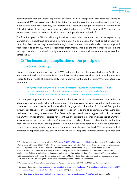

acknowledged that the executing judicial authority may, in exceptional circumstances, refuse to execute an EAW due to concerns about the detention conditions or the independence of the judiciary in the issuing state. Most recently, the Amsterdam District Court sought to suspend all surrenders to Poland, in view of the ongoing attacks on judicial independence.<sup>[139](#page-39-0)</sup> In January 2020 it refused an execution of a EAW on account of lack of judicial independence in Poland.<sup>[140](#page-39-1)</sup>

The functioning of the EU Mutual Recognition Instruments relies on mutual trust, but as expressed by a practitioner, mutual trust cannot be a starting point, it is an objective that must be achieved. In our view, that objective can only be attained through robust common standards, and a coherent approach with respect to all the EU Mutual Recognition Instruments. This is all the more important as a blind trust approach is not tenable in the light of the rule of law threats and fundamental rights violations across the EU.

## 2) The inconsistent application of the principle of proportionality

Given the severe implications of the EAW and detention on the requested person's life and fundamental freedoms, it is essential that the EAW remains exceptional and judicial authorities have regard to the principle of proportionality when determining the need for an EAW or any alternative instrument.

#### *"The proportionality principle in criminal matters requires of course measures, such*  as pre-trial detention or alternatives to such detention, are only used when this is *only necessary and only for as long as required." – European Commission[141](#page-39-2)*

The principle of proportionality in relation to the EAW requires an assessment of whether an alternative measure could achieve the same goal without causing the same disruption on the person concerned. In other words, authorities should engage with the other EU Mutual Recognition Instruments. However, this assessment does not appear to be made consistently when authorities decide on the issuing or execution of an EAW. Although practitioners suggest a drop in the use of the EAW for minor offences, studies have continued to report the disproportionate use of EAWs for minor offences, such as the theft of a Christmas tree, a finding of fraud (in absentia) in relation to a used car, or minor drunk driving offences, without proper consideration of whether surrender is proportionate taking into account severe human and financial costs involved.<sup>[142](#page-39-3)</sup> In our research, Irish practitioners reported that they continue to receive EAWs requests for minor offences (in which they

<span id="page-39-0"></span><sup>139</sup> See the request for a preliminary ruling in CJEU, [Case C-412/20 PPU -](http://curia.europa.eu/juris/document/document.jsf?text=&docid=233418&pageIndex=0&doclang=EN&mode=lst&dir=&occ=first&part=1&cid=14648787) Openbaar Ministerie, lodged on 3 September 2020: "Do Framework Decision 2002/584/JHA, 1 the second subparagraph of Article 19(1) of the Treaty on European Union and/or the second paragraph of Article 47 of the Charter of Fundamental Rights of the European Union indeed preclude an executing judicial authority from executing an EAW issued by a court in the case where that court does not meet the requirements of effective judicial protection/actual judicial protection, and at the time of issuing the EAW already no longer met those requirements, because the legislation in the issuing Member State does not guarantee the independence of that court, and at the time of issuing the EAW already no longer guaranteed that independence?".

<span id="page-39-1"></span><sup>140</sup> Amsterdam District Court, International Judicial Assistance Division, n°20/771 13/751021-20, 10 February 2021.

<span id="page-39-2"></span><sup>141</sup> European Commission, Strengthening mutual trust in the European judicial area - A Green Paper on the application of EU [criminal justice legislation in the field of detention,](https://eur-lex.europa.eu/legal-content/EN/TXT/?uri=COM%3A2011%3A0327%3AFIN) COM (2011) 327, 14 June 2011.

<span id="page-39-3"></span><sup>&</sup>lt;sup>142</sup> Fair Trials[, Beyond Surrender: Putting human rights at the heart of the European Arrest Warrant,](https://www.fairtrials.org/publication/beyond-surrender) 28 June 2018.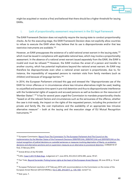

might be acquitted or receive a fine) and believed that there should be a higher threshold for issuing EAWs.

#### i. Lack of proportionality assessment requirement in the EU legal framework

The EAW Framework Decision does not explicitly require the *issuing* state to conduct proportionality checks. As for the *executing* stage, the EAW Framework Decision does not explicitly allow countries to refuse to execute the EAW when they believe that its use is disproportionate and/or that less restrictive instruments are available.<sup>[143](#page-40-0)</sup>

However, an EAW presupposes the existence of a valid national arrest warrant in the issuing state,<sup>[144](#page-40-1)</sup> which must be issued in compliance with applicable national laws, which may involve a proportionality assessment. In the absence of a national arrest warrant issued separately from the EAW, the EAW is invalid and must be refused.<sup>[145](#page-40-2)</sup> However, the EAW involves the arrest of a person and transfer to another country, which has potential implications beyond the national arrest warrant. An EAW may therefore be disproportionate even when a national arrest warrant is proportionate, due to, for instance, the impossibility of requested persons to maintain visits from family members (such as children) and because of language barriers.<sup>[146](#page-40-3)</sup>

In 2014, the European Parliament criticised this gap and stressed the "disproportionate use of the EAW for minor offences or in circumstances where less intrusive alternatives might be used, leading to unjustified and excessive time spent in pre-trial detention and thus to disproportionate interference with the fundamental rights of suspects and accused persons as well as burdens on the resources of Member States".[147](#page-40-4) It has for several years urged the Commission to mandate proportionality checks "based on all the relevant factors and circumstances such as the seriousness of the offence, whether the case is trial-ready, the impact on the rights of the requested person, including the protection of private and family life, the cost implications and the availability of an appropriate less intrusive alternative measure" – both at the issuing and the execution stage of EU Mutual Recognition Instruments.[148](#page-40-5)

<span id="page-40-0"></span><sup>&</sup>lt;sup>143</sup> European Commission, Report From The Commission To The European Parliament And The Council on the [implementation by the Member States of the Framework Decisions 2008/909/JHA, 2008/947/JHA and 2009/829/JHA on the](https://eur-lex.europa.eu/legal-content/EN/ALL/?uri=CELEX:52014DC0057)  [mutual recognition of judicial decisions on custodial sentences or measures involving deprivation of liberty, on probation](https://eur-lex.europa.eu/legal-content/EN/ALL/?uri=CELEX:52014DC0057)  [decisions and alternative sanctions and on supervision measures as an alternative to provisional detention,](https://eur-lex.europa.eu/legal-content/EN/ALL/?uri=CELEX:52014DC0057) COM(2014) 57 final, 5 February 2014.

<span id="page-40-1"></span><sup>144</sup> Article 8(1)(c) of the FD EAW.

<span id="page-40-2"></span><sup>145</sup>CJEU[, Case C-241/15 Bob-Dogi,](http://curia.europa.eu/juris/document/document.jsf?text=&docid=179221&pageIndex=0&doclang=EN&mode=lst&dir=&occ=first&part=1&cid=240672) Judgement of 1 June 2016, ECLI:EU:C:2016:385, paras. 59-67.

<span id="page-40-3"></span><sup>&</sup>lt;sup>146</sup> Fair Trials[, Beyond Surrender: Putting human rights at the heart of the European Arrest Warrant,](https://www.fairtrials.org/publication/beyond-surrender) 28 June 2018, p. 14 and ff.

<span id="page-40-4"></span><sup>&</sup>lt;sup>147</sup> European Parliament resolution of 27 February 2014 with recommendations to the Commission on the review of the European Arrest Warrant (2013/2109(INL)), (OJ C 285, 29.8.2017, p. 135-140), recital F (v).

<span id="page-40-5"></span><sup>148</sup> Ibid. para. 7.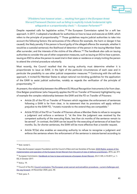

*"[P]roblems have however arisen … resulting from gaps in the [European Arrest Warrant] Framework Decision such as failing to explicitly include fundamental rights safeguards or a proportionality check." – European Parliament[149](#page-41-0)*

Despite repeated calls for legislative action, <sup>[150](#page-41-1)</sup> the European Commission opted for a soft law approach. In 2017, it adopted a handbook for authorities on how to issue and execute an EAW, which refers to the principle of proportionality.[151](#page-41-2) Those guidelines require judicial authorities to take into account the following factors: the seriousness of the offence (for example, the harm or danger it has caused); the likely penalty if the person is found guilty of the alleged offence (for example, whether it would be a custodial sentence); the likelihood of detention of the person in the issuing Member State after surrender; and the interests of the victims of the offence.<sup>[152](#page-41-3)</sup> The handbook also calls on issuing authorities to consider the use of other cooperation measures, such as issuing an EIO to hear a person, issuing an ESO to allow the person to await trial in their state or residence or simply inviting the person to attend the criminal procedure voluntarily.

Most recently, the Council recalled that the issuing authority must determine whether it is proportionate to issue an EAW, in the light of the particular circumstances of each case and in particular the possibility to use other judicial cooperation measures.<sup>[153](#page-41-4)</sup> Continuing with the soft-law approach, it invited EU Member States to adopt national non-binding guidelines for the application of the EAW to assist judicial authorities, notably as regards the verification of the principle of proportionality.[154](#page-41-5)

At present, the relationship between the different EU Mutual Recognition Instruments is far from clear. One Belgian practitioner (who frequently applies the FD on Transfer of Prisoners) highlighted by way of example the complex relationship between the EAW and the FD on Transfer of Prisoners:

- Article 25 of the FD on Transfer of Prisoners which regulates the enforcement of sentences following a EAW is far from clear, in its statement that its provisions will apply without prejudice to the EAW FD, "mutatis mutandis to the extend they are compatible."
- Article 9(1)(h) of the FD on Transfer of Prisoners allows a Member State to refuse to recognise a judgment and enforce a sentence if, "at the time the judgment was received by the competent authority of the executing State, less than six months of the sentence remain to be served". In contrast, the EAW can be issued for the executing of sentences of at least four months. So, for shorter sentences, the EAW will be more effective than a transfer request.
- Article 9(1)(e) also enables an executing authority to refuse to recognise a judgment and enforce the sentence where the enforcement of the sentence is statute-barred according to

<span id="page-41-0"></span><sup>149</sup> Ibid. recital C.

<span id="page-41-1"></span><sup>&</sup>lt;sup>150</sup> See also European Lawyers Foundation and the Council of Bars and Law Societies of Europe, **EAW-Rights: analysis of the** [implementation and operation of the European Arrest Warrant from the point of view of defence practitioners,](http://europeanlawyersfoundation.eu/wp-content/uploads/2016/11/EAW-FINAL-REPORT-2016-11-22.pdf) 2016, pp. 8-9.

<span id="page-41-2"></span><sup>151</sup> European Commission, [Handbook on how to issue and execute a European Arrest Warrant,](https://eur-lex.europa.eu/legal-content/EN/TXT/?uri=CELEX%3A52017XC1006%2802%29) (OJ C 335, 6.10.2017, p. 1– 83), 6 October 2017.

<span id="page-41-3"></span><sup>152</sup> Ibid p. 19.

<span id="page-41-4"></span><sup>153</sup> Council of the EU, [Council conclusions 'The European arrest warrant and extradition procedures -](https://data.consilium.europa.eu/doc/document/ST-13214-2020-INIT/en/pdf) current challenges and [the way forward',](https://data.consilium.europa.eu/doc/document/ST-13214-2020-INIT/en/pdf) 23 November 2020, para. 40.

<span id="page-41-5"></span><sup>154</sup> Ibid. para. 9.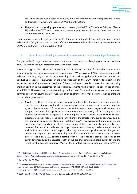

the law of the executing State. In Belgium, it is frequently the case that requests are refused on this basis, which means that an EAW is the only option.

• The principle of speciality operates very differently in the FD on Transfer of Prisoners (Article 18) and in the EAW, which raises many issues in practice and in the implementation of the instruments into national law.

There remain significant legal gaps in the EU framework and while highly welcome, our research indicates that EC guidance has not been sufficient to resolve the lack of compulsory assessment of an EAW's proportionality in the legislation itself.

#### ii. Lack of proportionality assessment requirement in the domestic legal frameworks

The gap in the EU legal framework means that in practice, there are diverging practices at domestic level, resulting in unequal protection across Member States.

Research suggests that judges and prosecutors are divided on the need for and the content of the proportionality test to be conducted at issuing stage.<sup>[155](#page-42-0)</sup> When issuing EAWs, respondents broadly indicated that they only assess the proportionality of the underlying domestic arrest warrant without conducting a separate evaluation of the proportionality of the EAW, notably its impact on the requested persons' fundamental freedoms. Others considered there is no need for proportionality check in addition to the assessment of the legal requirements which already excludes minor offences from EAW.<sup>[156](#page-42-1)</sup> However, the data collected by the European Commission also reveals that the most common reason for issuing an EAW was in relation to offences that may be minor, such as theft and criminal damage offences.[157](#page-42-2)

Austria: The Code of Criminal Procedure requires the police, the public prosecutor and the court to assess the proportionality of any investigative and enforcement measure they take against the seriousness of the offence, the seriousness of the charges and the outcome sought. They must then apply the measure which least adversely affects the rights of the persons concerned[.158](#page-42-3) This general rule also applies to the issuance of an EAW which must therefore be proportionate, including in the light of the effects of the surrender procedure on the requested person's social and family relationships.[159](#page-42-4) However, practitioners surveyed had opposing views regarding the effective application of the proportionality principle. Lawyers reported that, in their experience, the proportionality test is often applied as a mere formalism and judicial authorities rarely explain why they are not using alternatives. Judges and prosecutors argued that proportionality was the most important consideration to assess before issuing an EAW, stressing factors such as the offence's gravity, the cost of the surrender procedure, the possible length of the pre-trial detention before surrender and the length of the possible sentence. Most of them noted that since they only issue EAWs for

<span id="page-42-0"></span><sup>155</sup> See similar findings in other EU Member States: European Parliamentary Research Service, Wouter van Ballegooij, [European Arrest Warrant, European Implementation Assessment,](https://www.europarl.europa.eu/thinktank/en/document.html?reference=EPRS_STU(2020)642839) June 2020, pp. 13-17; pp. 58-60, p. 72.

<span id="page-42-1"></span><sup>156</sup> Article 2 of the FD EAW.

<span id="page-42-2"></span><sup>&</sup>lt;sup>157</sup> European Commission, Replies to questionnaire on quantitative information on the practical operation of the European arrest warrant - Year 2018, Commission staff working document, SWD (2020) 127 final, 2 July 2020. 158 Paragraph 5(1) and (2) of the Strafprozessordnung (Code of Criminal Procedure; 'the StPO').

<span id="page-42-4"></span><span id="page-42-3"></span><sup>159</sup> CJEU, Case C- [489-/19 PPU NJ,](http://curia.europa.eu/juris/document/document.jsf?text=&docid=218890&pageIndex=0&doclang=EN&mode=lst&dir=&occ=first&part=1&cid=3115926) Judgment of 9 October 2019, ECLI:EU:C:2019:849, para. 44.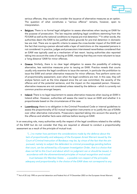

serious offences, they would not consider the issuance of alternative measures as an option. The question of what constitutes a "serious offence" remains, however, open to interpretation.

- **Belgium:** There is no formal legal obligation to assess alternatives when issuing an EAW for the purpose of prosecution. The law requires satisfying legal conditions stemming from the FD EAW as well as the national conditions to impose pre-trial detention.<sup>[160](#page-43-0)</sup> In other words, the authorities deem the EAW to be justified where grounds for pre-trial detention in domestic law are met. There are no specific criteria to assess the cross-border impact of the EAW and the fact that moving a person abroad adds a layer of restrictions on the requested persons is not considered. In practice, judges and prosecutors interviewed nevertheless considered that an EAW was typically used as a mechanism of last resort. Issuing authorities also reported taking into account the costs of issuing an EAW, meaning that they are more reluctant to issue a 'long distance' EAW for minor offences.
- Greece: Similarly, there is no clear legal obligation to assess the possibility of ordering alternative, less restrictive measures prior to issuing an EAW. Practice reveals that courts usually only examine the legal conditions to issue the warrant, in particular the prohibition to issue the EAW and certain alternative measures for minor offences. Few perform some sort of proportionality assessment, even when the legal conditions are met. In this case, they will analyse factors such as the time elapsed since the act was committed, the severity of the offence and of the potential sentence, and the impact on the requested person. However, alternative measures are not considered unless raised by the defence – which is currently not common practice amongst lawyers.
- Ireland: There is no legal requirement to assess alternative measures when issuing an EAW in Ireland either. However, authorities will assess the need to issue an EAW and whether it is proportionate based on the circumstances of the case.
- Luxembourg: there is no obligation in the Criminal Procedural Code or internal guidelines to assess the proportionality of EU mutual recognition instruments or to justify the use of EAWs over other alternative instruments. Prosecutors reported taking into account the severity of the offence and whether facts were old/new before issuing an EAW.

In an executing role, many authorities verify the respect of the legal conditions related to the validity of the EAW but do not consider that they are required or allowed to conduct a proportionality assessment as a result of the principle of mutual trust.

*"[...] no matter how pertinent the considerations made by the defence about the lack of proportionality and adequacy of the European Arrest Warrant issued by the Court of Criminal Instruction of Bordeaux may be, by virtue of the fact that the aim pursued, namely to subject the defendant to criminal proceedings pending before that court, can be achieved by a European Investigation Order, that is a choice that does not fall to this Court and about which no judgment can or should be issued, in accordance with the aforementioned principles of mutual recognition and mutual trust between EU Member States … a possible non-respect of the principles adequacy and proportionality in the choice of the EAW does not correspond to any* 

<span id="page-43-0"></span><sup>&</sup>lt;sup>160</sup> Act of 20 July 1990 on pre-trial detention and Federal Act of 19 December 2003 on the European Arrest Warrant.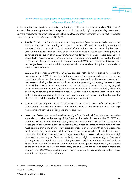

#### *of the admissible legal ground for opposing or refusing surrender of the detainee." – Supreme Court of Portugal[161](#page-44-0)*

In the countries surveyed in our study, our findings confirm a tendency towards a "blind trust" approach by executing authorities in respect to the issuing authority's proportionality assessment. Lawyers interviewed reported judges not willing to allow any argument which is not directly linked to one of the grounds of refusal of the FD EAW.

- Austria: Some practitioners recognise that they receive EAW requests which they do not consider proportionate, notably in respect of minor offences. In practice, they try to circumvent the absence of the legal ground of refusal based on proportionality by raising other arguments. For instance, some practitioners seem to interpret extensively the possibility to refuse the execution of an EAW for Austrian residents,<sup>[162](#page-44-1)</sup> which also covers persons wellintegrated in Austrian society. One prosecutor mentioned the possibility to invoke the right to private and family life to refuse the execution of an EAW in such cases, but this argument has not yet been applied. In addition, they would not order detention prior to surrender in cases of minor offences.
- **Belgium:** In accordance with the FD EAW, proportionality is not a ground to refuse the execution of an EAW. In practice, judges reported that they would frequently opt for conditional release pending surrender if the EAW relates to minor offences such as cannabis possession or driving offences and would examine the possibility of refusing the execution of the EAW based on a broad interpretation of one of the legal grounds. However, they will nevertheless execute the EAW, without seeking to contact the issuing authority about the possibility of ordering an alternative measure. Judges and prosecutors interviewed believe that introducing proportionality as a clear legal ground for refusal would undermine the effectiveness and the rapidity of European criminal cooperation.
- Greece: The law requires the decision to execute an EAW to be specifically reasoned.<sup>[163](#page-44-2)</sup> Greek authorities essentially assess the compatibility of the measures with the legal frameworks of both the executing and the issuing state.
- Ireland: All EAWs must be endorsed by the High Court in Ireland. The defendant can either surrender or challenge the issuing of the EAW on the basis of criteria in the FD EAW and additional criteria in the Irish legislation, including that an EAW will not be issued for an investigation but only for a trial or imposition of a custodial sentence and that the offence must attract a minimum of one-year custodial sentence or a four-month custodial sentence must have already been imposed. In general, however, respondents to ICCL's interviews considered that Courts are reluctant to reject requests for EAWs and there is a very high threshold for rejecting an EAW on the basis that it might contravene rights. Successful challenges have included those that challenge prison conditions or where an EAW has been issued following a trial in absentia. Courts generally do not apply a proportionality assessment to the execution of the EAW but rather carry out an assessment as to whether it meets the criteria in the FD EAW and Irish legislation. This will lead courts to refuse to surrender in cases which do not appear to be trial ready.

<span id="page-44-0"></span><sup>161</sup> Supreme Court of Portugal, Case 739/20.9YRLSB-S1, 3 June 2020 (our translation).

<span id="page-44-1"></span><sup>162</sup> Para 5 of EU-JZG.

<span id="page-44-2"></span><sup>163</sup> Article 19 (3) of law 3251/2004.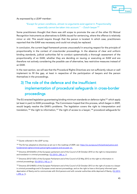

As expressed by a LEAP member:

#### *"Except for prison conditions, almost no arguments exist against it. Proportionality especially cannot be taken into account." – Dutch lawyer[164](#page-45-0)*

Some practitioners thought that there was still scope to promote the use of the other EU Mutual Recognition Instruments as alternatives to EAWs issued for sentencing, where the offence is relatively minor or old. This would require though that the person is located. In which case, practitioners reported that the EAW was necessary and could not simply be replaced.

In conclusion, the current legal framework proves unsuccessful in ensuring respect for the principle of proportionality in the context of cross-border proceedings. In the absence of clear and uniform binding standards, judicial authorities fail to conduct systematically a thorough assessment of the proportionality of an EAW, whether they are deciding on issuing or executing an EAW and are therefore not actively considering the possible use of alternative, less restrictive measures instead of an EAW.

In the next section, we will see that the Procedural Rights Directives are not sufficiently robust or well implement to fill the gap, at least in respective of the participation of lawyers and the person themselves in the proceedings.

# 3) The role of the defence and the insufficient implementation of procedural safeguards in cross-border proceedings

The EU enacted legislation guaranteeing binding minimum standards on defence rights<sup>[165](#page-45-1)</sup> which apply (at least in part) to EAW proceedings. The Commission hoped that this process, which began in 2009, would largely resolve the EAW's problems. The legislation covers the right to interpretation and translation,<sup>[166](#page-45-2)</sup> the right to information,<sup>[167](#page-45-3)</sup> the right of access to a lawyer,<sup>[168](#page-45-4)</sup> procedural safeguards for

<span id="page-45-0"></span><sup>&</sup>lt;sup>164</sup> Quote collected in the LEAP survey.

<span id="page-45-1"></span><sup>&</sup>lt;sup>165</sup> The EU has adopted six directives as set out in the roadmap of 2009, see: [https://ec.europa.eu/info/policies/justice-and](https://ec.europa.eu/info/policies/justice-and-fundamental-rights/criminal-justice/rights-suspects-and-accused_en)[fundamental-rights/criminal-justice/rights-suspects-and-accused\\_en.](https://ec.europa.eu/info/policies/justice-and-fundamental-rights/criminal-justice/rights-suspects-and-accused_en)

<span id="page-45-2"></span><sup>&</sup>lt;sup>166</sup> Directive 2010/64/EU of the European parliament and of the Council of 20 October 2010 on the right to interpretation and translation in criminal proceedings, [\(OJ 2010 L 280, p. 1\)](http://eur-lex.europa.eu/legal-content/EN/TXT/?qid=1415136984378&uri=CELEX:32010L0064).

<span id="page-45-3"></span><sup>&</sup>lt;sup>167</sup> Directive 2012/13/EU of the European Parliament and of the Council of 22 May 2012 on the right to information in criminal proceedings, [\(OJ 2012 L 142, p. 1\)](http://eur-lex.europa.eu/legal-content/EN/TXT/?qid=1415137055697&uri=CELEX:32012L0013).

<span id="page-45-4"></span><sup>&</sup>lt;sup>168</sup> Directive 2013/48/EU of the European Parliament and of the Council of 22 October 2013 on the right of access to a lawyer in criminal proceedings and in European arrest warrant proceedings, and on the right to have a third party informed upon deprivation of liberty and to communicate with third persons and with consular authorities while deprived of liberty, (OJ 2013 [L 290, p.](http://eur-lex.europa.eu/legal-content/EN/TXT/?qid=1415137138499&uri=CELEX:32013L0048) 1).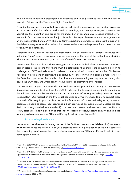

children,<sup>[169](#page-46-0)</sup> the right to the presumption of innocence and to be present at trial<sup>[170](#page-46-1)</sup> and the right to legal aid<sup>[171](#page-46-2)</sup> (together, the 'Procedural Rights Directives').

Procedural safeguards, particularly the pre-trial period, aim at placing a person in a position to prepare and exercise an effective defence. In domestic proceedings, it is often up to lawyers to make a case against pre-trial detention and argue for the imposition of an alternative measure instead, or for release. In fact, our research shows that judicial authorities expect lawyers to make the argument for an alternative instead of an EAW. This is certainly a questionable practice as it places the burden on the defence to argue for an alternative or for release, rather than on the prosecution to make the case for an EAW and detention.

Moreover, the EU Mutual Recognition Instruments are all expressed as optional measures that authorities "may" issue – there remains great discretion on the part of the authorities in deciding whether to issue such a measure, and the role of the defence in this context is key.

Lawyers must be placed in a position to suggest and argue for individualised alternatives. In a crossborder setting, this means that there must be safeguards that enable the requested person to challenge an EAW and advocate for release or the application instead of another EU Mutual Recognition Instrument. In practice, this opportunity will arise only when a person is made aware of the EAW, i.e., upon arrest. But at this point, they are in the executing country, not the country that issued the EAW. How and where can they advocate for an alternative or for release?

The Procedural Rights Directives do not explicitly cover proceedings relating to EU Mutual Recognition Instruments other than the EAW. In addition, the transposition and implementation of the relevant provisions by Member States in the context of EAW proceedings remains largely inadequate.<sup>[172](#page-46-3)</sup> Our research in the five target countries confirms systematic failure to respect these standards effectively in practice. Due to the ineffectiveness of procedural safeguards, requested persons are unable to access legal assistance in both issuing and executing states (i), access the case file in the issuing state before surrender (ii) or access interpretation and translation services (iii). As a result, persons are not in a position to challenge the decision to issue/execute an EAW and to plead for the possible use of another EU Mutual Recognition Instrument instead (iv).

#### i. Access to legal assistance

Lawyers can play a key role in limiting the use of the EAW (and related pre-trial detention) to cases in which the measures are justified. A lawyer's presence and active participation at the initial stages of the proceedings can increase the chance of release or of another EU Mutual Recognition Instrument being applied instead.

<span id="page-46-0"></span><sup>&</sup>lt;sup>169</sup> Directive 2016/800 of the European parliament and of the Council of 11 May 2016 on procedural safeguards for children who are suspects and accused in criminal proceedings, [\(OJ L 132, 21.5.2016, p. 1\).](https://eur-lex.europa.eu/legal-content/EN/TXT/?uri=CELEX%3A32016L0800)

<span id="page-46-1"></span><sup>170</sup> Directive (EU) 2016/343 of the European Parliament and of the Council of 9 March 2016 on the strengthening of certain aspects of the presumption of innocence and of the right to be present at the trial in criminal proceedings, (OJ L 65, [11.3.2016, p. 1\).](https://eur-lex.europa.eu/legal-content/EN/TXT/?uri=CELEX:32016L0343)

<span id="page-46-2"></span><sup>&</sup>lt;sup>171</sup> Directive 2016/1919 of the European Parliament and of the Council of 26 October 2016 on legal aid for suspects and accused persons in criminal proceedings and for requested persons in European arrest warrant proceedings, (OJ L 297, [4.11.2016 p. 1;](https://eur-lex.europa.eu/legal-content/EN/TXT/?uri=CELEX%3A32016L1919) [corrigendum OJ L91 5.4.2017, p. 40\)](https://eur-lex.europa.eu/legal-content/EN/TXT/PDF/?uri=OJ:L:2017:091:FULL&from=LV).

<span id="page-46-3"></span><sup>172</sup> European Parliamentary Research Service, Wouter van Ballegooij, European Arrest Warrant, European Implementation [Assessment,](https://www.europarl.europa.eu/thinktank/en/document.html?reference=EPRS_STU(2020)642839) June 2020, p. 41.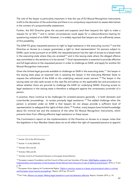

The role of the lawyer is particularly important in that the use of EU Mutual Recognition Instruments is left to the discretion of the authorities and there is no compulsory requirement to assess alternatives in the context of a proportionality assessment.

Further, the EIO Directive gives the accused and suspects (and their lawyers) the right to make a request for an EIO,<sup>[173](#page-47-0)</sup> and in certain circumstances could apply for a videoconference hearing for questioning instead of an EAW. However, it is widely reported that lawyers are not sufficiently aware of this possibility.

The EAW FD gives requested persons to right to legal assistance in the executing country<sup>[174](#page-47-1)</sup> and the Directive on Access to a Lawyer guarantees a right to 'dual representation' for persons subject to EAWs: upon arrest pursuant to an EAW, the requested person has the right of access to a lawyer both in the executing state where they are arrested<sup>[175](#page-47-2)</sup> and in the issuing state where the alleged offence was committed or the sentence is to be served.[176](#page-47-3) Dual representation is essential to provide effective and full legal advice to the requested person in order to challenge an EAW, and apply for another EU Mutual Recognition Instrument.

Given the limited legal grounds available to challenge an EAW in the executing state,<sup>[177](#page-47-4)</sup> the lawyer in the issuing state plays an essential role in assisting the lawyer in the executing Member State to request the withdrawal of the EAW or the underlying national arrest warrant.<sup>[178](#page-47-5)</sup> The lawyer in the issuing state can also seek access to the case file and advise on the applicable law and procedure to advise whether there are grounds to challenge the EAW (or underlying NAW). Ensuring access to legal assistance in the issuing state is therefore a safeguard against the unnecessary surrender of a person.

In practice, there continue to be challenges for arrested persons generally – in both domestic and cross-border proceedings - to access promptly legal assistance. [179](#page-47-6) The added challenge when the person is arrested under an EAW is that lawyers do not always provide a sufficient level of representation to safeguard the rights of their client.<sup>[180](#page-47-7)</sup> Further, many lawyers have limited knowledge about EU criminal law and the existence of the other EU Mutual Recognition Instruments, which prevents them from offering effective legal assistance on these issues.

The Commission's report on the implementation of the Directive on Access to a Lawyer notes that the legislation in four Member States does not at all reflect the right of requested persons to appoint

<span id="page-47-6"></span>179 European Union Agency for Fundamental Rights, 'Rights in practice: access to a lawyer and procedural rights in criminal [and European arrest warrant proceedings',](https://fra.europa.eu/sites/default/files/fra_uploads/fra-2019-rights-in-practice-access-to-a-lawyer-and-procedural-rights-in-criminal-and-european-arrest-warrant-proceedings.pdf) Report, 2019 pp. 59 and ff.

<span id="page-47-0"></span><sup>173</sup> Article 1(3) of the EIO Directive.

<span id="page-47-1"></span><sup>174</sup> Article 11 of the EAW FD.

<span id="page-47-2"></span><sup>175</sup> Articles 10(1) and (2).

<span id="page-47-3"></span><sup>176</sup> Articles 10(4) and (5).

<span id="page-47-4"></span><sup>&</sup>lt;sup>177</sup> Articles 3 and 4 of Framework Decision on European Arrest Warrant.

<span id="page-47-5"></span><sup>178</sup> European Lawyers Foundation and the Council of Bars and Law Societies of Europe, EAW-Rights: analysis of the

[implementation and operation of the European Arrest Warrant from the point of view of defence practitioners,](http://europeanlawyersfoundation.eu/wp-content/uploads/2016/11/EAW-FINAL-REPORT-2016-11-22.pdf) 2016, p. 9 and p. 49.

<span id="page-47-7"></span><sup>&</sup>lt;sup>180</sup> Fair Trials[, Where's my lawyer: Making legal assistance in pre-trial detention effective,](https://www.fairtrials.org/sites/default/files/publication_pdf/Wheres-my-lawyer-making-legal-assistance-in-pre-trial-detention-effective.pdf) Report, October 2019, p. 14.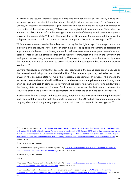

a lawyer in the issuing Member State.<sup>[181](#page-48-0)</sup> Some five Member States do not clearly ensure that requested persons receive information about this right without undue delay. [182](#page-48-1) In Bulgaria and Greece, for instance, no information is provided since the appointment of a lawyer is considered to be a matter of the issuing state only.<sup>[183](#page-48-2)</sup> Moreover, the legislation in seven Member States does not mention the obligation to inform the issuing state of the wish of the requested person to appoint a lawyer in the issuing state.<sup>[184](#page-48-3)</sup> Finally, the legislation in 10 Member States does not transpose the obligation to inform to help the requested person to appoint a lawyer in the issuing state.<sup>[185](#page-48-4)</sup>

While the countries surveyed within this research recognise the right to appoint a lawyer in both the executing and the issuing state, none of them have set up specific mechanism to facilitate the appointment of a lawyer in the issuing state or in their own state when the suspect person is located abroad. There is also no official mechanism to facilitate communication between the lawyers in the issuing and the executing states. As stressed by FRA, most of the time, the authorities simply inform the requested persons of their right to access a lawyer in the issuing state but provide no practical assistance.[186](#page-48-5)

Lawyers interviewed confirmed that access to legal assistance in the issuing state largely depends on the personal relationships and the financial ability of the requested persons, their relatives or their lawyer in the executing state to make the necessary arrangements. In practice, this means the requested person who can afford it will hire a private lawyer to make applications in the issuing state, often at significant cost. In some cases, lawyers will use their own private networks to ask lawyers in the issuing state to make applications. But in most of the cases, the first contact between the requested person and a lawyer in the issuing state will be after the person has been surrendered.

In addition to finding a lawyer in the issuing state, other difficulties arise such as meeting the costs of dual representation and the tight time-limits imposed by the EU mutual recognition instruments. Language barriers also negatively impact communication with the lawyer in the issuing state.<sup>[187](#page-48-6)</sup>

<span id="page-48-3"></span>184 Article 10(5) of the Directive.

<span id="page-48-4"></span> $185$  Ibid.

<span id="page-48-0"></span><sup>&</sup>lt;sup>181</sup> European Commission, Report from the Commission to the European Parliament and the Council on the implementation [of Directive 2013/48/EU of the European Parliament and of the Council of 22 October 2013 on the right to access to a lawyer](https://eur-lex.europa.eu/legal-content/GA/TXT/?uri=CELEX:52019DC0560)  in criminal proceedings and in European arrest warrant proceedings, and on the right to have a third person informed upon [deprivation of liberty and to communicate with the third persons and with consular authorities while deprived of liberty,](https://eur-lex.europa.eu/legal-content/GA/TXT/?uri=CELEX:52019DC0560) 26 September 2019.

<span id="page-48-1"></span><sup>182</sup> Article 10(4) of the Directive.

<span id="page-48-2"></span><sup>&</sup>lt;sup>183</sup> European Union Agency for Fundamental Rights (FRA), Rights in practice: access to a lawyer and procedural rights in [criminal and European arrest warrant proceedings,](https://fra.europa.eu/sites/default/files/fra_uploads/fra-2019-rights-in-practice-access-to-a-lawyer-and-procedural-rights-in-criminal-and-european-arrest-warrant-proceedings.pdf) Report, 2019, p. 65.

<span id="page-48-5"></span><sup>&</sup>lt;sup>186</sup> European Union Agency for Fundamental Rights (FRA), Rights in practice: access to a lawyer and procedural rights in [criminal and European arrest warrant proceedings,](https://fra.europa.eu/sites/default/files/fra_uploads/fra-2019-rights-in-practice-access-to-a-lawyer-and-procedural-rights-in-criminal-and-european-arrest-warrant-proceedings.pdf) Report, 2019, p. 65.

<span id="page-48-6"></span><sup>&</sup>lt;sup>187</sup> European Lawyers Foundation and the Council of Bars and Law Societies of Europe, **EAW-Rights: analysis of the** [implementation and operation of the European Arrest Warrant from the point of view of defence practitioners,](http://europeanlawyersfoundation.eu/wp-content/uploads/2016/11/EAW-FINAL-REPORT-2016-11-22.pdf) 2016, pp. 49-54.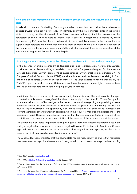

#### Promising practice: Providing time for communication between lawyers in the issuing and executing state

In Ireland, it is common for the High Court to grant adjournments in order to allow the Irish lawyer to contact lawyers in the issuing state and, for example, clarify the state of proceedings in the issuing state, or to apply for the withdrawal of the EAW. However, ultimately it will be necessary for the requested person or their lawyers to initiate such a contact. A major issue identified by those interviewed by ICCL was that there is no legal aid to cover work by a lawyer in the Issuing State to support these requests and defendants must hire them privately. There is also a lack of a network of lawyers across the EU who are experts on EAWs and who could aid those in the executing state. Respondents suggested this would be very helpful.

#### Promising practice: Creating a shared list of lawyers specialised in EU cross-border proceedings

In the absence of official mechanism to facilitate dual legal representation, various organisations provide support to lawyers willing to establish contact with European colleagues. For instance, the Defence Extradition Lawyer Forum aims to assist defence lawyers practicing in extradition.<sup>[188](#page-49-0)</sup> The European Criminal Bar Association (ECBA) website indicates details of lawyers specialising in fraud and compliance across Council of Europe countries.<sup>[189](#page-49-1)</sup> The Legal Experts Advisory Panel (LEAP), Fair Trials' European network of around 200 experts in criminal justice and human rights, have also been praised by practitioners as valuable in helping lawyers to connect.

In addition, there is a concern as to access to quality legal assistance. The vast majority of lawyers consulted for this research recognised that they do not apply for the other EU Mutual Recognition Instruments due to lack of knowledge. In this respect, the situation regarding the possibility to serve detention pending or post sentencing in Belgium when the person presents strong ties with the country is quite illustrative. This opportunity is enshrined in Belgian legislation<sup>[190](#page-49-2)</sup> and in practice, the relevant authorities always grant such possibility when the request is made (and the person meets the eligibility criteria). However, practitioners reported that lawyers lack knowledge in respect of this possibility and fail to apply for such a possibility, at the expense of the accused or convicted person.

The situation is even worse for persons relying on legal aid. Research reveals considerable gaps in the quality of legal defence for persons relying on legal aid lawyers. For instance, in Austria and Greece, legal aid lawyers are assigned to cases for which they might have no expertise, or there is no requirement that they even be specialised in criminal law.[191](#page-49-3)

The Legal Aid Directive indicates that the issuing state has the responsibility to ensure that requested persons who wish to appoint a lawyer in the issuing state in order to assist the lawyer in the executing

<span id="page-49-0"></span><sup>188</sup> See DELF website, [http://delf.org.uk/.](http://delf.org.uk/)

<span id="page-49-1"></span><sup>189</sup> See ECBA[, Criminal Defence Lawyers in Europe,](https://www.ecba.org/contactslist/contacts-search-country.php) 30 January 2021.

<span id="page-49-2"></span><sup>&</sup>lt;sup>190</sup> See Articles 6.4 and 8 of the Federal Act of 19 December 2003 on the European Arrest Warrant which entered into force on 1 January 2004.

<span id="page-49-3"></span><sup>191</sup> See along the same lines, European Union Agency for Fundamental Rights, 'Rights in practice: access to a lawyer and [procedural rights in criminal and European arrest warrant proceedings',](https://fra.europa.eu/sites/default/files/fra_uploads/fra-2019-rights-in-practice-access-to-a-lawyer-and-procedural-rights-in-criminal-and-european-arrest-warrant-proceedings.pdf) Report, 2019, p. 67.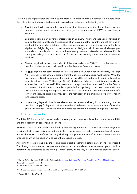

state have the right to legal aid in the issuing state.<sup>192</sup> In practice, this is a considerable hurdle given the difficulties for the requested person to access legal assistance in the issuing state.

- Austria: legal aid is not regularly granted post-sentencing, meaning the sentenced person may not receive legal assistance to challenge the issuance of an EAW for executing a sentence.
- **Belgium:** legal aid only covers representation in Belgium. This means that acts conducted by Belgian lawyers to challenge the issuance of an EAW in another country are not covered by legal aid. Further, where Belgium is the issuing country, the requested person will only be eligible for Belgian legal aid once transferred to Belgium, which hinders challenges presurrender for people who do not have the necessary means to privately fund a lawyer. Finally, some proceedings such as a prison transfer request are not eligible for compensation under legal aid.
- Greece: legal aid was only extended to EAW proceedings in 2020<sup>[193](#page-50-1)</sup> but the law makes no mention of whether acts conducted in another Member State are covered.
- Ireland: legal aid for cases related to EAWs is provided under a specific scheme, the Legal Aid – Custody Issues Scheme, distinct from the general Criminal Legal Aid Scheme. While the Irish Supreme Court questioned the need for two different systems, it found no breach of equality before the law.[194](#page-50-2) The Legal Aid – Custody Issues Scheme is administrated by a board – rather than the Court itself. This means that the applicant first must seek from the Court a recommendation that the Scheme be applied before applying to the board which will then take the decision to grant legal aid. Besides, legal aid does not cover the appointment of a lawyer in the issuing state, but it may cover the request of an expert opinion or a lawyer report in the issuing state.
- Luxembourg: legal aid is only available when the person is already in Luxembourg. It is not possible to apply for legal aid before surrender. One lawyer also stressed the lack of flexibility of the system under which the level of income required to be eligible to legal aid is too low.

#### ii. Access to case file

The EAW FD limits the information available to requested persons only to the contents of the EAW and the possibility of consenting to surrender.<sup>[195](#page-50-3)</sup>

However, access to the information held by the issuing authorities is crucial to enable lawyers to provide effective legal assistance and, particularly, to challenge the underlying national arrest warrant and/or the EAW. The defence can only challenge the proportionality of an EAW if they know the grounds on which the decision is to issue the measure is based.

Access to the case file held by the issuing state must be facilitated before any surrender is ordered. The timing is fundamental because once the surrender is ordered, the requested person will be detained and transferred to the issuing Member State, where they will be detained again for days or

<span id="page-50-0"></span><sup>&</sup>lt;sup>192</sup> Article 5(2) of the Legal Aid Directive.Ballegooij, [Procedural Rights and Detention Conditions –](https://www.europarl.europa.eu/RegData/etudes/STUD/2017/611008/EPRS_STU(2017)611008_EN.pdf) Cost of Non-Europe [Report,](https://www.europarl.europa.eu/RegData/etudes/STUD/2017/611008/EPRS_STU(2017)611008_EN.pdf) December 2017, p. 42.

<span id="page-50-1"></span><sup>193</sup> Law 4689/2020, enacted on 27 May 2020.

<span id="page-50-2"></span><sup>194</sup> Irish Supreme Court, Minister for Justice and Equality v. O'Connor [2017] IESC 21.

<span id="page-50-3"></span><sup>195</sup> Article 11(1) of the EAW FD.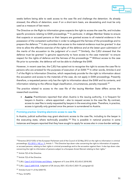

weeks before being able to seek access to the case file and challenge the detention. As already stressed, the effects of detention, even if on a short-term basis, are devastating and must be only used as a measure of last resort.

The Directive on the Right to Information gives suspects the right to access the case file, and includes specific provisions relating to EAW proceedings.<sup>[196](#page-51-0)</sup> In particular, it obliges Member States to ensure that suspects or accused persons or their lawyers are granted access to all material evidence in the possession of the competent authorities in order to safeguard the fairness of the proceedings and to prepare the defence.[197](#page-51-1) It also provides that access to the material evidence must be granted '*in due time to allow the effective exercise of the rights of the defence and at the latest upon submission of the merits of the accusation to the judgment of a court*'.[198](#page-51-2) Similarly, the CJEU stressed that the defence must be granted "a genuine opportunity to have access to the case materials" to ensure respect for the rights of defence and the fairness of the proceedings.[199](#page-51-3) Without access to the case file prior to surrender, the defence will not be able to challenge the EAW.

However, in recent case-law, the CJEU has opted not to recognise the right to access the case file to persons who are arrested for the purposes of execution of an EAW.<sup>[200](#page-51-4)</sup> In other words, Articles 6 and 7 of the Right to Information Directive, which respectively provide for the right to information about the accusation and access to the materials of the case, do not apply in EAW proceedings. Presently therefore, a requested person only has the right to information about the EAW and its contents, and information relating to the offence (legal classification, circumstances, penalty imposed).<sup>[201](#page-51-5)</sup>

The practice related to access to the case file of the issuing Member State differs across the researched countries.

Austria: Practitioners reported that when Austria is the issuing authority, it is frequent for lawyers in Austria – where appointed – also to request access to the case file. By contrast, access to case files is rarely requested by lawyers in the executing state. Therefore, in practice, access is typically only granted once the person is surrendered to Austria.

#### Promising practice: Granting electronic access to case file

In Austria, judicial authorities may grant electronic access to the case file, including to the lawyer in the executing state, where technically possible. <sup>[202](#page-51-6)</sup> This is possible in national practice in some instances and lawyers reported that they have sought to apply for access also in cross-border settings.

<span id="page-51-0"></span><sup>&</sup>lt;sup>196</sup>Directive 2012/13/EU of the European Parliament and of the Council of 22 May 2012 on the right to information in criminal proceedings, [\(OJ 2012 L 142, p. 1\)](http://eur-lex.europa.eu/legal-content/EN/TXT/?qid=1415137055697&uri=CELEX:32012L0013), Article 1: "This Directive lays down rules concerning the right to information of suspects or accused persons, relating to their rights in criminal proceedings and to the accusation against them. It also lays down rules concerning the right to information of persons subject to a European Arrest Warrant relating to their rights."

<span id="page-51-1"></span><sup>197</sup> Article 7(2) of the Directive.

<span id="page-51-2"></span><sup>198</sup> Article 7(3) of the Directive.

<span id="page-51-3"></span><sup>199</sup> CJEU, [Case C-612/15 Kolev and Others,](http://curia.europa.eu/juris/document/document.jsf?text=&docid=202545&pageIndex=0&doclang=en&mode=lst&dir=&occ=first&part=1&cid=14722182) Judgment of 5 June 2018, ECLI:EU:C:2018:392.

<span id="page-51-4"></span><sup>&</sup>lt;sup>200</sup> CJEU, [Case C-649/19 IR,](https://curia.europa.eu/juris/document/document.jsf?text=&docid=237088&pageIndex=0&doclang=EN&mode=lst&dir=&occ=first&part=1&cid=97024) Judgment of 28 January 2021, ECLI:EU:C:2021:75, paragraph 62.

<span id="page-51-5"></span><sup>201</sup> Articles 8 and 11 of the EAW FD.

<span id="page-51-6"></span><sup>202</sup> Para. 53 StPO.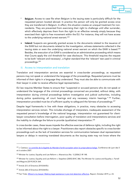

- Belgium: Access to case file when Belgium is the issuing state is particularly difficult for the requested person located abroad. In practice the person will only be granted access once they are transferred in Belgium. In effect, this situation creates an unequal treatment for nonresidents. They are prevented from exercising their right to challenge until after surrender, which effectively deprives them from the right to an effective remedy simply because they exercised their right to free movement within the EU. For instance, they will not have access to the underlying national arrest warrant.<sup>[203](#page-52-0)</sup>
- Ireland: Suspects are generally granted access to the documents related to the issuance of the EAW but not documents related to the investigation, witness statements collected in the issuing state or even the underlying national arrest warrant on which the EAW is based.<sup>[204](#page-52-1)</sup> Besides, the execution of an EAW is considered as an administrative proceeding which means that Courts apply the civil threshold for case disclosure. This threshold requires the request to be both 'relevant and necessary', a higher standard that the 'relevant' test used in criminal proceedings.[205](#page-52-2)

#### iii. Access to interpretation and translation

Translation and interpretation services are essential in cross-border proceedings, as requested persons may not speak or understand the language of the proceedings. Requested persons must be informed of their rights in a language they understand. They must also be able to communicate with their lawyer in order to receive effective legal representation.

EU law requires Member States to ensure that "suspected or accused persons who do not speak or understand the language of the criminal proceedings concerned are provided, without delay, with interpretation during criminal proceedings before investigative and judicial authorities, including during police questioning, all court hearings and any necessary interim hearings." [206](#page-52-3) Further, interpretation provided must be of sufficient quality to safeguard the fairness of proceedings.<sup>[207](#page-52-4)</sup>

Despite legal frameworks in line with these obligations, in practice, many obstacles to accessing interpretation services remain. This includes shortage of interpreters, inadequate assessment of the requested person's knowledge of the national language, interpretation not guaranteed for clientlawyer consultation before interrogation, poor quality of translation and interpretations services and the inability to challenge the failure to provide (qualitative) interpretation.<sup>[208](#page-52-5)</sup>

In cross-border cases, these issues impede the effective exercise of defence rights, including the right to be informed about the right to a lawyer. Practitioners also report obstacles specific to cross-border proceedings such as the lack of translation services for communication between dual representation lawyers or delays in receiving translated documents as the issuing state may not know where the

<span id="page-52-0"></span><sup>&</sup>lt;sup>203</sup> J. Castiaux, [Le contrôle de la légalité du Mandat d'arrêt européen selon la jurisprudence belge,](http://www.ecba.org/extdocserv/conferences/lyon2007/lyon2007-mandat-de-arret-be.pdf) Conférence de Lyon des 5 et 6 octobre 2007.

<span id="page-52-1"></span><sup>&</sup>lt;sup>204</sup> Minister for Justice, Equality and Law Reform v. Altaravicius (No. 1) [2006] 3 IR 148.

<span id="page-52-2"></span><sup>205</sup> Minister for Justice, Equality and Law Reform v. Stapelton [2005] IEHC 386; The Minister for Justice and Equality v. Farrell and Maguire [2019] IECA 364.

<span id="page-52-3"></span><sup>206</sup> Article 2(1) of Directive 2010/64/EU.

<span id="page-52-4"></span><sup>&</sup>lt;sup>207</sup> Article 2(8) of Directive 2010/64/EU.

<span id="page-52-5"></span><sup>&</sup>lt;sup>208</sup> Fair Trials[, Where's my lawyer: Making legal assistance in pre-trial detention effective,](https://www.fairtrials.org/sites/default/files/publication_pdf/Wheres-my-lawyer-making-legal-assistance-in-pre-trial-detention-effective.pdf) Report, October 2019, p. 23.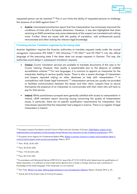

requested person can be reached.<sup>[209](#page-53-0)</sup> This in turn limits the ability of requested persons to challenge the issuance of an EAW against them.<sup>[210](#page-53-1)</sup>

• Austria: interviewed practitioners report that free interpretation has immensely improved the conditions of trials with a European dimension. However, it was also highlighted that when receiving an EAW sometimes only some statements of the suspect are translated and nothing more. Further, there are issues with the quality of translation, with professionals poorly remunerated and often lacking the relevant legal knowledge.

#### Promising practice: Translation organised by the issuing state

Austrian legislation requires the Austrian authorities to translate requests made under the mutual recognition instruments (FD EAW, <sup>[211](#page-53-2)</sup> EIO Directive, <sup>[212](#page-53-3)</sup> FD ESO<sup>[213](#page-53-4)</sup> and FD PAS<sup>[214](#page-53-5)</sup>) into the official language of the executing state if the latter does not accept requests in German. This way, the authorities avoid delays in subsequent translation requests.

- Greece: Courts' translation services are available to translate documents of the case or for Courts' hearing. However, their quality is questionable due to the absence of credible accreditation scheme.<sup>[215](#page-53-6)</sup> For rare languages, it is common to appoint an interpreter for the interpreter leading to serious quality issues. There is also a severe shortage of interpreters and lawyers reported relying on other detainees to help with interpretation. [216](#page-53-7) In contradiction with Greek legal framework,<sup>[217](#page-53-8)</sup> interpretation services are usually not provided to facilitate communication between the lawyer and their client. Lawyers have to secure themselves the presence of an interpreter to communicate with their client who will have to pay for that service.
- Ireland: While practitioners surveyed were generally satisfied with access to interpretation in Ireland, LEAP members report recurring issuing concerning the quality of interpretation issues. In particular, there are no specific qualification requirements for interpreters. One interviewee reported that the interpreter had a degree in science. There is no register of legal interpreters in Ireland.

<span id="page-53-0"></span><sup>&</sup>lt;sup>209</sup> European Lawyers Foundation and the Council of Bars and Law Societies of Europe, **EAW-Rights: analysis of the** [implementation and operation of the European Arrest Warrant from the point of view of defence practitioners,](http://europeanlawyersfoundation.eu/wp-content/uploads/2016/11/EAW-FINAL-REPORT-2016-11-22.pdf) 2016.

<span id="page-53-1"></span><sup>&</sup>lt;sup>210</sup> European Union Agency for Fundamental Rights (FRA), Rights in practice: access to a lawyer and procedural rights in [criminal and European arrest warrant proceedings,](https://fra.europa.eu/sites/default/files/fra_uploads/fra-2019-rights-in-practice-access-to-a-lawyer-and-procedural-rights-in-criminal-and-european-arrest-warrant-proceedings.pdf) Report, 2019.

<span id="page-53-2"></span><sup>211</sup> Para. 30 (2), (3) EU-JZG.

<span id="page-53-3"></span><sup>212</sup> Para. 56 (3) EU-JZG).

<span id="page-53-4"></span><sup>213</sup> Para. 115 (3) (2) EU-JZG.

<span id="page-53-5"></span><sup>214</sup> Para. 84 (1) EU-JZG.

<span id="page-53-6"></span><sup>&</sup>lt;sup>215</sup>In accordance with Ministerial Decree 67299 (O.G.G. Issue B No 2711/10.10.2014) which determines the qualifications of listed interpreters, it is sufficient to hold a high school diploma form a Greek or foreign school as well a certificate of knowledge of the Greek language, if the interpreter is a non-national.

<span id="page-53-7"></span><sup>&</sup>lt;sup>216</sup> Fair Trials[, Where's my layer: Making legal assistance in pre-trial detention effective,](https://www.fairtrials.org/sites/default/files/publication_pdf/Wheres-my-lawyer-making-legal-assistance-in-pre-trial-detention-effective.pdf) Report, October 2019, p. 23.

<span id="page-53-8"></span><sup>&</sup>lt;sup>217</sup> Article 233 of the Greek Code of Criminal Procedure.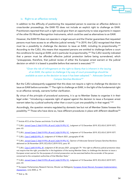

#### iv. Right to an effective remedy

In addition to the difficulty of positioning the requested person to exercise an effective defence in cross-border proceedings, the EAW FD does not include an explicit right to challenge an EAW. Practitioners reported that such a right would give them an opportunity to raise arguments in respect of the other EU Mutual Recognition Instruments, which could be used as alternatives to an EAW.

However, the EAW FD does not operate in a legal vacuum and the Charter guarantees that requested persons must have access to an effective judicial remedy.[218](#page-54-0) In 2019, the CJEU recognised that there must be a *possibility* to challenge the decision to issue an EAW, including its proportionality. [219](#page-54-1) According to the CJEU, this means that requested persons are entitled to challenge before a court the conditions for issuing an EAW, and in particular its proportionality.<sup>[220](#page-54-2)</sup> The CJEU recently indicated that a person must be afforded effective judicial protection *before* being surrendered, which "presupposes, therefore, that judicial review of either the European arrest warrant or the judicial decision on which it is based is possible before that warrant is executed."<sup>[221](#page-54-3)</sup>

### *"Given the risk of infringement on the right to liberty that is inherent in the issuing of an EAW, the option to challenge it by way of court proceedings should be available as soon as the decision to issue it has been adopted." - Advocate General Campos Sánchez-Bordona[222](#page-54-4)*

But the CJEU subsequently suggested that this does not require a right to challenge the decision to issue an EAW before surrender.<sup>[223](#page-54-5)</sup> The right to challenge an EAW, in the light of the fundamental right to an effective remedy, warrants further clarification.

By virtue of the principle of procedural autonomy, it is up to Member States to organise it in their legal order: "introducing a separate right of appeal against the decision to issue a European arrest warrant taken by a judicial authority other than a court is just one possibility in that regard."<sup>[224](#page-54-6)</sup>

Accordingly, the question remains regulated by domestic law but not all Member States foresee this possibility.<sup>[225](#page-54-7)</sup> Those who have done so, have different procedures in place with different deadlines<sup>226</sup>

<span id="page-54-8"></span><sup>226</sup> Ibid. p. 46.

<span id="page-54-0"></span><sup>&</sup>lt;sup>218</sup> Article 47(1) of the Charter and Article 13 of the ECHR.

<span id="page-54-1"></span><sup>&</sup>lt;sup>219</sup> CJEU, [Joined Cases C-566/19 PPU JR and C-626/19 PPU YC,](http://curia.europa.eu/juris/document/document.jsf?text=&docid=221509&pageIndex=0&doclang=en&mode=lst&dir=&occ=first&part=1&cid=14657350) Judgment of 12 December 2019, ECLI:EU:C:2019:1077, para. 63.

<span id="page-54-2"></span><sup>&</sup>lt;sup>220</sup> CJEU, [Joined Cases C-566/19 PPU JR and C-626/19 PPU YC,](http://curia.europa.eu/juris/document/document.jsf?text=&docid=221509&pageIndex=0&doclang=en&mode=lst&dir=&occ=first&part=1&cid=14657350) Judgment of 12 December 2019, ECLI:EU:C:2019:1077.

<span id="page-54-3"></span><sup>221</sup> CJEU, *[Case C-648/20 PPU, PI](https://curia.europa.eu/juris/document/document.jsf?text=&docid=238710&pageIndex=0&doclang=EN&mode=lst&dir=&occ=first&part=1&cid=801384)*, Judgment of 10 March 2021, paragraphs 47-48.

<span id="page-54-4"></span><sup>&</sup>lt;sup>222</sup> CJEU, [Joined Cases C-566/19 PPU JR and C-626/19 PPU YC,](http://curia.europa.eu/juris/document/document.jsf?text=&docid=220971&pageIndex=0&doclang=en&mode=lst&dir=&occ=first&part=1&cid=10610806) Opinion of Advocate General Campos Sánchez-Bordona delivered on 26 November 2019, ECLI:EU:C:2019:1012, para. 87.

<span id="page-54-5"></span><sup>&</sup>lt;sup>223</sup> CJEU, *[Case C-649/19 PPU, IR](https://curia.europa.eu/juris/document/document.jsf?text=&docid=237088&pageIndex=0&doclang=EN&mode=lst&dir=&occ=first&part=1&cid=4477304)*, Judgment of 28 January 2021, paragraph 79: "the right to effective judicial protection does not require that the right, provided for in the legislation of the issuing Member State, to challenge the decision to issue a European arrest warrant for the purposes of criminal prosecution can be exercised before the surrender of the person concerned to the competent authorities of that Member State."

<span id="page-54-6"></span><sup>&</sup>lt;sup>224</sup> CJEU, [Joined Cases C-566/19 PPU JR and C-626/19 PPU YC,](http://curia.europa.eu/juris/document/document.jsf?text=&docid=221509&pageIndex=0&doclang=en&mode=lst&dir=&occ=first&part=1&cid=14657350) Judgment of 12 December 2019, ECLI:EU:C:2019:1077, para. 63.

<span id="page-54-7"></span><sup>&</sup>lt;sup>225</sup> European Parliamentary Research Service, Wouter van Ballegooij, European Arrest Warrant, European Implementation [Assessment,](https://www.europarl.europa.eu/thinktank/en/document.html?reference=EPRS_STU(2020)642839) June 2020, p. 19.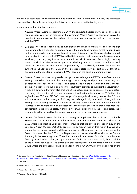

and their effectiveness widely differs from one Member State to another.<sup>[227](#page-55-0)</sup> Typically the requested person will only be able to challenge the EAW once surrendered in the issuing state.

In our research, the situation is varied.

- Austria: Where Austria is executing an EAW, the requested person may appeal. The appeal has a suspensive effect in respect of the surrender. Where Austria is issuing an EAW, it is possible to appeal against the decision of the court concerning the national arrest warrant and the EAW.
- **Belgium:** There is no legal remedy as such against the issuance of an EAW. The current legal framework only provides for an appeal against the underlying national arrest warrant based on the conditions to issue a national arrest warrant. This means that the requested person will only be able to challenge the EAW issued by Belgium after their surrender in Belgium, which, as already stressed, may involve an extended period of detention. Accordingly, the only avenue available to the requested person to challenge the EAW issued by Belgium itself, based for instance on the lack of proportionality, is to directly address the executing authorities. Challenging the EAW in the executing state may be particularly difficult as executing authorities tend to execute EAWs, based on the principle of mutual trust.
- Greece: Greek law does not provide the option to challenge the EAW where Greece is the issuing state. When Greece is the executing state, the requested person may challenge the decision to surrender them to the issuing state based on the grounds of mandatory non-execution, absence of double criminality or insufficient grounds to support the accusation.<sup>[228](#page-55-1)</sup> If they are detained, they may also challenge their detention prior to transfer. The competent court may lift detention altogether or replace it with alternative measures.<sup>[229](#page-55-2)</sup> Further, the legislation on ESO and FD PAS does not provide any judicial remedy. As for the EIO, the substantive reasons for issuing an EIO may be challenged only in an action brought in the issuing state, meaning that Greek authorities will only assess grounds for non-recognition.<sup>[230](#page-55-3)</sup> In practice, the lawyers interviewed noted that they usually share their arguments with their counterpart in the issuing state. If there is no lawyer appointed in the issuing state, their arguments will be shared by the executing authorities to the issuing authorities.
- **Ireland:** An EAW is issued by Ireland following an application by the Director of Public Prosecutions to the High Court or other relevant Court for an EAW. The Court will issue an EAW where it is satisfied upon reasonable grounds that the criteria outlined in s.33 of the European Arrest Warrant Act 2003 are met, in particular that an Irish Court has issued a warrant for the person's arrest and the person is in an EU country. Once the Court issues the EAW it is forward by the DPP to the Department of Justice who will send it to the Central Authority in the executing state. There is no automatic mechanism for a decision to issue an EAW by Ireland to be challenged by a defendant. An issuing state must apply for extradition to the Minister for Justice. The extradition proceedings must be endorsed by the Irish High Court, where the defendant is entitled to a fair hearing. An EAW will only be approved by the

<span id="page-55-0"></span><sup>&</sup>lt;sup>227</sup> European Lawyers Foundation and the Council of Bars and Law Societies of Europe, EAW-Rights: analysis of the [implementation and operation of the European Arrest Warrant from the point of view of defence](http://europeanlawyersfoundation.eu/wp-content/uploads/2016/11/EAW-FINAL-REPORT-2016-11-22.pdf) practitioners, 2016, pp. 62- 64; pp. 247-251.

<span id="page-55-1"></span><sup>228</sup> Article 450 (2) Code of Criminal Procedure.

<span id="page-55-2"></span><sup>229</sup> Article 12 of the Law 4307/2014.

<span id="page-55-3"></span><sup>230</sup> Articles 13 and 16, law 4489/2017.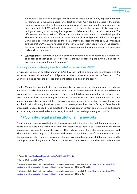

High Court if the person is charged with an offence that is punishable by imprisonment both in Ireland and in the Issuing State for at least one year. Or it can be executed if the person has been convicted of an offence and a sentence of at least four months imprisonment has been imposed. An EAW will not be executed by Ireland if the person is to be imprisoned during an investigation, but only for purposes of trial or execution of a prison sentence. The offence must not be a political offence and the offence must not attract the death penalty. The State cannot issue a warrant in contravention of its obligations under the European Convention on Human Rights or the Irish Constitution. Respondents to ICCL interviews, outlined that EAW requests rejected by the Irish Courts in recent years were on the basis that the prison conditions in the issuing state were sub-standard or where a person has been tried and convicted in absentia.

• Luxembourg: By contrast, requested persons in Luxembourg have access to a general right of appeal to challenge an EAW. Moreover, the law transposing the EAW FD has specific provisions relating to the right to appeal.<sup>[231](#page-56-0)</sup>

#### Promising practice: Challenging identification before the execution of EAW

In Greece, the person arrested under an EAW has the right to dispute their identification as the requested person before the Court of Appeals decides on whether to execute the EAW or not. The Court is obliged to hear the defence argument before deciding on the case.<sup>[232](#page-56-1)</sup>

The EU Mutual Recognition Instruments are cross-border cooperation instruments and as such, are addressed to judicial authorities and prosecutors. They are framed as optional, leaving wide discretion to authorities to decide whether to resort to them or not. It is however known that lawyers play a key role at domestic level in advocating for alternative measures to arrest and detention, and the same applies in a cross-border context. It is necessary to place lawyers in a position to make the case for another EU Mutual Recognition Instrument, or for release, when their client is facing an EAW. For this, procedural safeguards need to be adapted to the cross-border context and lawyers in both issuing and executing states need to be more closely involved in proceedings as early as possible.

### 4) Complex legal and institutional frameworks

Participants surveyed across the jurisdictions represented in the study stressed that under-resourced courts and lawyers have insufficient time and resources to devote to assess other EU Mutual Recognition Instruments in specific cases.<sup>[233](#page-56-2)</sup> The findings reflect the challenges at domestic level, where judges are making pre-trial detention decisions on the basis of insufficient information about the person and risks if they are released or alternatives are applied instead of detention, they tend to credit prosecutorial arguments in favour of detention.[234](#page-56-3) It is essential to address such informational

<span id="page-56-0"></span><sup>&</sup>lt;sup>231</sup> Article 13[, http://legilux.public.lu/eli/etat/leg/loi/2004/03/17/n1/jo.](http://legilux.public.lu/eli/etat/leg/loi/2004/03/17/n1/jo)

<span id="page-56-1"></span><sup>232</sup> Article 15 (4), Law 3251/2004.

<span id="page-56-2"></span><sup>&</sup>lt;sup>233</sup> We made similar findings for pre-trial detention hearings at domestic level. Fair Trials, A Measure of Last Resort? The [practice of pre-trial detention decision-making in the EU,](https://www.fairtrials.org/publication/measure-last-resort) Report, May 2016, pp. 12 and ff.

<span id="page-56-3"></span><sup>&</sup>lt;sup>234</sup> We made similar findings for pre-trial detention hearings at domestic level. Fair Trials, <u>A Measure of Last Resort? The</u> [practice of pre-trial detention decision-making in the EU,](https://www.fairtrials.org/publication/measure-last-resort) Report, May 2016, p. 12.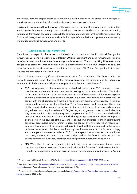

imbalances, because proper access to information is instrumental in giving effect to the principle of equality of arms and enabling effective judicial protection of people's rights.

This is made even more difficult because of the complexity of the legal framework, which adds further administrative burden to already over loaded practitioners (i). Additionally, the corresponding institutional framework allocating responsibility to different authorities for the implementation of the EU Mutual Recognition Instruments adds a further layer of complexity and prevents the necessary information exchange between stakeholders (ii).

#### i. Complexity of legal frameworks

Practitioners surveyed in this research criticised the complexity of the EU Mutual Recognition Instruments. Each one is governed by a different EU legal instrument and each instrument has its own set of objectives, conditions, time limits and grounds for refusal. The most striking illustration is the obligation to assess the proportionality which is clearly indicated in the EIO Directive while all the other instruments remain silent on this point. Moreover, each EU Mutual Recognition Instruments requires implementation at national level.

This complexity creates a significant administrative burden for practitioners. The European Judicial Network Secretariat noted that one of the reasons explaining the under-use of EU alternative instruments is the burdensome administrative procedures that must be followed.<sup>[235](#page-57-0)</sup>

- ESO: As opposed to the surrender of a detained person, the ESO requires constant coordination and communication between the issuing and executing authorities. This is due to the provisional nature of the measures and the lack of competence of the executing state to make subsequent decision on the measures in question, notably when the person fails to comply with the obligations or if there is a need to modify supervisory measures. This implies considerable workload for the authorities.<sup>[236](#page-57-1)</sup> The Commission itself recognised that it is a highly complicated instrument to be used in the pre-trial phase of the proceedings when judges have to make quick decisions.<sup>[237](#page-57-2)</sup> Belgian lawyers, judges and prosecutors criticised the very heavy administrative burden required to implement the ESO – a measure which will in principle last a short amount of time and which requires quick execution. They also reported delays between the issuance of the ESO and its execution. For persons living in neighbouring countries, prosecutors tend to prefer to keep the control over the supervision measures in Belgium. This means that the suspect will have to travel to Belgium to report to the Belgian probation services. Another issue mentioned by practitioners relates to the failure to comply with the supervision measure under an ESO. If the suspect does not respect the conditions, the issuing authority will need to start a second procedure: the EAW. In order to avoid this double administrative burden, practitioners often prefer to directly resort to an EAW.
- EIO: While the EIO was recognised to be quite successful by several practitioners, some Austrian practitioners also found "forms overloaded with information" burdensome. Further, it would not be possible to hear an accused person via videoconference because, in Austria,

<span id="page-57-0"></span><sup>&</sup>lt;sup>235</sup> European Judicial Network Secretariat (EJNS), [Report on activities and management 2017-2018,](https://www.ejn-crimjust.europa.eu/ejnupload/reportsEJN/ReportSecretariat%20.pdf) 2019, p. 16.

<span id="page-57-1"></span><sup>&</sup>lt;sup>236</sup> Ana Maria Neira-Pena, The Reasons Behind the Failure of the European Supervision Order: The Defeat of Liberty Versus [Security,](http://www.europeanpapers.eu/en/europeanforum/reasons-behind-failure-european-supervision-order-defeat-liberty-versus-security) European Papers, European Forum, 4 November 2020, pp. 13-15.

<span id="page-57-2"></span><sup>&</sup>lt;sup>237</sup> European Parliamentary Research Service, Wouter van Ballegooij, European Arrest Warrant, European Implementation [Assessment,](https://www.europarl.europa.eu/thinktank/en/document.html?reference=EPRS_STU(2020)642839) June 2020, p. 62.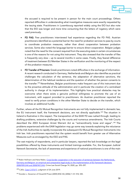

the accused is required to be present in person for the main court proceedings. Others reported difficulties in understanding what investigative measures were exactly requested by the issuing state. Practitioners in Luxembourg reported widely using the EIO but also note that the EIO was longer and more time consuming that the letters of rogatory which were used previously.

- FD PAS: Few practitioners interviewed had experience regarding the FD PAS. Austrian practitioners identified as a potential barrier the need for probation services to pass by courts to coordinate probation measures, rather than direct cooperation between probation services. Some also noted the language barrier to ensure direct cooperation. Belgian judges noted that the need for the consent required from the executing state in certain circumstances is one of the reasons for not using this instrument. They also stressed that the transfer of files is frequently very slow – up to several months in some cases. Finally, they feared difference of treatment between EU Member States in the verification and the monitoring of the respect of the probation measures.
- FD Transfer of Prisoners: Greek practitioners noted difficulties in the exchange of information. A recent research conducted in Germany, Netherlands and Belgium also identifies as practical challenges the calculation of the sentence, the adaptation of alternative sanctions, the determination of the habitual residence and the question of whether the person consents to the transfer.<sup>[238](#page-58-0)</sup> Nevertheless, Belgian practitioners make frequent use of this instrument due to the proactive attitude of the administration and in particular the creation of a centralised authority in charge of its implementation. This highlights how practical obstacles may be overcome when there exists a genuine political willingness to promote the use of an instrument, with support provided to practitioners. An Austrian practitioner reported the need to verify prison conditions in the other Member State to decide on the transfer, which involves an additional hurdle.

Further, where all the EU Mutual Recognition Instruments are not fully implemented in domestic law, the EU instrument itself, the framework decisions, are not directly applicable. [239](#page-58-1) The situation in Ireland is illustrative in this respect. The transposition of the EAW FD was rushed through, leading to drafting problems, extensive challenges by the courts and numerous amendments. The Irish Courts described the 2003 European Arrest Warrant Act as "extraordinarily loose and vague". [240](#page-58-2) The problems experienced with the EAW legislation may go some way towards explaining the reluctance of the Irish Authorities to rapidly incorporate the subsequent EU Mutual Recognition Instruments into Irish law. Irish practitioners reported that the system would benefit from greater use of Alternative Measures such as envisaged by the ESO and PAS.

The vast majority of respondents, and in particular lawyers, reported the lack knowledge on the legal possibilities offered by these instruments and limited trainings available. For, the European Judicial Network Secretariat, the lack of awareness and experience of national practitioners is one of the main

<span id="page-58-0"></span><sup>&</sup>lt;sup>238</sup> Robin Hofmann and Hans Nelen, Cross-border cooperation in the execution of sentences between the Netherlands, [Germany and Belgium: an empirical and comparative legal study on the implementation of EU](https://link.springer.com/article/10.1007/s10611-020-09900-7#citeas) framework decisions [2008/909/JHA and 2008/947/JHA,](https://link.springer.com/article/10.1007/s10611-020-09900-7#citeas) Crime Law Social Change 74, 2020, pp. 393–397.

<span id="page-58-1"></span><sup>&</sup>lt;sup>239</sup> CJEU[, Case C-573/17,](https://curia.europa.eu/juris/document/document.jsf?text=&docid=215342&pageIndex=0&doclang=EN&mode=lst&dir=&occ=first&part=1&cid=5786696) judgment of 24 June 2019.

<span id="page-58-2"></span><sup>240</sup> Dundon v. Governor of Cloverhill Prison [2005] IESC 83; [2006] 1 I.R. 518, 545.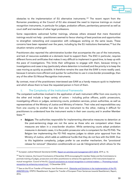

obstacles to the implementation of EU alternative instruments. [241](#page-59-0) The recent report from the Romanian presidency at the Council of EU also stressed the need to improve trainings on mutual recognition instruments, in particular for judges, probation officers, penitentiary personnel as well as court staff and members of other legal professions.

Some respondents welcomed further trainings, whereas others stressed that mere theoretical trainings would not help - practitioners seemed to favour sharing of best practices and opportunities to strengthen networking and cooperation with colleagues working on the same issues. These concerns have been repeated over the years, including by the EU institutions themselves,<sup>[242](#page-59-1)</sup> but the situation remains unchanged.

Practitioners also reported the administrative burden that accompanies the use of the instruments, and lack of resources available at a domestic level to support them. The ESO in particular, requires different forms and certificates that makes it very difficult to implement in good time, to keep up with the pace of investigations. This limits their willingness to engage with them, because timing in investigations and cases is key (particularly where detention is involved) and the priority is to keep the case moving as quickly as possible. It therefore remains the case that the EAW is more readily used, because it remains more efficient and quicker for authorities to use in cross-border proceedings, than any of the other EU Mutual Recognition Instruments.

By contrast, most of the practitioners interviewed saw EAW as a handy measure quick to implement and which allows them to have the requested person in front of them.

#### ii. The Complexity of the Institutional Frameworks

The competent authorities involved in the application of each instrument differ from one country to the other and include a large variety of actors – including police officers, public prosecutors, investigating officers or judges, sentencing courts, probation services, prison authorities, as well as representatives of the Ministry of Justice and Ministry of Interior. Their roles and responsibilities vary from one country to another but also from one instrument to the other, making it difficult for practitioners to understand how the instrument works in their own country and in another Member State.<sup>[243](#page-59-2)</sup>

• Belgium: The authorities responsible for implementing alternative measures to detention at the post-sentencing stage are not the same as those who are competent when these measures are taken in a cross-border situation. While sentencing courts adopt probation measures in domestic cases, it is the public prosecutor who is competent for the FD PAS. The Belgian law implementing the FD PAS requires judges to obtain prior approval from the Ministry of Justice, which adds an additional hurdle that they do not face with the EAW. Due to this legislative complexity, judges prefer to use another mechanism, the "provisional release for removal" (*liberation conditionnelle en vue de l'éloignement*) which allows for the

<span id="page-59-0"></span><sup>&</sup>lt;sup>241</sup> European Judicial Network Secretariat (EJNS), [Report on activities and management 2017-2018,](https://www.ejn-crimjust.europa.eu/ejnupload/reportsEJN/ReportSecretariat%20.pdf) 2019, p. 16.

<span id="page-59-1"></span><sup>&</sup>lt;sup>242</sup> See for instance, the Council Conclusions of December 2018 encouraging EU member States and the Commissions to promote training of judges, prosecutors and other practitioners to enhance the application of EU instruments based on mutual recognition. Council of the EU, [Council conclusions on mutual recognition in criminal matters —](https://eur-lex.europa.eu/legal-content/GA/TXT/?uri=CELEX:52018XG1213(02)) 'Promoting mutual [recognition by enhancing mutual trust',](https://eur-lex.europa.eu/legal-content/GA/TXT/?uri=CELEX:52018XG1213(02)) 13 December 2018.

<span id="page-59-2"></span><sup>&</sup>lt;sup>243</sup> See on the FD on Transfer of Prisoners, Ioan Durnescu et al., Obstacles and Solutions in the implementation of the FD [2008/909/JHA,](https://www.europris.org/projects/steps-2-resettlement/) STEPS 2 Resettlement: Support for Transfer of European Prison Sentences towards Resettlement, Report, 2016.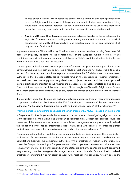

release of non-nationals with no residence permit without condition except the prohibition to return to Belgium (with the consent of the person concerned). Judges interviewed admit they would rather keep foreign detainees longer in detention and make use of this mechanism rather than releasing them earlier with probation measures to be executed abroad.

• Austria and Greece: The interviewed practitioners indicated that due to the complexity of the legislative framework, they fear making errors in using alternative instruments – errors which could impact the legality of the procedure – and therefore prefer to rely on procedures which they are more familiar with.

Implementation of the EU Mutual Recognition Instruments requires that the executing State make "all necessary enquiries, including via the contact points of the European Judicial Network". [244](#page-60-0) But practitioners report that information about each Member State's institutional set-up to implement alternative measures is not readily accessible.

The European Judicial Network website provides information but practitioners report that it is not comprehensive and not kept up to date. As a result, practitioners do not know where to send a request. For instance, one practitioner reported a case where the EIO did not reach the competent authority in the executing state, losing valuable time in the proceedings. Another practitioner reported that there are simply too many databases, projects that start and then aren't pursued, leaving practitioners uncertain about whether the databases are reliable, complete and up to date. One practitioner reported that it is useful to have a "liaison magistrate" based in Belgium from France, from whom practitioners can directly and quickly obtain information about the system in their Member State.

It is particularly important to promote exchange between authorities through more institutionalised cooperation mechanisms. For instance, the FD PAS envisages "consultations" between competent authorities "with a view to facilitating the smooth and efficient application" of the instrument.<sup>[245](#page-60-1)</sup>

#### Promising practice: Establishing specialised officers in charge of EU Mutual Recognition Instruments

In Belgium and in Austria, generally there are certain prosecutors and investigative judges who are *de facto* specialised in international and European cooperation files. Greater specialisation could lead better use of the alternative measures and more efficient management of the procedures. In Ireland, the Probation Service has an 'international desk' which deals with transfers of sentenced person subject to probation or other supervisions orders and aid the sentenced person.<sup>[246](#page-60-2)</sup>

Participants noted a lack of institutionalised cooperation between judicial actors. This is particularly problematic for supervision or probation orders which require continued coordination and consultations between the competent authorities. While practitioners recognise the crucial role played by Eurojust in ensuring a European network, the cooperation between judicial actors often remains very informal and highly depends on the state, the authority and/or the agent concerned. Neighbouring countries have generally stronger ties and better channels of communication. Indeed, practitioners underlined it is far easier to work with neighbouring countries, notably due to the

<span id="page-60-0"></span><sup>244</sup> Article 6(6) of the PAS FD.

<span id="page-60-1"></span><sup>&</sup>lt;sup>245</sup> Article 15 of the PAS FD.

<span id="page-60-2"></span><sup>&</sup>lt;sup>246</sup> FRA, Report on [Criminal detention and alternatives: fundamental rights aspects in EU cross-border transfers,](https://fra.europa.eu/en/publication/2016/criminal-detention-and-alternatives-fundamental-rights-aspects-eu-cross-border) 2016, p. 33.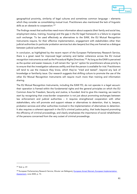

geographical proximity, similarity of legal cultures and sometimes common language – elements which they consider as consolidating mutual trust. Practitioners also mentioned the lack of linguistic skills as an obstacle to cooperation.<sup>[247](#page-61-0)</sup>

The findings reveal that authorities need more information about suspects (their family and social ties, employment status, training, housing) and the gap in the EU legal framework is a failure to organise such exchange. To be used effectively as alternatives to the EAW, the EU Mutual Recognition Instruments require, for their effective implementation, engagement with stakeholders other than judicial authorities (in particular probation services but also lawyers) but they are framed as a dialogue between judicial authorities.

In conclusion, as highlighted by the recent report of the European Parliamentary Research Service, there is a great need for improved legal certainty and better coherence across the EU mutual recognition instruments as well as the Procedural Rights Directives.<sup>[248](#page-61-1)</sup> As long as the EAW is perceived as the quicker and easier measure, it will remain the "go-to" option for practitioners whose priority is to ensure that the investigation advances swiftly and that the person is available for trial. Practitioners will tend to use the measure they know, which they've "tried and tested", beyond any lack of knowledge or familiarity issue. Our research suggests that shifting culture to promote the use of the other EU Mutual Recognition Instruments will require much more than training and information sharing.

The EU Mutual Recognition Instruments, including the EAW FD, do not operate in a legal vacuum: their operation is framed within the fundamental rights and the general principles on which the EU Common Area for Freedom, Security and Justice, is founded. And to give this meaning, we need to start by recognising that cross-border cooperation is not just about promoting exchanges between law enforcement and judicial authorities – it requires strengthened cooperation with other stakeholders, who will promote and support release or alternatives to detention, that is, lawyers, probation services and other authorities involved in the implementation of alternatives to detention. It also requires a coherent approach in the EU's criminal justice policy, that looks beyond promoting the efficiency of criminal proceedings, and clearly emphasises the importance of social rehabilitation of the persons concerned from the very outset of criminal proceedings.

<span id="page-61-0"></span><sup>247</sup> Ibid. p. 47.

<span id="page-61-1"></span><sup>&</sup>lt;sup>248</sup> European Parliamentary Research Service, Wouter van Ballegooij, European Arrest Warrant, European Implementation [Assessment,](https://www.europarl.europa.eu/thinktank/en/document.html?reference=EPRS_STU(2020)642839) June 2020, p. 73.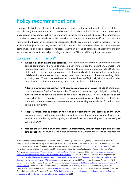

# Policy recommendations

Our report highlights legal, practical, and cultural obstacles that result in the ineffectiveness of the EU Mutual Recognition Instruments that could serve as alternatives to the EAW and related detention in cross-border proceedings. While it is important to tackle the practical obstacles that practitioners face, the key issue that needs to be addressed is the overuse of detention itself and discrimination within the EU based on nationality or residence. Merely promoting alternative measures will not achieve this objective, and may indeed result in non-custodial, but nevertheless restrictive measures being imposed on people instead of release, rather than instead of detention. That is why our policy recommendations look beyond promoting the use of the EU Mutual Recognition Instruments.

### European Commission<sup>[249](#page-62-0)</sup>

- Initiate legislation on pre-trial detention: The theoretical availability of alternative measures cannot compensate the need to impose clear limits on pre-trial detention. Domestic and regional legal systems have not been sufficient. The EU must act and provide EU Member States with a clear and precise common set of standards which aim to limit recourse to pretrial detention as a measure of last resort, based on a presumption of release pending trial as a starting point. There must also be restrictions on the use of flight risk, with information other than place of residence or nationality required to justify pre-trial detention.
- Adopt a clear proportionality test for the purposes of issuing an EAW: The use of alternatives cannot remain an "option" for authorities. There must be a clear legal obligation on issuing authorities to consider the availability of alternatives to the EAW. This could be based on the approach in the EIO Directive. This must be accompanied by a clear obligation for the issuing state to include the reasons and assessment of proportionality in the relevant form that is sent to the executing state.
- Adopt a refusal ground based on the lack of proportionality and necessity of the EAW: Executing country authorities must be allowed to refuse the surrender where they are not satisfied that the issuing authority duly considered the proportionality and the necessity of issuing an EAW.
- Monitor the use of the EAW and alternative instruments, through meaningful and detailed data collection: This must include a legal obligation on EU Member States to collect data and

<span id="page-62-0"></span><sup>&</sup>lt;sup>249</sup> Many of these recommendations are not new and have been repeated over the year by EU Institutions such as the European Parliament (see already in 2014 European Parliament resolution of 27 February 2014 with recommendations to the Commission on the review of the European Arrest Warrant (2013/2109(INL)), (OJ C 285, 29.8.2017, p. 135-140), as well as many studies, most of them financed by the EU. See among others: European Parliamentary Research Service, Wouter van Ballegooij, [European Arrest Warrant, European Implementation Assessment,](https://www.europarl.europa.eu/thinktank/en/document.html?reference=EPRS_STU(2020)642839) June 2020; Fair Trials, Beyond Surrender: [Putting human rights at the heart of the European Arrest Warrant,](https://www.fairtrials.org/publication/beyond-surrender) 28 June 2018; Élodie Sellier and Anne Weyembergh, Criminal procedural laws across the European Union – [A comparative analysis of selected main differences and the impact](http://www.europarl.europa.eu/RegData/etudes/STUD/2018/604977/IPOL_STU(2018)604977_EN.pdf)  [they have over the development of EU legislation,](http://www.europarl.europa.eu/RegData/etudes/STUD/2018/604977/IPOL_STU(2018)604977_EN.pdf) Study requested by the LIBE committee, European Parliament, 2018; European Parliamentary Research Service, Wouter van Ballegooij, [Procedural Rights and Detention Conditions –](https://www.europarl.europa.eu/RegData/etudes/STUD/2017/611008/EPRS_STU(2017)611008_EN.pdf) Cost of Non-[Europe Report,](https://www.europarl.europa.eu/RegData/etudes/STUD/2017/611008/EPRS_STU(2017)611008_EN.pdf) December 2017; . Hammerschick, C. Morgenstern, S. Bikelis, M. Boone, I. Durnescu et al., DETOUR - Towards Pre-trial Detention as Ultima Ratio, [Comparative Report,](https://www.irks.at/detour/publications.html) December 2017 ; European Lawyers Foundation and the Council of Bars and Law Societies of Europe, EAW-Rights: analysis of the implementation and operation of the European [Arrest Warrant from the point of view of defence practitioners,](http://europeanlawyersfoundation.eu/wp-content/uploads/2016/11/EAW-FINAL-REPORT-2016-11-22.pdf) 2016.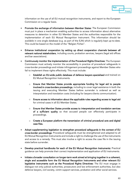

information on the use of all EU mutual recognition instruments, and report to the European Commission on a regular basis.

- Promote the exchange of information between Member States: The European Commission must put in place a mechanism enabling authorities to access information about alternative measures to detention in other EU Member States and the authorities responsible for the implementation of each EU Mutual Recognition Instrument. This information should be available in one single database (e.g. as part of the EJN) which is regularly kept up-to-date. This could be based on the model of the "Belgian Fiches".
- Enhance institutional cooperation by setting up direct cooperation channels between all relevant national stakeholders, including courts, probation services, lawyers (legal aid offices and bar associations).
- Continuously monitor the implementation of the Procedural Rights Directives: The European Commission must actively monitor the accessibility in practice of procedural safeguards in cross-border proceedings and initiate infringement proceedings against Member States who fail to implement these rights effectively. This must include:
	- o Establish an EU-wide public database of defence lawyers specialised and trained on EU Mutual Recognition Instruments.
	- o Ensure that Member States provide appropriate funding for legal aid to people involved in cross-borders proceedings, including to cover legal assistance in both the issuing and executing Member States before surrender is ordered as well as interpretation and translation costs (including for lawyers-clients communication).
	- $\circ$  Ensure access to information about the applicable rules regarding access to legal aid for criminal cases in all EU Member States.
	- $\circ$  Ensure that Member States provide access to interpretation and translation services of a sufficient quality so that accused people can effectively participate in proceedings.
	- Create a European platform the transmission of criminal procedural acts and digital case files.
- Adopt supplementing legislation to strengthen procedural safeguards in the context of EU cross-border proceedings: Procedural safeguards must be strengthened and adapted to all EU Mutual Recognition Instruments and include a right to challenge the use of the instruments and access to a remedy. This must also involve a right to access the case file in the issuing state before surrender.
- Develop practical handbooks for each of the EU Mutual Recognition Instruments: Practical guidance can help promote their correct implementation and application of EU instruments.
- Initiate a broader consultation on longer-term work aimed at bringing together in a coherent, single and accessible form the EU Mutual Recognition Instruments and other relevant EU legislative instruments such as the Procedural Rights Directives: The EU must engage in dialogue not only judicial authorities, prosecutors and law enforcement authorities, but also defence lawyers, civil society, victim support services, probation and other social services.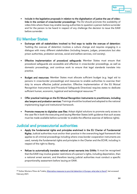

• Include in the legislative proposals in relation to the digitalisation of justice the use of videolinks in the context of cross-border proceedings: The EU should promote the availability of video-links where these may enable issuing authorities to question a person before surrender and for the person to be heard in respect of any challenge the decision to issue the EAW before surrender.

### EU Member States

- Exchange with all stakeholders involved to find ways to tackle the overuse of detention: Tackling the overuse of detention involves a culture change and requires engaging in a dialogue with many different stakeholders (including lawyers, judges, prosecutors but also prison authorities, probation services, social and welfare services, civil society).
- Effective implementation of procedural safeguards: Member States must ensure that procedural safeguards are accessible and effective in cross-border proceedings, as well as domestic proceedings, and continue work to ensure that legal standards translate into practice.
- Budget and resources: Member States must allocate sufficient budget (e.g. legal aid to persons in cross-border proceedings) and resources to enable authorities to exercise their duty to ensure effective judicial protection. Effective implementation of the EU Mutual Recognition Instruments (and Procedural Safeguards Directives) requires states to dedicate sufficient human, economic, logistical and technological resources.<sup>[250](#page-64-0)</sup>
- Offer practical trainings on the EU Mutual Recognition Instruments to practitioners, including also lawyers and probation services: Trainings should be localised and adopted to the national implementing legal and institutional framework.
- Promote measures to digitalise case files: Adopt digital solutions to promote early access to the case file in both the executing and issuing Member States (with guidance that such access must be made available before surrender to enable the effective exercise of defence rights).

## Judicial and prosecutorial authorities

- Apply the fundamental rights and principles enshrined in the EU Charter of Fundamental Rights: Judicial authorities must anchor their practice in the overarching legal framework that applies to all criminal proceedings including where cross-border cooperation instruments are used, namely the fundamental rights and principles in the Charter and the ECHR, including in respect of the right to liberty.
- Refuse to automatically translate national arrest warrants into EAWs: It must be recognised that the EAW may involve greater restrictions of a person's rights, including deportation, than a national arrest warrant, and therefore issuing judicial authorities must conduct a specific proportionality assessment before issuing an EAW.

<span id="page-64-0"></span><sup>&</sup>lt;sup>250</sup> Esther Montero Pérez de Tudela[, Alternative measures to pre-trial detention in Europe: what else is there?,](https://www.cep-probation.org/wp-content/uploads/2020/10/Alternative-measures-to-pre-trail-detention-in-Europe-what-else-is-there.pdf) last accessed February 2021.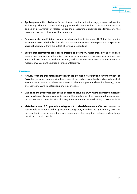

- Apply a presumption of release: Prosecutors and judicial authorities enjoy a massive discretion in deciding whether to seek and apply pre-trial detention orders. This discretion must be guided by presumption of release, unless the prosecuting authorities can demonstrate that there is a clear and robust need for detention.
- Promote social rehabilitation: When deciding whether to issue an EU Mutual Recognition Instrument, assess the implications that the measure may have on the person's prospects for social rehabilitation, from the outset of criminal proceedings.
- Ensure that alternatives are applied instead of detention, rather than instead of release: Ensure that requests for alternative measures to detention are not used as a replacement where release should be ordered instead, and assess the restrictions that the alternative measure involves on the person's fundamental rights.

### Lawyers

- Actively resist pre-trial detention motions in the executing state pending surrender under an EAW: Lawyers must engage with their clients at the earliest opportunity and actively seek all information in favour of release to present at the initial pre-trial detention hearing, or an alternative measure to detention pending surrender.
- Challenge the proportionality of the decision to issue an EAW where alternative measures may be relevant: Lawyers can try to seek further explanation from issuing authorities about the assessment of other EU Mutual Recognition Instruments when deciding to issue an EAW.
- Make better use of EU procedural safeguards to make defence more effective: Lawyers can actively rely on national and EU procedural safeguards, including the right to early access to the case file in cases of detention, to prepare more effectively their defence and challenge decisions to detain people.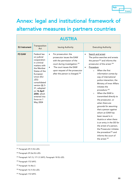# Annex: legal and institutional framework of alternative measures in partners countries

| <b>AUSTRIA</b>       |                                                                                                                                                                                                                                                                   |                                                                                                                                                                                                                                                                      |                                                                                                                                                                                                                                                                                                                                                                                                                                                                                                                                                                                                                                                                                                                                                                 |
|----------------------|-------------------------------------------------------------------------------------------------------------------------------------------------------------------------------------------------------------------------------------------------------------------|----------------------------------------------------------------------------------------------------------------------------------------------------------------------------------------------------------------------------------------------------------------------|-----------------------------------------------------------------------------------------------------------------------------------------------------------------------------------------------------------------------------------------------------------------------------------------------------------------------------------------------------------------------------------------------------------------------------------------------------------------------------------------------------------------------------------------------------------------------------------------------------------------------------------------------------------------------------------------------------------------------------------------------------------------|
| <b>EU</b> Instrument | Transposition<br>Act                                                                                                                                                                                                                                              | <b>Issuing Authority</b>                                                                                                                                                                                                                                             | <b>Executing Authority</b>                                                                                                                                                                                                                                                                                                                                                                                                                                                                                                                                                                                                                                                                                                                                      |
| <b>FD EAW</b>        | Federal law<br>on judicial<br>cooperation<br>in criminal<br>matters with<br>the Member<br>States of the<br>European<br>Union (EU-<br>JZG)<br>consolidated<br>version §§ 3-<br>31, adopted<br>on 16 April<br>2004, which<br>entered into<br>force on 1<br>May 2004 | For prosecution: the<br>$\bullet$<br>prosecutor issues the EAW<br>with the permission of the<br>court during investigation. <sup>251</sup><br>The court issues the EAW<br>$\bullet$<br>upon request of the prosecutor<br>after the person is charged. <sup>252</sup> | Search and arrest:<br>$\bullet$<br>The police searches and arrests<br>the person <sup>253</sup> and informs the<br>prosecutor of the arrest. <sup>254</sup><br>Procedure:<br>When the first<br>$\Omega$<br>information comes by<br>way of international<br>police interaction, the<br>Ministry of Inner Affairs<br>initiates the<br>procedure. <sup>255</sup><br>When the EAW is<br>$\circ$<br>transmitted directly to<br>the prosecutor, or<br>when there are<br>grounds for assuming<br>that a person against<br>whom an EAW has<br>been issued is in<br>Austria or when there<br>is an entry in the SIS for<br>the arrest of a person,<br>the Prosecutor initiates<br>the procedure <sup>256</sup> and<br>informs the court of<br>the arrest. <sup>257</sup> |

<span id="page-66-0"></span><sup>251</sup> Paragraph 29 (1) EU-JZG.

<span id="page-66-1"></span><sup>252</sup> Paragraph 29 (2a) EU-JZG.

<span id="page-66-2"></span><sup>253</sup> Paragraph 167 (1); 171 (1) StPO, Paragraph 18 EU-JZG.

<span id="page-66-3"></span><sup>254</sup> Paragraph 172 StPO.

<span id="page-66-4"></span><sup>255</sup> Paragraph 16 Abs 2.

<span id="page-66-5"></span><sup>256</sup> Paragraph 16 (1) EU-JZG.

<span id="page-66-6"></span><sup>257</sup> Paragraph 172 StPO.

### Fair **Trials**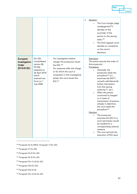

|                                                  |                                                                                                                                          |                                                                                                                                                                                                                                            | Decision:<br>The Court (single judge<br>$\circ$<br>Landesgericht <sup>258</sup> )<br>decides on the<br>surrender of the<br>person to the issuing<br>state. <sup>259</sup><br>The OLG (appeal court)<br>$\circ$<br>decides on complaints<br>on the court's<br>decisions.                                                                                                                                                                                                                               |
|--------------------------------------------------|------------------------------------------------------------------------------------------------------------------------------------------|--------------------------------------------------------------------------------------------------------------------------------------------------------------------------------------------------------------------------------------------|-------------------------------------------------------------------------------------------------------------------------------------------------------------------------------------------------------------------------------------------------------------------------------------------------------------------------------------------------------------------------------------------------------------------------------------------------------------------------------------------------------|
| European<br>Investigation<br>Order<br>2014/41/EU | EU-JZG<br>consolidated<br>version §§<br>55-56b<br>adopted on<br>26 April 2018<br>which<br>entered into<br>force on 1<br><b>July 2008</b> | For investigation before<br>charge: the prosecutor issues<br>the EIO. <sup>260</sup><br>For measures after the charge<br>or for which the court is<br>competent in the investigative<br>phase: the court issues the<br>EIO. <sup>261</sup> | Execution:<br>The police execute the order of<br>the prosecutor.<br>Procedure:<br>Generally, the<br>$\circ$<br>prosecutor leads the<br>procedure <sup>262</sup> (i.e.,<br>examines the EIO <sup>263</sup> ,<br>consults with/demands<br>further information<br>from the issuing<br>authority <sup>264</sup> , etc.).<br>When the person<br>$\circ$<br>concerned is charged<br>or in cases of<br>transmission of persons<br>already in detention,<br>the court leads the<br>procedure <sup>265</sup> . |
|                                                  |                                                                                                                                          |                                                                                                                                                                                                                                            | Decision:                                                                                                                                                                                                                                                                                                                                                                                                                                                                                             |
|                                                  |                                                                                                                                          |                                                                                                                                                                                                                                            | The prosecutor<br>$\circ$<br>executes the EIO if no<br>court permission would<br>be needed for a<br>corresponding national<br>measure                                                                                                                                                                                                                                                                                                                                                                 |
|                                                  |                                                                                                                                          |                                                                                                                                                                                                                                            | The court permits the<br>$\circ$<br>execution of EIO upon                                                                                                                                                                                                                                                                                                                                                                                                                                             |

<span id="page-67-0"></span><sup>258</sup> Paragraph 26 (2) ARHG, Paragraph 13 EU-JZG.

<span id="page-67-1"></span><sup>259</sup> Paragraph 21 EU-JZG.

<span id="page-67-2"></span><sup>260</sup> Paragraph 56 (2) EU-JZG.

<span id="page-67-3"></span><sup>261</sup> Paragraph 56 (2) EU-JZG.

<span id="page-67-4"></span><sup>262</sup> Paragraph 55c (1)-(2) EU-JZG.

<span id="page-67-5"></span><sup>263</sup> Paragraph 55d EU-JZG.

<span id="page-67-6"></span><sup>264</sup> Paragraph 55d (2)-(4).

<span id="page-67-7"></span><sup>265</sup> Paragraph 55c (3)-(4) EU-JZG.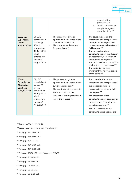|                                                                                  |                                                                                                                                         |                                                                                                                                                                                                                                                                                        | request of the<br>prosecutor. <sup>266</sup><br>The OLG decides on<br>$\circ$<br>complaints against<br>court decisions. <sup>267</sup>                                                                                                                                                                                                                                                                                                                                                                                        |
|----------------------------------------------------------------------------------|-----------------------------------------------------------------------------------------------------------------------------------------|----------------------------------------------------------------------------------------------------------------------------------------------------------------------------------------------------------------------------------------------------------------------------------------|-------------------------------------------------------------------------------------------------------------------------------------------------------------------------------------------------------------------------------------------------------------------------------------------------------------------------------------------------------------------------------------------------------------------------------------------------------------------------------------------------------------------------------|
| European<br>Supervision<br>Order<br>2009/829/JHA                                 | EU-JZG<br>consolidated<br>version §§<br>$100-121$ ,<br>adopted on<br>18 July 2013<br>which<br>entered into<br>force on 1<br>August 2013 | The prosecutor gives an<br>$\blacksquare$<br>opinion on the issuance of the<br>supervision request. <sup>268</sup><br>The court issues the request<br>$\blacksquare$<br>for supervision <sup>269</sup> .                                                                               | The court decides on the<br>$\blacksquare$<br>recognition and acceptance of<br>the supervision request and<br>orders measures to be taken to<br>fulfil request <sup>270</sup> .<br>The prosecutor raises<br>$\overline{\phantom{a}}$<br>complaints against the decision<br>on acceptance/declination of<br>the supervision request. <sup>271</sup><br>The OLG decides on complaints<br>against the court decisions. <sup>272</sup><br>The probation services<br>implement the relevant orders<br>of the court. <sup>273</sup> |
| FD on<br>Probation and<br><b>Alternative</b><br><b>Sanctions</b><br>2008/947/JHA | EU-JZG<br>consolidated<br>version §§<br>81-99,<br>adopted on<br>18 July 2013<br>which<br>entered into<br>force on 1<br>August 2013      | The prosecutor gives an<br>$\blacksquare$<br>opinion on the issuance of the<br>surveillance request. <sup>274</sup><br>The court hears the prosecutor<br>$\overline{a}$<br>and the convict on the<br>issuance of the request <sup>275</sup> and<br>issues the request <sup>276</sup> . | The court decides on the<br>$\overline{\phantom{a}}$<br>recognition and acceptance of<br>the request and orders<br>measures to be taken to fulfil<br>the request <sup>277</sup> .<br>The prosecutor raises<br>$\Box$<br>complaints against decisions on<br>the acceptance/refusal of the<br>surveillance request <sup>278</sup> .<br>The OLG decides on the<br>complaints raised against the                                                                                                                                  |

<span id="page-68-0"></span><sup>266</sup> Paragraph 55e (2)-(3) EU-JZG.

- <span id="page-68-1"></span><sup>267</sup> Paragraph 87 StPO, Paragraph 55e (4) EU-JZG.
- <span id="page-68-2"></span><sup>268</sup> Paragraph 115 (1) EU-JZG.
- <span id="page-68-3"></span><sup>269</sup> Paragraph 115 (3) EU-JZG.
- <span id="page-68-4"></span><sup>270</sup> Paragraph 104 EU-JZG.
- <span id="page-68-5"></span><sup>271</sup> Paragraph 104 (2) EU-JZG.
- <span id="page-68-6"></span><sup>272</sup> Paragraph 104 (2) EU-JZG.
- <span id="page-68-7"></span><sup>273</sup> Paragraph 104EU-JZG ; and Paragraph 179 StPO.
- <span id="page-68-8"></span><sup>274</sup> Paragraph 95 (1) EU-JZG.
- <span id="page-68-9"></span><sup>275</sup> Paragraph 95 (1) EU-JZG.
- <span id="page-68-10"></span><sup>276</sup> Paragraph 95 (4) EU-JZG.
- <span id="page-68-11"></span><sup>277</sup> Paragraph 85 EU-JZG.
- <span id="page-68-12"></span><sup>278</sup> Paragraph 85 (2) EU-JZG.

Fair

**Trials**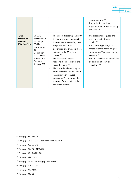| mir |            |
|-----|------------|
|     |            |
|     | riml<br>.c |

|                                                          |                                                                                                                                                       |                                                                                                                                                                                                                                                                                                                                                                                                                                                                                                                                                                                                  | court decisions. <sup>279</sup><br>The probation services<br>implement the orders issued by<br>the court. <sup>280</sup>                                                                                                                                                                                                                                                                         |
|----------------------------------------------------------|-------------------------------------------------------------------------------------------------------------------------------------------------------|--------------------------------------------------------------------------------------------------------------------------------------------------------------------------------------------------------------------------------------------------------------------------------------------------------------------------------------------------------------------------------------------------------------------------------------------------------------------------------------------------------------------------------------------------------------------------------------------------|--------------------------------------------------------------------------------------------------------------------------------------------------------------------------------------------------------------------------------------------------------------------------------------------------------------------------------------------------------------------------------------------------|
| FD on<br>Transfer of<br><b>Prisoners</b><br>2008/909/JHA | EU-JZG<br>consolidated<br>version §§<br>$39-42g,$<br>adopted on<br>15<br>December<br><b>2011</b> , which<br>entered into<br>force on 1<br>January 201 | The prison director speaks with<br>$\overline{\phantom{a}}$<br>the convict about the possible<br>transfer to the executing state,<br>keeps minutes of his<br>declaration and transfers these<br>minutes to the Minister of<br>Justice $^{281}$ .<br>The Minister of Justice<br>$\omega$<br>requests the execution in the<br>executing state <sup>282</sup> .<br>The court decides which part<br>$\blacksquare$<br>of the sentence will be served<br>in Austria upon request of<br>prosecutor <sup>283</sup> and orders the<br>transfer of the convict to the<br>executing state <sup>284</sup> . | The prosecutor requests the<br>$\overline{\phantom{a}}$<br>arrest and detention of<br>convict. <sup>285</sup><br>The court (single judge or<br>$\blacksquare$<br>senate of three depending on<br>the sentence <sup>286</sup> ) decides on the<br>execution <sup>287</sup> .<br>The OLG decides on complaints<br>$\overline{\phantom{a}}$<br>on decision of court on<br>execution. <sup>288</sup> |

<span id="page-69-0"></span><sup>279</sup> Paragraph 85 (2) EU-JZG.

<span id="page-69-1"></span><sup>280</sup> Paragraph 85, 87 EU-JZG; or Paragraph 50-56 StGB.

<span id="page-69-2"></span><sup>281</sup> Paragraph 42a EU-JZG.

<span id="page-69-3"></span><sup>282</sup> Paragraph 42b (1), (4) EU-JZG.

<span id="page-69-4"></span><sup>283</sup> Paragraph 42b (7a) EU-JZG.

<span id="page-69-5"></span><sup>284</sup> Paragraph 42e EU-JZG.

<span id="page-69-6"></span><sup>285</sup> Paragraph 41 EU-JZG, Paragraph 177 (3) StPO.

<span id="page-69-7"></span><sup>286</sup> Paragraph 40a EU-JZG.

- <span id="page-69-8"></span><sup>287</sup> Paragraph 41b (1)-(4).
- <span id="page-69-9"></span><sup>288</sup> Paragraph 41b (6).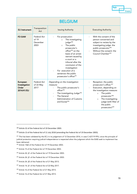| <b>BELGIUM</b>                                   |                                          |                                                                                                                                                                                                                                                                                                                                                              |                                                                                                                                                                                                                                                                                        |
|--------------------------------------------------|------------------------------------------|--------------------------------------------------------------------------------------------------------------------------------------------------------------------------------------------------------------------------------------------------------------------------------------------------------------------------------------------------------------|----------------------------------------------------------------------------------------------------------------------------------------------------------------------------------------------------------------------------------------------------------------------------------------|
| <b>EU Instrument</b>                             | Transposition<br>Act                     | <b>Issuing Authority</b>                                                                                                                                                                                                                                                                                                                                     | <b>Executing Authority</b>                                                                                                                                                                                                                                                             |
| <b>FD EAW</b>                                    | Federal Act<br>of 19<br>December<br>2003 | For prosecution:<br>The investigating<br>$\circ$<br>judge <sup>289</sup><br>The public<br>$\circ$<br>prosecutor's<br>office <sup>290</sup> on the<br>basis of an arrest<br>warrant issued by<br>a court or a<br>tribunal after the<br>conclusion of the<br>investigation<br>For execution of a<br>sentence: the public<br>prosecutor's office <sup>291</sup> | With the consent of the<br>person concerned and<br>subject to review by the<br>investigating judge: the<br>public prosecutor <sup>292</sup><br>Without the consent: the<br>Council Chamber <sup>293</sup>                                                                              |
| European<br>Investigation<br>Order<br>2014/41/EU | <b>Federal Act</b><br>of 22 May<br>2017  | Depending on the investigation<br>measure:<br>The public prosecutor's<br>$\overline{\phantom{a}}$<br>office <sup>294</sup><br>The investigating Judge <sup>295</sup><br>$\overline{\phantom{a}}$<br>The General<br>$\blacksquare$<br>Administration of Customs<br>and Excise <sup>296</sup>                                                                  | Reception: the public<br>÷,<br>prosecutor's office; <sup>297</sup><br>Execution, depending on<br>the investigation measure:<br>The public<br>$\circ$<br>prosecutor <sup>298</sup><br>The investigating<br>$\circ$<br>judge (with filter of<br>the public<br>prosecutor) <sup>299</sup> |

Fair

Trials

<span id="page-70-0"></span><sup>289</sup> Article 32 of the Federal Act of 19 December 2003.

<span id="page-70-1"></span><sup>&</sup>lt;sup>290</sup> Article 13 of the Federal Act of 11 July 2018 (amending the Federal Act of 19 December 2003).

<span id="page-70-2"></span><sup>&</sup>lt;sup>291</sup> This has been validated by the ECJ in its judgement of 12 December 2016, in case C-627/19 PPU, since the principle of judicial protection requiring judicial independence is respected when the judgment which the EAW seek to implement has been delivered.

<span id="page-70-3"></span><sup>292</sup> Article 13§3 of the Federal Act of 19 December 2003.

<span id="page-70-4"></span><sup>&</sup>lt;sup>293</sup> Article 15 of the Federal Act of 19 December 2003.

<span id="page-70-5"></span><sup>294</sup> Article 24, §1 of the Federal Act of 19 December 2003.

<span id="page-70-6"></span><sup>295</sup> Article 24, §1 of the Federal Act of 19 December 2003.

<span id="page-70-7"></span><sup>296</sup> Article 24, §5 of the Federal Act of 21 May 2013.

<span id="page-70-8"></span><sup>&</sup>lt;sup>297</sup> Article 14, §1 of the Federal Act of 22 May 2017.

<span id="page-70-9"></span><sup>&</sup>lt;sup>298</sup> Article 16 of the Federal Act of 21 May 2013.

<span id="page-70-10"></span><sup>&</sup>lt;sup>299</sup> Article 16 of the Federal Act of 21 May 2013.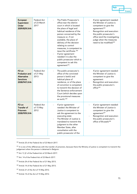

| European<br>Supervision<br>Order<br>2009/829/JHA                          | Federal Act<br>of 23 March<br>2017 | The Public Prosecutor's<br>office near the district<br>court in which is located<br>the place of legal and<br>habitual residence of the<br>person concerned by the<br>measure or, if not<br>available, the place of<br>delivery of the decision<br>relating to control<br>measures, is competent to<br>issue the certificate. <sup>300</sup><br>If prior agreement<br>needed: it is also the<br>public prosecutor which is<br>competent to ask this<br>agreement <sup>301</sup> . | If prior agreement needed:<br>the Minister of Justice is<br>competent to give the<br>agreement <sup>302</sup><br>Recognition and execution:<br>the public prosecutor's<br>office (and the investigating<br>judge when the measures<br>need to be modified) <sup>303</sup> |
|---------------------------------------------------------------------------|------------------------------------|-----------------------------------------------------------------------------------------------------------------------------------------------------------------------------------------------------------------------------------------------------------------------------------------------------------------------------------------------------------------------------------------------------------------------------------------------------------------------------------|---------------------------------------------------------------------------------------------------------------------------------------------------------------------------------------------------------------------------------------------------------------------------|
| FD on<br>Probation and<br>Alternative<br><b>Sanctions</b><br>2008/947/JHA | Federal Act<br>of 21 May<br>2013   | The public prosecutor's<br>office of the convicted<br>person's lawful and<br>habitual place of<br>residence, or of the place<br>of conviction is competent<br>to transmit the decision of<br>the Sentence enforcement<br>Court (which decides upon<br>the provisional measures<br>as such). 304                                                                                                                                                                                   | If prior agreement needed:<br>the Minister of Justice is<br>competent to give the<br>agreement<br>Recognition and execution:<br>the public prosecutor's<br>office <sup>305</sup>                                                                                          |
| FD on<br><b>Transfer of</b><br><b>Prisoners</b><br>2008/909/JHA           | Federal Act<br>of 15 May<br>2012   | If prior agreement<br>needed: the Minister of<br>Justice is competent to<br>ask the agreement to the<br>executing state<br>The Minister of Justice is<br>mandated to transmit the<br>judgment to the other<br>Member State, after<br>consultation with the<br>public prosecutor of the                                                                                                                                                                                            | If prior agreement needed:<br>the Minister of Justice is<br>competent to give the<br>agreement <sup>307</sup><br>Recognition and execution:<br>the public prosecutor's<br>office of Brussels <sup>308</sup>                                                               |

<span id="page-71-0"></span><sup>300</sup> Article 25 of the Federal Act of 23 March 2017.

<span id="page-71-1"></span>301 It is one of the differences with the transfer of prisoners, because there the Ministry of justice is competent to transmit the judgement when the person is detained in Belgium.

<span id="page-71-2"></span><sup>302</sup> Art. 9, §1 of the Federal Act of 23 March 2017.

<span id="page-71-3"></span><sup>303</sup> Art. 14 of the Federal Act of 23 March 2017.

<span id="page-71-4"></span><sup>304</sup> Article 24 of the Federal Act of 21 May 2013.

<span id="page-71-5"></span><sup>305</sup> Article 14 of the Federal Act of 21 May 2013.

<span id="page-71-6"></span><sup>307</sup> Article 21 of the Act of 15 May 2012.

<span id="page-71-7"></span><sup>308</sup> Article 14 of the Act of 15 May 2012.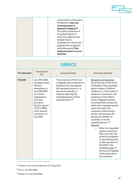

| judicial district of the place<br>of detention, when the<br>convicted person is<br>detained in Belgium <sup>306</sup><br>The public prosecutor of<br>$\overline{\phantom{a}}$<br>the judicial district in<br>which the judgment was<br>handed down is |
|-------------------------------------------------------------------------------------------------------------------------------------------------------------------------------------------------------------------------------------------------------|
| competent to transmit the                                                                                                                                                                                                                             |
| judgment for recognition<br>and enforcement if the                                                                                                                                                                                                    |
| sentenced person is not in<br>detention.                                                                                                                                                                                                              |

| <b>GREECE</b>        |                                                                                                                                                                                                                                        |                                                                                                                                                                                                                                                 |                                                                                                                                                                                                                                                                                                                                                                                                                                                                                                                                                                                                                                                                                                                                                                   |  |
|----------------------|----------------------------------------------------------------------------------------------------------------------------------------------------------------------------------------------------------------------------------------|-------------------------------------------------------------------------------------------------------------------------------------------------------------------------------------------------------------------------------------------------|-------------------------------------------------------------------------------------------------------------------------------------------------------------------------------------------------------------------------------------------------------------------------------------------------------------------------------------------------------------------------------------------------------------------------------------------------------------------------------------------------------------------------------------------------------------------------------------------------------------------------------------------------------------------------------------------------------------------------------------------------------------------|--|
| <b>EU</b> Instrument | Transposition<br>Act                                                                                                                                                                                                                   | <b>Issuing Authority</b>                                                                                                                                                                                                                        | <b>Executing Authority</b>                                                                                                                                                                                                                                                                                                                                                                                                                                                                                                                                                                                                                                                                                                                                        |  |
| <b>FD EAW</b>        | Law 3251/2004<br>European Arrest<br>Warrant,<br>amendment to<br>Law 2928/2001<br>on criminal<br>organisations<br>and other<br>provisions<br>(O.G.G. Issue A'<br>127/9.7.2004),<br>which entered<br>into force on 9<br><b>July 2004</b> | The prosecutor of the Court<br>of Appeals with jurisdiction to<br>adjudicate the case against<br>the requested person or to<br>execute the penalty or<br>measure depriving the<br>requested person of their<br>personal liberty. <sup>309</sup> | Reception and execution:<br>The prosecutor of the Court<br>of Appeals of the requested<br>person's place of habitual<br>residence or, if their place of<br>residence is not known, the<br>prosecutor of the Athens<br>Court of Appeals receives<br>incoming EAWs, arrests and<br>detains the requested person,<br>enters the case in the<br>competent judicial body's<br>docket, and executes the<br>decision on whether to<br>surrender or not the<br>requested person. <sup>310</sup><br>Decision:<br>When the requested<br>$\circ$<br>person consents to<br>their surrender: the<br>authority competent<br>to issue the decision<br>on the execution of<br>the EAW is the<br>presiding judge of<br>the Court of Appeals<br>of the place where<br>the requested |  |

<span id="page-72-0"></span><sup>306</sup> Article 31, §1er of the Federal Act of 15 May 2012.

<span id="page-72-1"></span><sup>309</sup> Art. 4, Law 3251/2004.

Ш

<span id="page-72-2"></span><sup>310</sup> Article 9 (1), Law 3251/2004.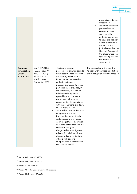|                                                  |                                                                                                              |                                                                                                                                                                                                                                                                                                                                                                                                                                                                                                                                                                                                                                                                                                                                                                                                                                                                                                         | person is resident or<br>arrested. <sup>311</sup><br>When the requested<br>$\circ$<br>person does not<br>consent to their<br>surrender, the<br>authority competent<br>to issue the decision<br>on the execution of<br>the EAW is the<br>judicial council of the<br>Court of Appeals of<br>the place where the<br>requested person is<br>resident or was<br>arrested. <sup>312</sup> |
|--------------------------------------------------|--------------------------------------------------------------------------------------------------------------|---------------------------------------------------------------------------------------------------------------------------------------------------------------------------------------------------------------------------------------------------------------------------------------------------------------------------------------------------------------------------------------------------------------------------------------------------------------------------------------------------------------------------------------------------------------------------------------------------------------------------------------------------------------------------------------------------------------------------------------------------------------------------------------------------------------------------------------------------------------------------------------------------------|-------------------------------------------------------------------------------------------------------------------------------------------------------------------------------------------------------------------------------------------------------------------------------------------------------------------------------------------------------------------------------------|
| European<br>Investigation<br>Order<br>2014/41/EU | Law 4489/2017)<br>(O.G.G. Issue A'<br>140/21.9.2017),<br>which entered<br>into force on 21<br>September 2017 | The judge, court or<br>$\overline{\phantom{a}}$<br>prosecutor with jurisdiction to<br>adjudicate the case for which<br>the Investigation Order is<br>issued, as well as any other<br>authority acting as an<br>investigating authority in this<br>particular case, provided, in<br>the latter case, that the EIO's<br>validity is subsequently<br>upheld by the competent<br>prosecutor following an<br>assessment of its compliance<br>with the conditions laid down<br>in Law 4489/2017.313<br>Such "other" authorities, with<br>competence to act as<br>investigating authorities in<br>certain cases are: (a) peace<br>court magistrates; (b) officials<br>of the Hellenic Police and the<br>Hellenic Coastguard,<br>designated as investigating<br>officers; (c) public employees<br>designated as investigating<br>officers with specific<br>competences, in accordance<br>with special laws. 314 | The prosecutor of the Court of<br>Appeals within whose jurisdiction<br>the investigation will take place. <sup>315</sup>                                                                                                                                                                                                                                                            |

<span id="page-73-0"></span><sup>311</sup> Article 9 (2), Law 3251/2004.

- <span id="page-73-2"></span><sup>313</sup> Article 6, Law 4489/2017.
- <span id="page-73-3"></span><sup>314</sup> Article 71 of the Code of Criminal Procedure
- <span id="page-73-4"></span><sup>315</sup> Article 11 (1), Law 4489/2017

Fair

**Trials** 

<span id="page-73-1"></span><sup>312</sup> Article 9 (3), Law 3251/2004.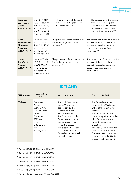| eriv |  |
|------|--|
|      |  |
|      |  |

| European<br>Supervision<br>Order<br>2009/829/JHA                                 | Law 4307/2014<br>(O.G.G. issue A'<br>246/15.11.2014),<br>which entered<br>into force on 15<br>November 2004 | The prosecutor of the court<br>$\blacksquare$<br>which issued the judgement<br>or the decision. <sup>316</sup> | The prosecutor of the court of<br>$\blacksquare$<br>first instance of the place<br>where the suspect, accused<br>or sentenced person have<br>their habitual residence. <sup>317</sup> |
|----------------------------------------------------------------------------------|-------------------------------------------------------------------------------------------------------------|----------------------------------------------------------------------------------------------------------------|---------------------------------------------------------------------------------------------------------------------------------------------------------------------------------------|
| FD on<br>Probation and<br><b>Alternative</b><br><b>Sanctions</b><br>2008/947/JHA | Law 4307/2014<br>(O.G.G. issue A'<br>246/15.11.2014),<br>which entered<br>into force on 15<br>November 2004 | The prosecutor of the court which<br>issued the judgement or the<br>decision. <sup>318</sup>                   | The prosecutor of the court of first<br>instance of the place where the<br>suspect, accused or sentenced<br>person have their habitual<br>residence. <sup>319</sup>                   |
| FD on<br>Transfer of<br><b>Prisoners</b><br>2008/909/JHA                         | Law 4307/2014<br>(O.G.G. issue A'<br>246/15.11.2014),<br>which entered<br>into force on 15<br>November 2004 | The prosecutor of the court which<br>issued the judgement or the<br>decision. <sup>320</sup>                   | The prosecutor of the court of first<br>instance of the place where the<br>suspect, accused or sentenced<br>person have their habitual<br>residence. $321$                            |

## IRELAND

| <b>EU</b> Instrument | Transposition<br>Act                                                                                                                         | <b>Issuing Authority</b>                                                                                                                                                                                                                                                                                                                              | <b>Executing Authority</b>                                                                                                                                                                                                                                                                                                                                                                   |
|----------------------|----------------------------------------------------------------------------------------------------------------------------------------------|-------------------------------------------------------------------------------------------------------------------------------------------------------------------------------------------------------------------------------------------------------------------------------------------------------------------------------------------------------|----------------------------------------------------------------------------------------------------------------------------------------------------------------------------------------------------------------------------------------------------------------------------------------------------------------------------------------------------------------------------------------------|
| <b>FD EAW</b>        | European<br>Arrest<br>Warrant Act,<br>2003 adopted<br>on 28<br>December<br>$2003$ and<br>which<br>entered into<br>force on 1<br>January 2004 | The High Court issues<br>the EWA upon an<br>application by the<br>Director of Public<br>Prosecutions. <sup>322</sup><br>The Director of Public<br>$\overline{\phantom{0}}$<br>Prosecutions, to whom<br>the European arrest<br>warrant is issued,<br>forwards the European<br>arrest warrant to the<br>Central Authority, which<br>transmits it to the | The Central Authority<br>forwards the EWA to the<br>Office of the Chief State<br>Solicitor.<br>The Chief State Solicitor<br>makes an application to the<br>High Court to have the<br>warrant endorsed for<br>execution.<br>The High Court may endorse<br>$\blacksquare$<br>the warrant for execution.<br>Once endorsed, the warrant<br>is forwarded to the Garda<br>Síochána to be executed. |

<span id="page-74-0"></span><sup>316</sup> Articles 3 (2), 25 (2), 43 (2), Law 4307/2014.

<span id="page-74-1"></span><sup>317</sup> Articles 3 (1), 25 (1), 43 (1), Law 4307/2014.

- <span id="page-74-2"></span><sup>318</sup> Articles 3 (2), 25 (2), 43 (2), Law 4307/2014.
- <span id="page-74-3"></span><sup>319</sup> Articles 3 (1), 25 (1), 43 (1), Law 4307/2014.
- <span id="page-74-4"></span><sup>320</sup> Articles 3 (2), 25 (2), 43 (2), Law 4307/2014.
- <span id="page-74-5"></span><sup>321</sup> Articles 3 (1), 25 (1), 43 (1), Law 4307/2014.
- <span id="page-74-6"></span><sup>322</sup> Part 2 of the European Arrest Warrant Act, 2003.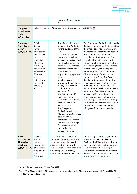|                                                                                         |                                                                                                                                                                                                                  | relevant Member State.<br>323                                                                                                                                                                                                                                                                                                                                                                                                                                                                                                                                                                                                                                                                                                                                               |                                                                                                                                                                                                                                                                                                                                                                                                                                                                                                                                                                                                                                                                                                                                                                                                                                                                                                                                                  |
|-----------------------------------------------------------------------------------------|------------------------------------------------------------------------------------------------------------------------------------------------------------------------------------------------------------------|-----------------------------------------------------------------------------------------------------------------------------------------------------------------------------------------------------------------------------------------------------------------------------------------------------------------------------------------------------------------------------------------------------------------------------------------------------------------------------------------------------------------------------------------------------------------------------------------------------------------------------------------------------------------------------------------------------------------------------------------------------------------------------|--------------------------------------------------------------------------------------------------------------------------------------------------------------------------------------------------------------------------------------------------------------------------------------------------------------------------------------------------------------------------------------------------------------------------------------------------------------------------------------------------------------------------------------------------------------------------------------------------------------------------------------------------------------------------------------------------------------------------------------------------------------------------------------------------------------------------------------------------------------------------------------------------------------------------------------------------|
| European<br>Investigation<br>Order<br>2014/41/EU                                        |                                                                                                                                                                                                                  | Ireland opted out of European Investigation Order 2014/41/EU. <sup>324</sup>                                                                                                                                                                                                                                                                                                                                                                                                                                                                                                                                                                                                                                                                                                |                                                                                                                                                                                                                                                                                                                                                                                                                                                                                                                                                                                                                                                                                                                                                                                                                                                                                                                                                  |
| European<br>Supervision<br>Order<br>2009/829/JHA                                        | Criminal<br>Justice<br>(Mutual<br>Recognition<br>of Decisions<br>on<br>Supervision<br>Measures)<br>Act 2020,<br>adopted on<br>26 November<br>2020 and<br>which<br>entered into<br>force on 5<br>February<br>2021 | The Minister for Justice<br>$\overline{\phantom{0}}$<br>is the Central Authority<br>for the purposes of the<br>Act.<br>A court in Ireland has<br>the power to make a<br>supervision decision and<br>grant bail conditional on<br>another Member State<br>agreeing to monitor<br>compliance on<br>application by a person<br>who:<br>is before a court<br>charged with an offence<br>which, on conviction,<br>could result in a<br>sentence of<br>imprisonment of 12<br>months or more,<br>Is lawfully and ordinarily<br>resident in another<br>Member State.<br>The Competent<br>Authority which is the<br>Minister for Justice must<br>consult with the<br>Executing State for the<br>purposes of preparing<br>for, forwarding and<br>monitoring the<br>supervision order. | The Competent Authority in Ireland is<br>the judicial or other authority meeting<br>the criteria specified in Article 6 of<br>the Framework Decision and notified<br>to the General Secretariat in<br>accordance with that Article. The<br>central authority in Ireland must<br>consult with the Competent Authority<br>in the Issuing State for the purposes<br>of preparing for, forwarding and<br>monitoring the supervision order.<br>-The Supervision Order must be<br>endorsed by a Court. The Court may<br>decide not to endorse where: the<br>supervised person is not lawfully or<br>ordinarily resident in Ireland; the<br>person does not wish to return to the<br>State ; the offence is a summary<br>offence and is statute-barred; the<br>supervised person is not a person<br>subject to proceeding in the issuing<br>State for an offence that EAW would<br>apply to, or endorsement would<br>infringe ne bis in idem principle. |
| FD on<br><b>Probation and</b><br><b>Alternative</b><br><b>Sanctions</b><br>2008/947/JHA | Criminal<br>Justice<br>(Mutual<br>Recognition<br>of Probation<br>Judgements<br>and<br>Decisions)                                                                                                                 | The Minister for Justice is the<br>Competent Authority, except for<br>implementing article 14 and<br>article 20 of the Framework<br>Decision when the relevant Court<br>is the competent authority,<br>(except where there is revocation                                                                                                                                                                                                                                                                                                                                                                                                                                                                                                                                    | On receiving a Court Judgement and,<br>where applicable, a Probation<br>Decision, the Minister for Justice may<br>make an application to the relevant<br>court for recognition of the judgment<br>and probation decision, on notice to<br>the Irish Probation Service, on notice<br>to the person concerned and                                                                                                                                                                                                                                                                                                                                                                                                                                                                                                                                                                                                                                  |

<span id="page-75-0"></span><sup>323</sup> Part 2 of the European Arrest Warrant Act, 2003.

Fair

**Trials** 

<span id="page-75-1"></span><sup>324</sup> Recital 44 to Directive 2014/41/EU records that Ireland opted out of the Directive in accordance with Protocol No. 21 annexed to the TEU and the TFEU.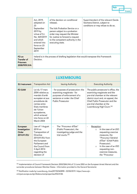

|                                                                 | Act, 2019,<br>adopted on<br>23<br>September<br>2019 by<br>virtue of S.I.<br>No. 469/2019<br>and which<br>entered into<br>force on 23<br>September<br>2019 | of the decision on conditional<br>release).<br>The Irish Probation Service or a<br>person subject to a probation<br>order may request the Minister<br>for Justice to forward a request<br>to the competent authority in the<br>executing state. | Superintendent of the relevant Garda<br>Siochana District, subject to<br>conditions or may refuse to do so. |
|-----------------------------------------------------------------|-----------------------------------------------------------------------------------------------------------------------------------------------------------|-------------------------------------------------------------------------------------------------------------------------------------------------------------------------------------------------------------------------------------------------|-------------------------------------------------------------------------------------------------------------|
| FD on<br><b>Transfer of</b><br><b>Prisoners</b><br>2008/909/JHA | Decision.                                                                                                                                                 | Ireland is in the process of drafting legislation that would transpose this Framework                                                                                                                                                           |                                                                                                             |

| <b>LUXEMBOURG</b>                                |                                                                                                                                                                                                                  |                                                                                                                                                              |                                                                                                                                                                                                                                                        |  |
|--------------------------------------------------|------------------------------------------------------------------------------------------------------------------------------------------------------------------------------------------------------------------|--------------------------------------------------------------------------------------------------------------------------------------------------------------|--------------------------------------------------------------------------------------------------------------------------------------------------------------------------------------------------------------------------------------------------------|--|
| <b>EU</b> Instrument                             | <b>Transposition Act</b>                                                                                                                                                                                         | <b>Issuing Authority</b>                                                                                                                                     | <b>Executing Authority</b>                                                                                                                                                                                                                             |  |
| <b>FD EAW</b>                                    | Loi du 17 mars<br>2004 relative au<br>mandat d'arrêt<br>européen et aux<br>procédures de<br>remise entre<br>Etats membres<br>de l'Union<br>européenne,<br>which entered<br>into force on 22<br><b>March 2004</b> | - for purposes of prosecution: the<br>examining magistrate - for<br>purposes of enforcement of a<br>sentence or order: the Chief<br><b>Public Prosecutor</b> | The public prosecutor's office, the<br>examining magistrate and the<br>pre-trial chamber at the relevant<br>district court and, on appeal, the<br>Chief Public Prosecutor and the<br>pre-trial chamber at the<br>Luxembourg High Court. 325            |  |
| European<br>Investigation<br>Order<br>2014/41/EU | Law of 1 August<br>2018 on<br>Transposition of<br>Directive<br>2014/41/EU from<br>the European<br>Parliament and<br>the Council from<br>3 April 2014<br>regarding the<br>decision of                             | The "Procureur d'État"<br>$\overline{\phantom{a}}$<br>(Public Prosecutor), the<br>investigating judge and the<br>trial courts. <sup>326</sup>                | Reception:<br>In the case of an EIO<br>$\Omega$<br>requesting coercive<br>measures, the<br>"Procureur Général<br>d'État" (Chief Public<br>Prosecutor).<br>In the case of an EIO<br>$\Omega$<br>requesting non-<br>coercive measures,<br>the "Procureur |  |

<span id="page-76-0"></span>325 Implementation of Council Framework Decision 2002/584/JHA of 13 June 2002 on the European Arrest Warrant and the surrender procedures between Member States - Information provided to the General Secretariat.

<span id="page-76-1"></span><sup>326</sup> Notification made by Luxembourg, Ares(2019)2360898 - 03/04/2019. https://www.ejncrimjust.europa.eu/ejn/libdocumentproperties/EN/2128.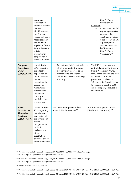|                                                                                         | European<br>Investigation<br>orders in criminal<br>matters,<br>Modification of<br>the Criminal<br>Procedural Code;<br>Modification of<br>the modified<br>legislation from 8<br>August 2000 on<br>judicial<br>international<br>cooperation in<br>criminal matters |                                                                                                                                                                                               | d'État" (Public<br>Prosecutor). 327<br>Execution:<br>In the case of an EIO<br>$\circ$<br>requesting coercive<br>measures, the<br>investigating judge.<br>In the case of an EIO<br>$\circ$<br>requesting non-<br>coercive measures,<br>the "Procureur<br>d'État" (Public<br>Prosecutor). 328                           |
|-----------------------------------------------------------------------------------------|------------------------------------------------------------------------------------------------------------------------------------------------------------------------------------------------------------------------------------------------------------------|-----------------------------------------------------------------------------------------------------------------------------------------------------------------------------------------------|-----------------------------------------------------------------------------------------------------------------------------------------------------------------------------------------------------------------------------------------------------------------------------------------------------------------------|
| European<br>Supervision<br>Order<br>2009/829/JHA                                        | Law of 5 July<br>2016 regarding<br>the effective<br>application of<br>the principle of<br>mutual<br>recognition in<br>supervision<br>measures as<br>alternative to<br>preventive<br>custody and<br>modifying the<br>criminal law                                 | Any national judicial authority<br>$\blacksquare$<br>which is competent to order<br>a supervision measure as an<br>alternative to provisional<br>detention can serve as issuing<br>authority. | The ESO is to be received<br>$\blacksquare$<br>and validated by the General<br>Public Prosecutor <sup>329</sup> who,<br>then, has to transmit the case<br>to the relevant public<br>prosecutor to a District<br>"Chambre du Conseil" so as<br>to make sure that the ESO<br>can be properly executed in<br>Luxembourg. |
| FD on<br><b>Probation and</b><br><b>Alternative</b><br><b>Sanctions</b><br>2008/947/JHA | Law of 12 April<br>2015 regarding<br>the effective<br>application of<br>the principle of<br>mutual<br>recognition in<br>probation<br>decisions and<br>other<br>substitution<br>decisions and in<br>order to enhance                                              | The "Procureur général d'État"<br>(Chief Public Prosecutor). 330                                                                                                                              | The "Procureur général d'État"<br>(Chief Public Prosecutor). 331                                                                                                                                                                                                                                                      |

<span id="page-77-0"></span><sup>327</sup> Notification made by Luxembourg, Ares(2019)2360898 - 03/04/2019. https://www.ejncrimjust.europa.eu/ejn/libdocumentproperties/EN/2128.

<span id="page-77-1"></span><sup>328</sup> Notification made by Luxembourg, Ares(2019)2360898 - 03/04/2019. https://www.ejncrimjust.europa.eu/ejn/libdocumentproperties/EN/2128.

<span id="page-77-2"></span>329 Article 3 of the Law of 5 July 5 2016.

<span id="page-77-3"></span>330 Notification made by Luxembourg, Brussels, 16 March 2020 (OR. fr) 6749/1/20 REV 1 COPEN 79 EUROJUST 46 EJN 40.

<span id="page-77-4"></span>331 Notification made by Luxembourg, Brussels, 16 March 2020 (OR. fr) 6749/1/20 REV 1 COPEN 79 EUROJUST 46 EJN 40.

Fair

Trials